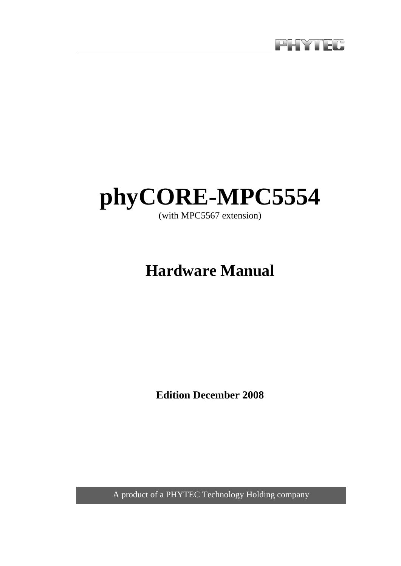

# **phyCORE-MPC5554**

(with MPC5567 extension)

# **Hardware Manual**

**Edition December 2008** 

A product of a PHYTEC Technology Holding company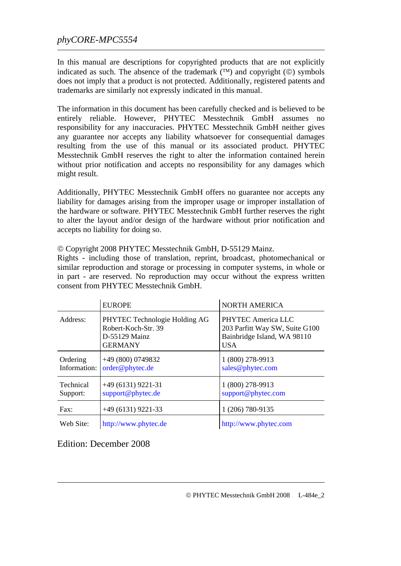In this manual are descriptions for copyrighted products that are not explicitly indicated as such. The absence of the trademark  $(\mathbb{N})$  and copyright  $(\mathbb{O})$  symbols does not imply that a product is not protected. Additionally, registered patents and trademarks are similarly not expressly indicated in this manual.

The information in this document has been carefully checked and is believed to be entirely reliable. However, PHYTEC Messtechnik GmbH assumes no responsibility for any inaccuracies. PHYTEC Messtechnik GmbH neither gives any guarantee nor accepts any liability whatsoever for consequential damages resulting from the use of this manual or its associated product. PHYTEC Messtechnik GmbH reserves the right to alter the information contained herein without prior notification and accepts no responsibility for any damages which might result.

Additionally, PHYTEC Messtechnik GmbH offers no guarantee nor accepts any liability for damages arising from the improper usage or improper installation of the hardware or software. PHYTEC Messtechnik GmbH further reserves the right to alter the layout and/or design of the hardware without prior notification and accepts no liability for doing so.

|                          | <b>EUROPE</b>                                                                           | <b>NORTH AMERICA</b>                                                                              |
|--------------------------|-----------------------------------------------------------------------------------------|---------------------------------------------------------------------------------------------------|
| Address:                 | PHYTEC Technologie Holding AG<br>Robert-Koch-Str. 39<br>D-55129 Mainz<br><b>GERMANY</b> | PHYTEC America LLC<br>203 Parfitt Way SW, Suite G100<br>Bainbridge Island, WA 98110<br><b>USA</b> |
| Ordering<br>Information: | $+49(800)0749832$<br>order@phytec.de                                                    | 1 (800) 278-9913<br>sales@phytec.com                                                              |
| Technical<br>Support:    | $+49(6131)9221-31$<br>support@phytec.de                                                 | 1 (800) 278-9913<br>support@phytec.com                                                            |
| Fax:                     | $+49(6131)9221-33$                                                                      | 1 (206) 780-9135                                                                                  |
| Web Site:                | http://www.phytec.de                                                                    | http://www.phytec.com                                                                             |

© Copyright 2008 PHYTEC Messtechnik GmbH, D-55129 Mainz.

Rights - including those of translation, reprint, broadcast, photomechanical or similar reproduction and storage or processing in computer systems, in whole or in part - are reserved. No reproduction may occur without the express written consent from PHYTEC Messtechnik GmbH.

Edition: December 2008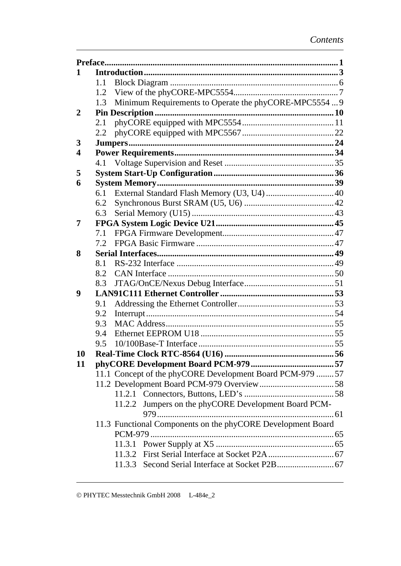| 1                       |     |                                                             |  |
|-------------------------|-----|-------------------------------------------------------------|--|
|                         | 1.1 |                                                             |  |
|                         | 1.2 |                                                             |  |
|                         | 1.3 | Minimum Requirements to Operate the phyCORE-MPC5554  9      |  |
| $\overline{2}$          |     |                                                             |  |
|                         | 2.1 |                                                             |  |
|                         | 2.2 |                                                             |  |
| 3                       |     |                                                             |  |
| $\overline{\mathbf{4}}$ |     |                                                             |  |
|                         |     |                                                             |  |
| 5                       |     |                                                             |  |
| 6                       |     |                                                             |  |
|                         | 6.1 | External Standard Flash Memory (U3, U4)  40                 |  |
|                         | 6.2 |                                                             |  |
|                         | 6.3 |                                                             |  |
| 7                       |     |                                                             |  |
|                         | 7.1 |                                                             |  |
|                         | 7.2 |                                                             |  |
| 8                       |     |                                                             |  |
|                         | 8.1 |                                                             |  |
|                         | 8.2 |                                                             |  |
|                         | 8.3 |                                                             |  |
| 9                       |     |                                                             |  |
|                         | 9.1 |                                                             |  |
|                         | 9.2 |                                                             |  |
|                         | 9.3 |                                                             |  |
|                         | 9.4 |                                                             |  |
|                         | 9.5 |                                                             |  |
| 10                      |     |                                                             |  |
| 11                      |     |                                                             |  |
|                         |     | 11.1 Concept of the phyCORE Development Board PCM-979 57    |  |
|                         |     |                                                             |  |
|                         |     |                                                             |  |
|                         |     | Jumpers on the phyCORE Development Board PCM-<br>11.2.2     |  |
|                         |     |                                                             |  |
|                         |     | 11.3 Functional Components on the phyCORE Development Board |  |
|                         |     |                                                             |  |
|                         |     |                                                             |  |
|                         |     |                                                             |  |
|                         |     |                                                             |  |
|                         |     |                                                             |  |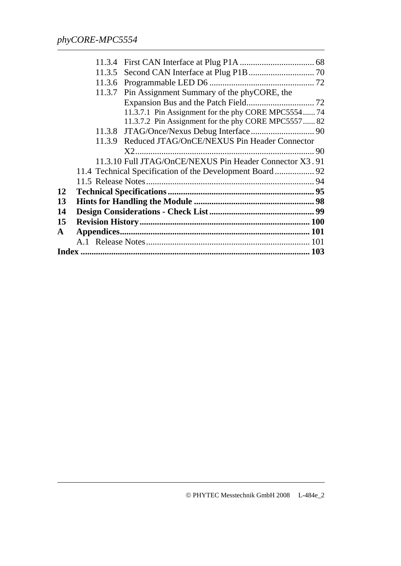|           | 11.3.5 |                                                          |  |
|-----------|--------|----------------------------------------------------------|--|
|           |        |                                                          |  |
|           |        |                                                          |  |
|           |        | 11.3.7 Pin Assignment Summary of the phyCORE, the        |  |
|           |        |                                                          |  |
|           |        | 11.3.7.1 Pin Assignment for the phy CORE MPC5554 74      |  |
|           |        | 11.3.7.2 Pin Assignment for the phy CORE MPC5557 82      |  |
|           |        |                                                          |  |
|           |        | 11.3.9 Reduced JTAG/OnCE/NEXUS Pin Header Connector      |  |
|           |        |                                                          |  |
|           |        | 11.3.10 Full JTAG/OnCE/NEXUS Pin Header Connector X3.91  |  |
|           |        | 11.4 Technical Specification of the Development Board 92 |  |
|           |        |                                                          |  |
| 12        |        |                                                          |  |
| 13        |        |                                                          |  |
| 14        |        |                                                          |  |
| 15        |        |                                                          |  |
| ${\bf A}$ |        |                                                          |  |
|           |        |                                                          |  |
|           |        |                                                          |  |
|           |        |                                                          |  |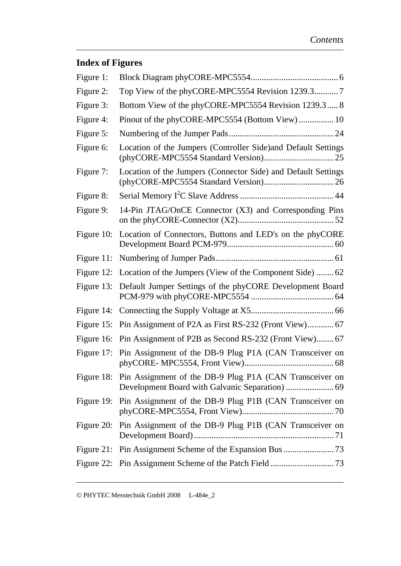# **Index of Figures**

| Figure 1:     |                                                                    |
|---------------|--------------------------------------------------------------------|
| Figure 2:     | Top View of the phyCORE-MPC5554 Revision 1239.37                   |
| Figure 3:     | Bottom View of the phyCORE-MPC5554 Revision 1239.3 8               |
| Figure 4:     | Pinout of the phyCORE-MPC5554 (Bottom View) 10                     |
| Figure 5:     |                                                                    |
| Figure 6:     | Location of the Jumpers (Controller Side) and Default Settings     |
| Figure 7:     | Location of the Jumpers (Connector Side) and Default Settings      |
| Figure 8:     |                                                                    |
| Figure 9:     | 14-Pin JTAG/OnCE Connector (X3) and Corresponding Pins             |
| Figure 10:    | Location of Connectors, Buttons and LED's on the phyCORE           |
| Figure $11$ : |                                                                    |
| Figure 12:    | Location of the Jumpers (View of the Component Side)  62           |
| Figure 13:    | Default Jumper Settings of the phyCORE Development Board           |
|               |                                                                    |
| Figure $15$ : | Pin Assignment of P2A as First RS-232 (Front View) 67              |
|               | Figure 16: Pin Assignment of P2B as Second RS-232 (Front View) 67  |
|               | Figure 17: Pin Assignment of the DB-9 Plug P1A (CAN Transceiver on |
|               | Figure 18: Pin Assignment of the DB-9 Plug P1A (CAN Transceiver on |
| Figure 19:    | Pin Assignment of the DB-9 Plug P1B (CAN Transceiver on            |
| Figure 20:    | Pin Assignment of the DB-9 Plug P1B (CAN Transceiver on            |
|               |                                                                    |
|               |                                                                    |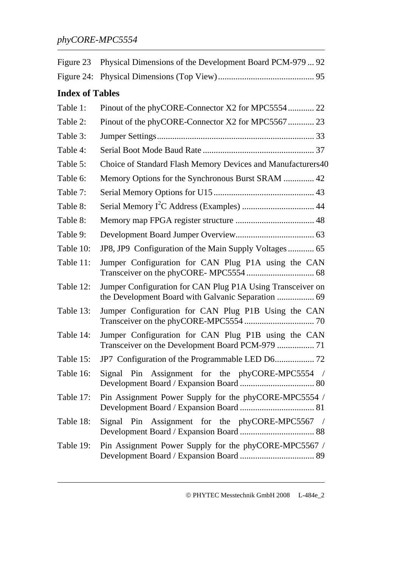| Figure 23              | Physical Dimensions of the Development Board PCM-979  92                                                         |  |  |  |  |  |
|------------------------|------------------------------------------------------------------------------------------------------------------|--|--|--|--|--|
| Figure 24:             |                                                                                                                  |  |  |  |  |  |
| <b>Index of Tables</b> |                                                                                                                  |  |  |  |  |  |
| Table 1:               | Pinout of the phyCORE-Connector X2 for MPC5554 22                                                                |  |  |  |  |  |
| Table 2:               | Pinout of the phyCORE-Connector X2 for MPC5567 23                                                                |  |  |  |  |  |
| Table 3:               |                                                                                                                  |  |  |  |  |  |
| Table 4:               |                                                                                                                  |  |  |  |  |  |
| Table 5:               | Choice of Standard Flash Memory Devices and Manufacturers40                                                      |  |  |  |  |  |
| Table 6:               | Memory Options for the Synchronous Burst SRAM  42                                                                |  |  |  |  |  |
| Table 7:               |                                                                                                                  |  |  |  |  |  |
| Table 8:               |                                                                                                                  |  |  |  |  |  |
| Table 8:               |                                                                                                                  |  |  |  |  |  |
| Table 9:               |                                                                                                                  |  |  |  |  |  |
| Table 10:              | JP8, JP9 Configuration of the Main Supply Voltages 65                                                            |  |  |  |  |  |
| Table 11:              | Jumper Configuration for CAN Plug P1A using the CAN                                                              |  |  |  |  |  |
| Table 12:              | Jumper Configuration for CAN Plug P1A Using Transceiver on<br>the Development Board with Galvanic Separation  69 |  |  |  |  |  |
| Table 13:              | Jumper Configuration for CAN Plug P1B Using the CAN                                                              |  |  |  |  |  |
| Table 14:              | Jumper Configuration for CAN Plug P1B using the CAN                                                              |  |  |  |  |  |
| Table 15:              |                                                                                                                  |  |  |  |  |  |
| Table 16:              | Signal Pin Assignment for the phyCORE-MPC5554 /                                                                  |  |  |  |  |  |
| Table 17:              | Pin Assignment Power Supply for the phyCORE-MPC5554 /                                                            |  |  |  |  |  |
| Table 18:              | Signal Pin Assignment for the phyCORE-MPC5567 /                                                                  |  |  |  |  |  |
| Table 19:              | Pin Assignment Power Supply for the phyCORE-MPC5567 /                                                            |  |  |  |  |  |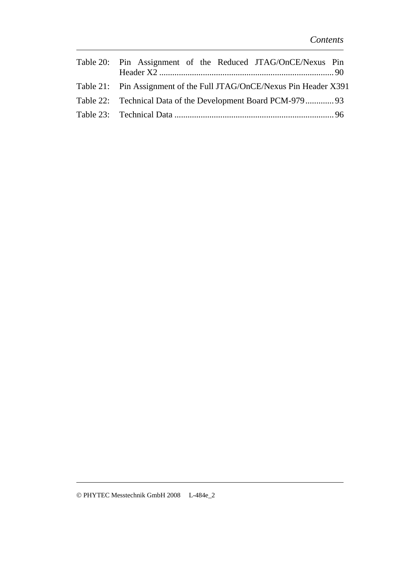| Table 20: Pin Assignment of the Reduced JTAG/OnCE/Nexus Pin          |  |
|----------------------------------------------------------------------|--|
| Table 21: Pin Assignment of the Full JTAG/OnCE/Nexus Pin Header X391 |  |
| Table 22: Technical Data of the Development Board PCM-97993          |  |
|                                                                      |  |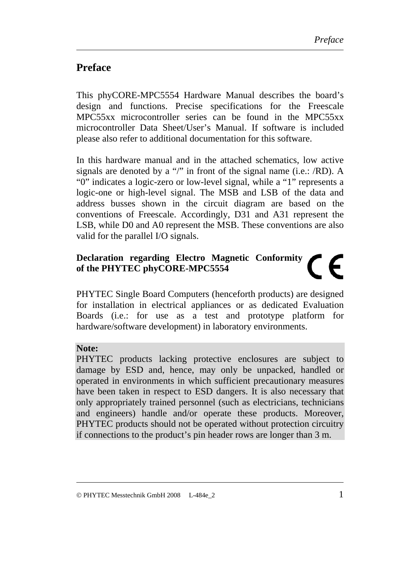# <span id="page-8-0"></span>**Preface**

This phyCORE-MPC5554 Hardware Manual describes the board's design and functions. Precise specifications for the Freescale MPC55xx microcontroller series can be found in the MPC55xx microcontroller Data Sheet/User's Manual. If software is included please also refer to additional documentation for this software.

In this hardware manual and in the attached schematics, low active signals are denoted by a "/" in front of the signal name (i.e.: /RD). A "0" indicates a logic-zero or low-level signal, while a "1" represents a logic-one or high-level signal. The MSB and LSB of the data and address busses shown in the circuit diagram are based on the conventions of Freescale. Accordingly, D31 and A31 represent the LSB, while D0 and A0 represent the MSB. These conventions are also valid for the parallel I/O signals.

#### **Declaration regarding Electro Magnetic Conformity**   $\epsilon$ **of the PHYTEC phyCORE-MPC5554**

PHYTEC Single Board Computers (henceforth products) are designed for installation in electrical appliances or as dedicated Evaluation Boards (i.e.: for use as a test and prototype platform for hardware/software development) in laboratory environments.

#### **Note:**

PHYTEC products lacking protective enclosures are subject to damage by ESD and, hence, may only be unpacked, handled or operated in environments in which sufficient precautionary measures have been taken in respect to ESD dangers. It is also necessary that only appropriately trained personnel (such as electricians, technicians and engineers) handle and/or operate these products. Moreover, PHYTEC products should not be operated without protection circuitry if connections to the product's pin header rows are longer than 3 m.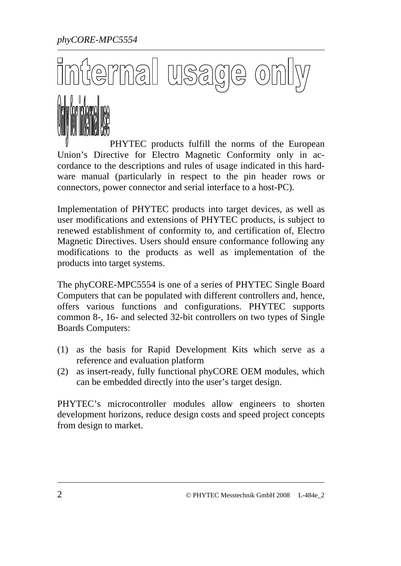*phyCORE-MPC5554* 

# erna  $\frac{1}{2}$



PHYTEC products fulfill the norms of the European Union's Directive for Electro Magnetic Conformity only in accordance to the descriptions and rules of usage indicated in this hardware manual (particularly in respect to the pin header rows or connectors, power connector and serial interface to a host-PC).

Implementation of PHYTEC products into target devices, as well as user modifications and extensions of PHYTEC products, is subject to renewed establishment of conformity to, and certification of, Electro Magnetic Directives. Users should ensure conformance following any modifications to the products as well as implementation of the products into target systems.

The phyCORE-MPC5554 is one of a series of PHYTEC Single Board Computers that can be populated with different controllers and, hence, offers various functions and configurations. PHYTEC supports common 8-, 16- and selected 32-bit controllers on two types of Single Boards Computers:

- (1) as the basis for Rapid Development Kits which serve as a reference and evaluation platform
- (2) as insert-ready, fully functional phyCORE OEM modules, which can be embedded directly into the user's target design.

PHYTEC's microcontroller modules allow engineers to shorten development horizons, reduce design costs and speed project concepts from design to market.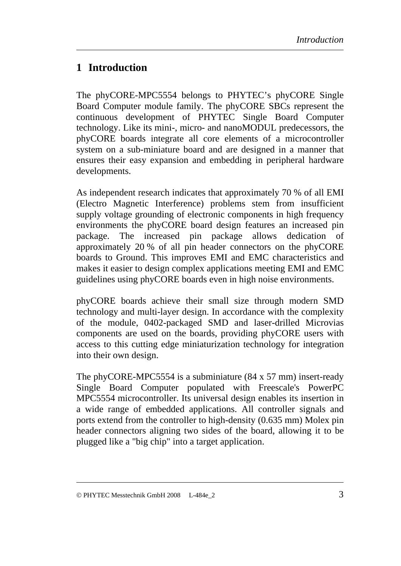# <span id="page-10-0"></span>**1 Introduction**

The phyCORE-MPC5554 belongs to PHYTEC's phyCORE Single Board Computer module family. The phyCORE SBCs represent the continuous development of PHYTEC Single Board Computer technology. Like its mini-, micro- and nanoMODUL predecessors, the phyCORE boards integrate all core elements of a microcontroller system on a sub-miniature board and are designed in a manner that ensures their easy expansion and embedding in peripheral hardware developments.

As independent research indicates that approximately 70 % of all EMI (Electro Magnetic Interference) problems stem from insufficient supply voltage grounding of electronic components in high frequency environments the phyCORE board design features an increased pin package. The increased pin package allows dedication approximately 20 % of all pin header connectors on the phyCORE boards to Ground. This improves EMI and EMC characteristics and makes it easier to design complex applications meeting EMI and EMC guidelines using phyCORE boards even in high noise environments.

phyCORE boards achieve their small size through modern SMD technology and multi-layer design. In accordance with the complexity of the module, 0402-packaged SMD and laser-drilled Microvias components are used on the boards, providing phyCORE users with access to this cutting edge miniaturization technology for integration into their own design.

The phyCORE-MPC5554 is a subminiature (84 x 57 mm) insert-ready Single Board Computer populated with Freescale's PowerPC MPC5554 microcontroller. Its universal design enables its insertion in a wide range of embedded applications. All controller signals and ports extend from the controller to high-density (0.635 mm) Molex pin header connectors aligning two sides of the board, allowing it to be plugged like a "big chip" into a target application.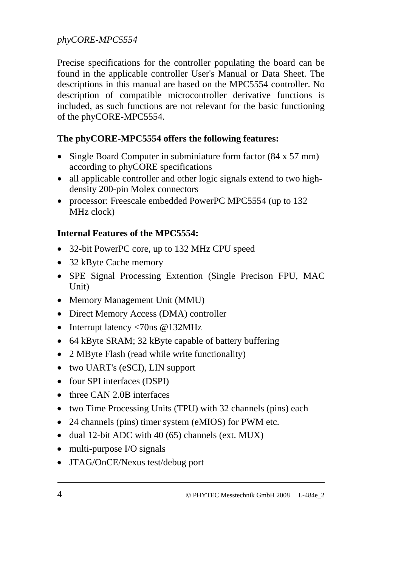Precise specifications for the controller populating the board can be found in the applicable controller User's Manual or Data Sheet. The descriptions in this manual are based on the MPC5554 controller. No description of compatible microcontroller derivative functions is included, as such functions are not relevant for the basic functioning of the phyCORE-MPC5554.

#### **The phyCORE-MPC5554 offers the following features:**

- Single Board Computer in subminiature form factor (84 x 57 mm) according to phyCORE specifications
- all applicable controller and other logic signals extend to two highdensity 200-pin Molex connectors
- processor: Freescale embedded PowerPC MPC5554 (up to 132) MHz clock)

#### **Internal Features of the MPC5554:**

- 32-bit PowerPC core, up to 132 MHz CPU speed
- 32 kByte Cache memory
- SPE Signal Processing Extention (Single Precison FPU, MAC Unit)
- Memory Management Unit (MMU)
- Direct Memory Access (DMA) controller
- Interrupt latency <70ns @132MHz
- 64 kByte SRAM; 32 kByte capable of battery buffering
- 2 MByte Flash (read while write functionality)
- two UART's (eSCI), LIN support
- four SPI interfaces (DSPI)
- three CAN 2.0B interfaces
- two Time Processing Units (TPU) with 32 channels (pins) each
- 24 channels (pins) timer system (eMIOS) for PWM etc.
- dual 12-bit ADC with 40 (65) channels (ext. MUX)
- multi-purpose I/O signals
- JTAG/OnCE/Nexus test/debug port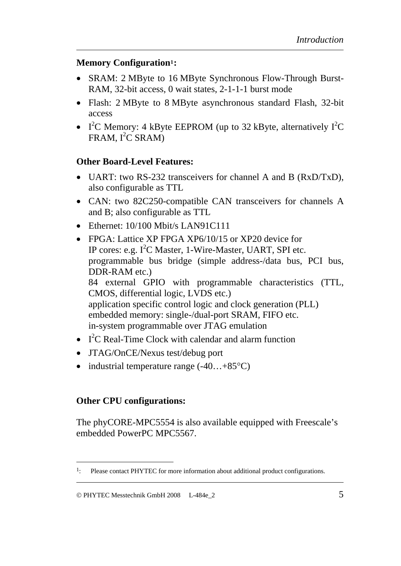#### **Memory Configuratio[n1](#page-12-0):**

- SRAM: 2 MByte to 16 MByte Synchronous Flow-Through Burst-RAM, 32-bit access, 0 wait states, 2-1-1-1 burst mode
- Flash: 2 MByte to 8 MByte asynchronous standard Flash, 32-bit access
- I<sup>2</sup>C Memory: 4 kByte EEPROM (up to 32 kByte, alternatively  $I^2C$  $FRAM, I<sup>2</sup>C SRAM)$

#### **Other Board-Level Features:**

- UART: two RS-232 transceivers for channel A and B (RxD/TxD), also configurable as TTL
- CAN: two 82C250-compatible CAN transceivers for channels A and B; also configurable as TTL
- Ethernet: 10/100 Mbit/s LAN91C111
- FPGA: Lattice XP FPGA XP6/10/15 or XP20 device for IP cores: e.g.  $I<sup>2</sup>C$  Master, 1-Wire-Master, UART, SPI etc. programmable bus bridge (simple address-/data bus, PCI bus, DDR-RAM etc.) 84 external GPIO with programmable characteristics (TTL, CMOS, differential logic, LVDS etc.) application specific control logic and clock generation (PLL) embedded memory: single-/dual-port SRAM, FIFO etc. in-system programmable over JTAG emulation
- $I^2C$  Real-Time Clock with calendar and alarm function
- JTAG/OnCE/Nexus test/debug port
- industrial temperature range  $(-40...+85^{\circ}C)$

### **Other CPU configurations:**

 $\overline{a}$ 

The phyCORE-MPC5554 is also available equipped with Freescale's embedded PowerPC MPC5567.

<span id="page-12-0"></span><sup>&</sup>lt;sup>1</sup>: Please contact PHYTEC for more information about additional product configurations.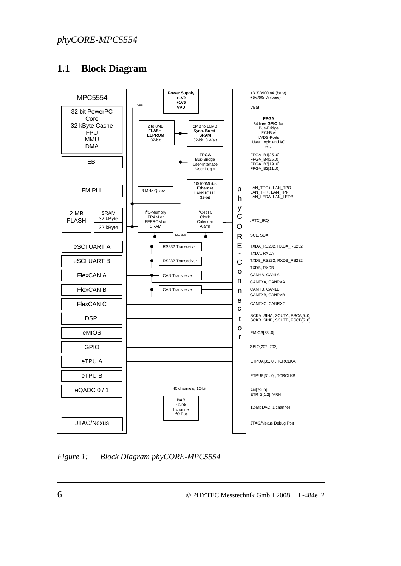### <span id="page-13-0"></span>**1.1 Block Diagram**



*Figure 1: Block Diagram phyCORE-MPC5554*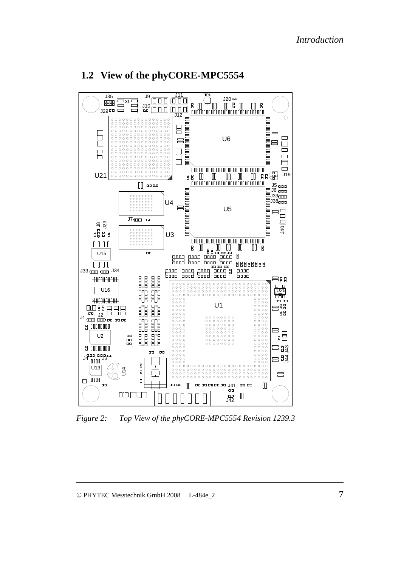

#### <span id="page-14-0"></span>**1.2 View of the phyCORE-MPC5554**

*Figure 2: Top View of the phyCORE-MPC5554 Revision 1239.3*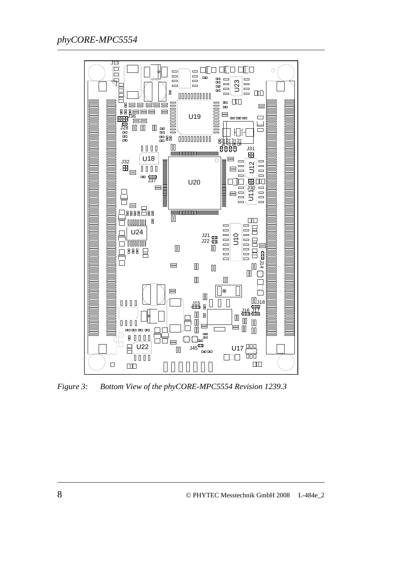<span id="page-15-0"></span>

*Figure 3: Bottom View of the phyCORE-MPC5554 Revision 1239.3*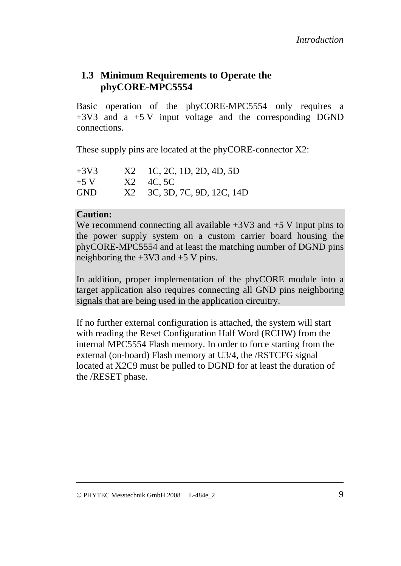#### <span id="page-16-0"></span>**1.3 Minimum Requirements to Operate the phyCORE-MPC5554**

Basic operation of the phyCORE-MPC5554 only requires a  $+3V3$  and a  $+5 V$  input voltage and the corresponding DGND connections.

These supply pins are located at the phyCORE-connector X2:

| $+3V3$     | $X2 \quad \text{1C, 2C, 1D, 2D, 4D, 5D}$ |
|------------|------------------------------------------|
| $+5$ V     | $X2 \quad 4C, 5C$                        |
| <b>GND</b> | X2 3C, 3D, 7C, 9D, 12C, 14D              |

#### **Caution:**

We recommend connecting all available  $+3V3$  and  $+5V$  input pins to the power supply system on a custom carrier board housing the phyCORE-MPC5554 and at least the matching number of DGND pins neighboring the  $+3V3$  and  $+5V$  pins.

In addition, proper implementation of the phyCORE module into a target application also requires connecting all GND pins neighboring signals that are being used in the application circuitry.

If no further external configuration is attached, the system will start with reading the Reset Configuration Half Word (RCHW) from the internal MPC5554 Flash memory. In order to force starting from the external (on-board) Flash memory at U3/4, the /RSTCFG signal located at X2C9 must be pulled to DGND for at least the duration of the /RESET phase.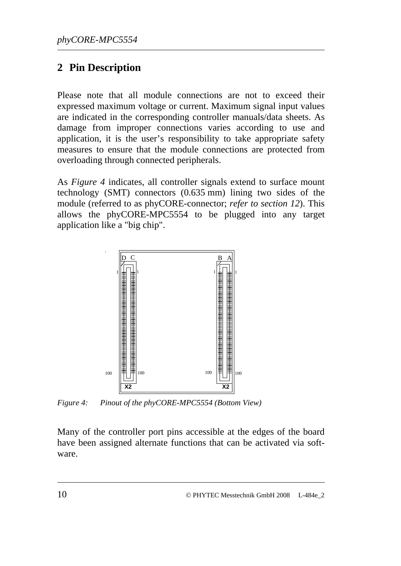# <span id="page-17-0"></span>**2 Pin Description**

Please note that all module connections are not to exceed their expressed maximum voltage or current. Maximum signal input values are indicated in the corresponding controller manuals/data sheets. As damage from improper connections varies according to use and application, it is the user's responsibility to take appropriate safety measures to ensure that the module connections are protected from overloading through connected peripherals.

As *[Figure 4](#page-17-1)* indicates, all controller signals extend to surface mount technology (SMT) connectors (0.635 mm) lining two sides of the module (referred to as phyCORE-connector; *refer to section [12](#page-102-1)*). This allows the phyCORE-MPC5554 to be plugged into any target application like a "big chip".



<span id="page-17-1"></span>*Figure 4: Pinout of the phyCORE-MPC5554 (Bottom View)* 

Many of the controller port pins accessible at the edges of the board have been assigned alternate functions that can be activated via software.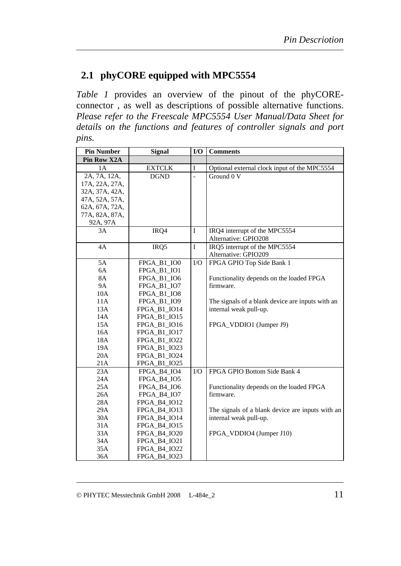# <span id="page-18-0"></span>**2.1 phyCORE equipped with MPC5554**

*[Table 1](#page-29-1)* provides an overview of the pinout of the phyCOREconnector , as well as descriptions of possible alternative functions. *Please refer to the Freescale MPC5554 User Manual/Data Sheet for details on the functions and features of controller signals and port pins.* 

| <b>Pin Number</b> | <b>Signal</b> | I/O            | <b>Comments</b>                                  |
|-------------------|---------------|----------------|--------------------------------------------------|
| Pin Row X2A       |               |                |                                                  |
| 1A                | <b>EXTCLK</b> | I              | Optional external clock input of the MPC5554     |
| 2A, 7A, 12A,      | <b>DGND</b>   | $\overline{a}$ | Ground 0 V                                       |
| 17A, 22A, 27A,    |               |                |                                                  |
| 32A, 37A, 42A,    |               |                |                                                  |
| 47A, 52A, 57A,    |               |                |                                                  |
| 62A, 67A, 72A,    |               |                |                                                  |
| 77A, 82A, 87A,    |               |                |                                                  |
| 92A, 97A          |               |                |                                                  |
| 3A                | IRQ4          | $\bf I$        | IRQ4 interrupt of the MPC5554                    |
|                   |               |                | Alternative: GPIO208                             |
| 4A                | IRQ5          | I              | IRQ5 interrupt of the MPC5554                    |
|                   |               |                | Alternative: GPIO209                             |
| 5A                | FPGA_B1_IO0   | $\rm I/O$      | FPGA GPIO Top Side Bank 1                        |
| 6A                | FPGA_B1_IO1   |                |                                                  |
| <b>8A</b>         | FPGA_B1_IO6   |                | Functionality depends on the loaded FPGA         |
| <b>9A</b>         | FPGA_B1_IO7   |                | firmware.                                        |
| 10A               | FPGA_B1_IO8   |                |                                                  |
| 11A               | FPGA_B1_IO9   |                | The signals of a blank device are inputs with an |
| 13A               | FPGA_B1_IO14  |                | internal weak pull-up.                           |
| 14A               | FPGA_B1_IO15  |                |                                                  |
| 15A               | FPGA_B1_IO16  |                | FPGA_VDDIO1 (Jumper J9)                          |
| 16A               | FPGA_B1_IO17  |                |                                                  |
| 18A               | FPGA_B1_IO22  |                |                                                  |
| 19A               | FPGA_B1_IO23  |                |                                                  |
| 20A               | FPGA_B1_IO24  |                |                                                  |
| 21A               | FPGA_B1_IO25  |                |                                                  |
| 23A               | FPGA B4 IO4   | I/O            | FPGA GPIO Bottom Side Bank 4                     |
| 24A               | FPGA_B4_IO5   |                |                                                  |
| 25A               | FPGA_B4_IO6   |                | Functionality depends on the loaded FPGA         |
| 26A               | FPGA_B4_IO7   |                | firmware.                                        |
| 28A               | FPGA_B4_IO12  |                |                                                  |
| 29A               | FPGA_B4_IO13  |                | The signals of a blank device are inputs with an |
| 30A               | FPGA_B4_IO14  |                | internal weak pull-up.                           |
| 31A               | FPGA_B4_IO15  |                |                                                  |
| 33A               | FPGA_B4_IO20  |                | FPGA_VDDIO4 (Jumper J10)                         |
| 34A               | FPGA_B4_IO21  |                |                                                  |
| 35A               | FPGA_B4_IO22  |                |                                                  |
| 36A               | FPGA_B4_IO23  |                |                                                  |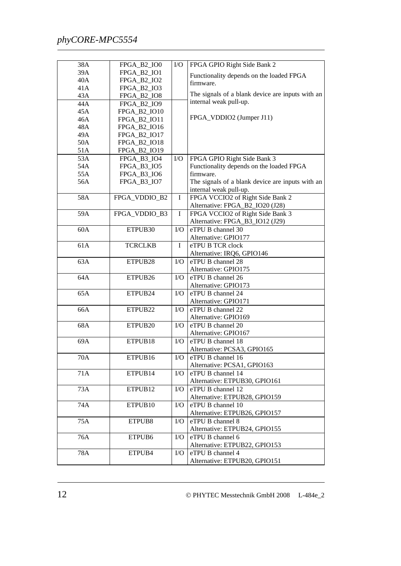| 38A | FPGA_B2_IO0         | I/O         | FPGA GPIO Right Side Bank 2                       |
|-----|---------------------|-------------|---------------------------------------------------|
| 39A | FPGA_B2_IO1         |             | Functionality depends on the loaded FPGA          |
| 40A | FPGA_B2_IO2         |             | firmware.                                         |
| 41A | FPGA_B2_IO3         |             |                                                   |
| 43A | FPGA_B2_IO8         |             | The signals of a blank device are inputs with an  |
| 44A | <b>FPGA B2 IO9</b>  |             | internal weak pull-up.                            |
| 45A | FPGA_B2_IO10        |             |                                                   |
| 46A | FPGA_B2_IO11        |             | FPGA_VDDIO2 (Jumper J11)                          |
| 48A | FPGA_B2_IO16        |             |                                                   |
| 49A | FPGA_B2_IO17        |             |                                                   |
| 50A | FPGA_B2_IO18        |             |                                                   |
| 51A | FPGA_B2_IO19        |             |                                                   |
| 53A | FPGA_B3_IO4         | ${\rm I/O}$ | FPGA GPIO Right Side Bank 3                       |
| 54A | FPGA_B3_IO5         |             | Functionality depends on the loaded FPGA          |
| 55A | FPGA_B3_IO6         |             | firmware.                                         |
| 56A | FPGA_B3_IO7         |             | The signals of a blank device are inputs with an  |
|     |                     |             | internal weak pull-up.                            |
| 58A | FPGA VDDIO B2       | $\mathbf I$ | FPGA VCCIO2 of Right Side Bank 2                  |
|     |                     |             | Alternative: FPGA_B2_IO20 (J28)                   |
| 59A | FPGA VDDIO B3       | $\mathbf I$ | FPGA VCCIO2 of Right Side Bank 3                  |
|     |                     |             | Alternative: FPGA_B3_IO12 (J29)                   |
| 60A | ETPUB30             | I/O         | eTPU B channel 30                                 |
|     |                     |             | Alternative: GPIO177                              |
| 61A | <b>TCRCLKB</b>      | I           | eTPU B TCR clock                                  |
|     |                     |             | Alternative: IRQ6, GPIO146                        |
| 63A | ETPUB <sub>28</sub> | I/O         | eTPU B channel 28                                 |
|     |                     |             | Alternative: GPIO175                              |
| 64A | ETPUB26             | I/O         | eTPU B channel 26                                 |
|     |                     |             | Alternative: GPIO173                              |
| 65A | ETPUB24             | I/O         | eTPU B channel 24                                 |
|     |                     |             | Alternative: GPIO171                              |
| 66A | ETPUB22             | I/O         | eTPU B channel 22                                 |
|     |                     |             | Alternative: GPIO169                              |
| 68A | ETPUB <sub>20</sub> | I/O         | eTPU B channel 20                                 |
|     |                     |             | Alternative: GPIO167                              |
| 69A | ETPUB18             | I/O         | eTPU B channel 18                                 |
|     |                     |             | Alternative: PCSA3, GPIO165                       |
| 70A | ETPUB <sub>16</sub> | $\rm LO$    | eTPU B channel 16                                 |
|     |                     |             | Alternative: PCSA1, GPIO163                       |
| 71A | ETPUB14             | $\rm I/O$   | eTPU B channel 14                                 |
|     |                     |             | Alternative: ETPUB30, GPIO161                     |
| 73A | ETPUB <sub>12</sub> | $\rm I/O$   | eTPU B channel 12                                 |
|     |                     |             | Alternative: ETPUB28, GPIO159                     |
| 74A | ETPUB <sub>10</sub> | $\rm LO$    | eTPU B channel 10                                 |
|     |                     |             | Alternative: ETPUB26, GPIO157                     |
| 75A |                     |             | eTPU B channel 8                                  |
|     | ETPUB8              | $\rm LO$    | Alternative: ETPUB24, GPIO155                     |
|     |                     |             |                                                   |
| 76A | ETPUB6              | $\rm LO$    | eTPU B channel 6<br>Alternative: ETPUB22, GPIO153 |
|     |                     |             |                                                   |
| 78A | ETPUB4              | $\rm LO$    | eTPU B channel 4                                  |
|     |                     |             | Alternative: ETPUB20, GPIO151                     |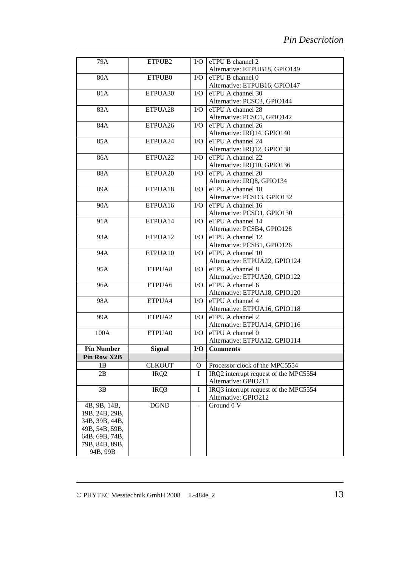| 79A                | ETPUB <sub>2</sub> | I/O           | eTPU B channel 2                      |
|--------------------|--------------------|---------------|---------------------------------------|
|                    |                    |               | Alternative: ETPUB18, GPIO149         |
| 80A                | ETPUB0             | $\rm LO$      | eTPU B channel 0                      |
|                    |                    |               | Alternative: ETPUB16, GPIO147         |
| 81A                | ETPUA30            | $\rm LO$      | eTPU A channel 30                     |
|                    |                    |               | Alternative: PCSC3, GPIO144           |
| 83A                | ETPUA28            | $\rm LO$      | eTPU A channel 28                     |
|                    |                    |               | Alternative: PCSC1, GPIO142           |
| 84A                | ETPUA26            | $\rm LO$      | eTPU A channel 26                     |
|                    |                    |               | Alternative: IRQ14, GPIO140           |
| 85A                | ETPUA24            | $\rm LO$      | eTPU A channel 24                     |
|                    |                    |               | Alternative: IRQ12, GPIO138           |
| 86A                | ETPUA22            | $\rm LO$      | eTPU A channel 22                     |
|                    |                    |               | Alternative: IRQ10, GPIO136           |
| 88A                | ETPUA20            | $\rm LO$      | eTPU A channel 20                     |
|                    |                    |               | Alternative: IRQ8, GPIO134            |
| 89A                | ETPUA18            | $\rm LO$      | eTPU A channel 18                     |
|                    |                    |               | Alternative: PCSD3, GPIO132           |
| 90A                | ETPUA16            | $\rm LO$      | eTPU A channel 16                     |
|                    |                    |               | Alternative: PCSD1, GPIO130           |
| 91A                | ETPUA14            | $\rm LO$      | eTPU A channel 14                     |
|                    |                    |               | Alternative: PCSB4, GPIO128           |
| 93A                | ETPUA12            | $\rm LO$      | eTPU A channel 12                     |
|                    |                    |               | Alternative: PCSB1, GPIO126           |
| 94A                | ETPUA10            | $\rm LO$      | eTPU A channel 10                     |
|                    |                    |               | Alternative: ETPUA22, GPIO124         |
| 95A                | ETPUA8             | $\rm LO$      | eTPU A channel 8                      |
|                    |                    |               | Alternative: ETPUA20, GPIO122         |
| 96A                | ETPUA6             | $\rm LO$      | eTPU A channel 6                      |
|                    |                    |               | Alternative: ETPUA18, GPIO120         |
| 98A                | ETPUA4             | $\rm LO$      | eTPU A channel 4                      |
|                    |                    |               | Alternative: ETPUA16, GPIO118         |
| 99A                | ETPUA <sub>2</sub> | $\rm LO$      | eTPU A channel 2                      |
|                    |                    |               | Alternative: ETPUA14, GPIO116         |
| 100A               | ETPUA0             | $\rm LO$      | eTPU A channel 0                      |
|                    |                    |               | Alternative: ETPUA12, GPIO114         |
| <b>Pin Number</b>  | <b>Signal</b>      | I/O           | <b>Comments</b>                       |
| <b>Pin Row X2B</b> |                    |               |                                       |
| 1B                 | <b>CLKOUT</b>      | $\mathbf O$   | Processor clock of the MPC5554        |
| 2B                 | IRQ <sub>2</sub>   | $\mathbf I$   | IRQ2 interrupt request of the MPC5554 |
|                    |                    |               | Alternative: GPIO211                  |
| 3B                 | IRQ3               | I             | IRQ3 interrupt request of the MPC5554 |
|                    |                    |               | Alternative: GPIO212                  |
| 4B, 9B, 14B,       | <b>DGND</b>        | $\frac{1}{2}$ | Ground 0 V                            |
| 19B, 24B, 29B,     |                    |               |                                       |
| 34B, 39B, 44B,     |                    |               |                                       |
| 49B, 54B, 59B,     |                    |               |                                       |
| 64B, 69B, 74B,     |                    |               |                                       |
| 79B, 84B, 89B,     |                    |               |                                       |
| 94B, 99B           |                    |               |                                       |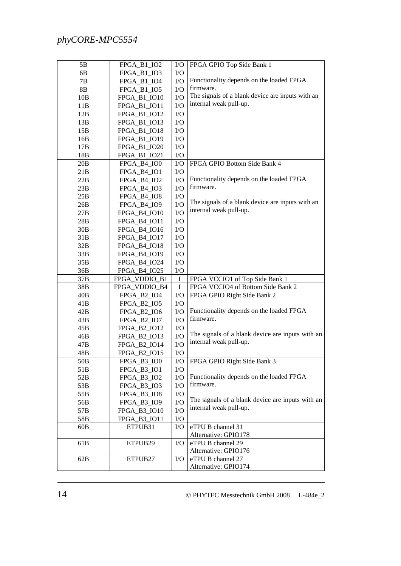| 5B              | FPGA_B1_IO2         | $\rm I/O$   | FPGA GPIO Top Side Bank 1                                                  |
|-----------------|---------------------|-------------|----------------------------------------------------------------------------|
| 6B              | FPGA_B1_IO3         | ${\rm I/O}$ |                                                                            |
| 7B              | FPGA_B1_IO4         | ${\rm I/O}$ | Functionality depends on the loaded FPGA                                   |
| 8B              | FPGA_B1_IO5         | ${\rm I/O}$ | firmware.                                                                  |
| 10B             | FPGA_B1_IO10        | ${\rm I/O}$ | The signals of a blank device are inputs with an<br>internal weak pull-up. |
| 11B             | FPGA_B1_IO11        | ${\rm I/O}$ |                                                                            |
| 12B             | FPGA_B1_IO12        | ${\rm I/O}$ |                                                                            |
| 13B             | FPGA_B1_IO13        | ${\rm I/O}$ |                                                                            |
| 15B             | FPGA_B1_IO18        | ${\rm I/O}$ |                                                                            |
| 16B             | FPGA_B1_IO19        | ${\rm I/O}$ |                                                                            |
| 17B             | FPGA_B1_IO20        | ${\rm I/O}$ |                                                                            |
| 18B             | FPGA_B1_IO21        | $\rm I/O$   |                                                                            |
| 20B             | FPGA_B4_IO0         | ${\rm I/O}$ | FPGA GPIO Bottom Side Bank 4                                               |
| 21B             | FPGA_B4_IO1         | ${\rm I/O}$ |                                                                            |
| 22B             | FPGA_B4_IO2         | ${\rm I/O}$ | Functionality depends on the loaded FPGA                                   |
| 23B             | FPGA_B4_IO3         | ${\rm I/O}$ | firmware.                                                                  |
| 25B             | FPGA_B4_IO8         | ${\rm I/O}$ | The signals of a blank device are inputs with an                           |
| 26B             | FPGA_B4_IO9         | ${\rm I/O}$ | internal weak pull-up.                                                     |
| 27B             | FPGA_B4_IO10        | ${\rm I/O}$ |                                                                            |
| 28B             | FPGA_B4_IO11        | I/O         |                                                                            |
| 30B             | FPGA_B4_IO16        | I/O         |                                                                            |
| 31B             | FPGA_B4_IO17        | I/O         |                                                                            |
| 32B             | FPGA_B4_IO18        | ${\rm I/O}$ |                                                                            |
| 33B             | FPGA_B4_IO19        | ${\rm I/O}$ |                                                                            |
| 35B             | FPGA_B4_IO24        | ${\rm I/O}$ |                                                                            |
| 36B             | FPGA_B4_IO25        | ${\rm I/O}$ |                                                                            |
| 37B             | FPGA_VDDIO_B1       | $\bf I$     | FPGA VCCIO1 of Top Side Bank 1                                             |
| 38B             | FPGA_VDDIO_B4       | I           | FPGA VCCIO4 of Bottom Side Bank 2                                          |
| 40B             | FPGA_B2_IO4         | I/O         | FPGA GPIO Right Side Bank 2                                                |
| 41B             | FPGA_B2_IO5         | ${\rm I/O}$ |                                                                            |
| 42B             | FPGA_B2_IO6         | ${\rm I/O}$ | Functionality depends on the loaded FPGA                                   |
| 43B             | FPGA_B2_IO7         | ${\rm I/O}$ | firmware.                                                                  |
| 45B             | <b>FPGA B2 IO12</b> | ${\rm I/O}$ |                                                                            |
| 46B             | FPGA_B2_IO13        | ${\rm I/O}$ | The signals of a blank device are inputs with an<br>internal weak pull-up. |
| 47B             | FPGA_B2_IO14        | ${\rm I/O}$ |                                                                            |
| 48B             | FPGA_B2_IO15        | ${\rm I/O}$ |                                                                            |
| 50 <sub>B</sub> | FPGA_B3_IO0         | ${\rm I/O}$ | FPGA GPIO Right Side Bank 3                                                |
| 51B             | FPGA_B3_IO1         | ${\rm I/O}$ |                                                                            |
| 52B             | FPGA_B3_IO2         | ${\rm I/O}$ | Functionality depends on the loaded FPGA                                   |
| 53B             | FPGA_B3_IO3         | ${\rm I/O}$ | firmware.                                                                  |
| 55B             | FPGA_B3_IO8         | ${\rm I/O}$ |                                                                            |
| 56B             | <b>FPGA B3 IO9</b>  | ${\rm I/O}$ | The signals of a blank device are inputs with an                           |
| 57B             | FPGA_B3_IO10        | ${\rm I/O}$ | internal weak pull-up.                                                     |
| 58B             | FPGA_B3_IO11        | ${\rm I/O}$ |                                                                            |
| 60B             | ETPUB31             | I/O         | eTPU B channel 31                                                          |
|                 |                     |             | Alternative: GPIO178                                                       |
| 61B             | ETPUB29             | I/O         | eTPU B channel 29                                                          |
|                 |                     |             | Alternative: GPIO176                                                       |
| 62B             | ETPUB27             | I/O         | eTPU B channel 27                                                          |
|                 |                     |             | Alternative: GPIO174                                                       |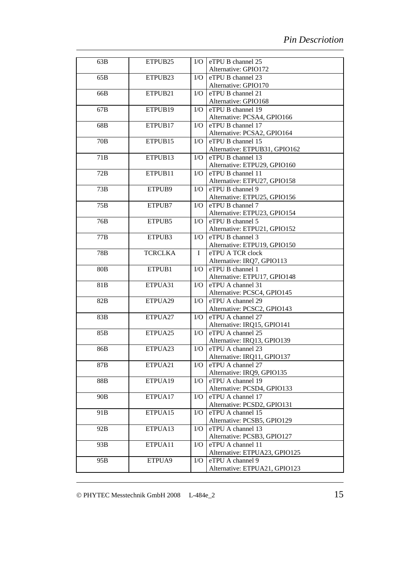| 63B             | ETPUB <sub>25</sub> | $\rm LO$   | eTPU B channel 25             |
|-----------------|---------------------|------------|-------------------------------|
|                 |                     |            | Alternative: GPIO172          |
| 65B             | ETPUB <sub>23</sub> | $\rm LO$   | eTPU B channel 23             |
|                 |                     |            | Alternative: GPIO170          |
| 66B             | ETPUB21             | $\rm LO$   | eTPU B channel 21             |
|                 |                     |            | Alternative: GPIO168          |
| 67B             | ETPUB19             | $\rm LO$   | eTPU B channel 19             |
|                 |                     |            | Alternative: PCSA4, GPIO166   |
| 68B             | ETPUB17             | $\rm LO$   | eTPU B channel 17             |
|                 |                     |            | Alternative: PCSA2, GPIO164   |
| 70 <sub>B</sub> | ETPUB15             | $\rm LO$   | eTPU B channel 15             |
|                 |                     |            | Alternative: ETPUB31, GPIO162 |
| 71B             | ETPUB <sub>13</sub> | $\rm LO$   | eTPU B channel 13             |
|                 |                     |            | Alternative: ETPU29, GPIO160  |
| 72B             | ETPUB11             | $\rm LO$   | eTPU B channel 11             |
|                 |                     |            | Alternative: ETPU27, GPIO158  |
| 73B             | ETPUB9              | $\rm LO$   | eTPU B channel 9              |
|                 |                     |            | Alternative: ETPU25, GPIO156  |
| 75B             | ETPUB7              | $\rm LO$   | eTPU B channel 7              |
|                 |                     |            | Alternative: ETPU23, GPIO154  |
| 76B             | ETPUB5              | $\rm LO$   | eTPU B channel 5              |
|                 |                     |            | Alternative: ETPU21, GPIO152  |
| 77B             | ETPUB3              | $\rm LO$   | eTPU B channel 3              |
|                 |                     |            | Alternative: ETPU19, GPIO150  |
| 78B             | <b>TCRCLKA</b>      | I          | eTPU A TCR clock              |
|                 |                     |            | Alternative: IRQ7, GPIO113    |
| 80 <sub>B</sub> | ETPUB1              | $\rm LO$   | eTPU B channel 1              |
|                 |                     |            | Alternative: ETPU17, GPIO148  |
| 81B             | ETPUA31             | $\rm LO$   | eTPU A channel 31             |
|                 |                     |            | Alternative: PCSC4, GPIO145   |
| 82B             | ETPUA29             | $\rm LO$   | eTPU A channel 29             |
|                 |                     |            | Alternative: PCSC2, GPIO143   |
| 83B             | ETPUA27             | $\rm LO$   | eTPU A channel 27             |
|                 |                     |            | Alternative: IRQ15, GPIO141   |
| 85B             | ETPUA25             | I/O        | eTPU A channel 25             |
|                 |                     |            | Alternative: IRQ13, GPIO139   |
| 86B             | ETPUA <sub>23</sub> | $\rm I/O$  | eTPU A channel 23             |
|                 |                     |            | Alternative: IRQ11, GPIO137   |
| 87 <sub>B</sub> | ETPUA21             | $VO$       | eTPU A channel 27             |
|                 |                     |            | Alternative: IRQ9, GPIO135    |
| 88B             | ETPUA19             | $\rm LO$   | eTPU A channel 19             |
|                 |                     |            | Alternative: PCSD4, GPIO133   |
| 90 <sub>B</sub> | ETPUA17             | I/O        | eTPU A channel 17             |
|                 |                     |            | Alternative: PCSD2, GPIO131   |
| 91 <sub>B</sub> | ETPUA15             | $\rm I/O$  | eTPU A channel 15             |
|                 |                     |            | Alternative: PCSB5, GPIO129   |
| 92B             | ETPUA13             | $\rm I/O$  | eTPU A channel 13             |
|                 |                     |            | Alternative: PCSB3, GPIO127   |
| 93B             | ETPUA11             | <b>I/O</b> | eTPU A channel 11             |
|                 |                     |            | Alternative: ETPUA23, GPIO125 |
| 95B             | ETPUA9              | $\rm LO$   | eTPU A channel 9              |
|                 |                     |            | Alternative: ETPUA21, GPIO123 |
|                 |                     |            |                               |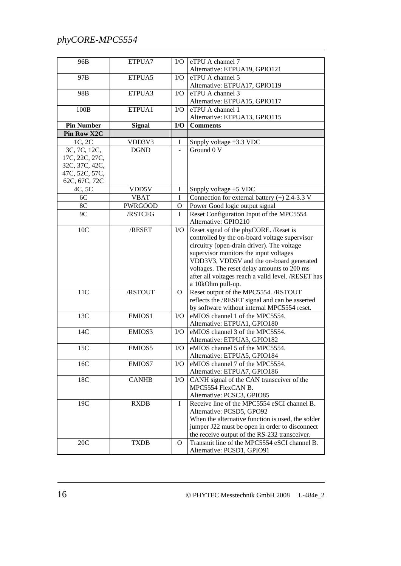| 96B               | ETPUA7         | $\rm LO$       | eTPU A channel 7                                   |
|-------------------|----------------|----------------|----------------------------------------------------|
|                   |                |                | Alternative: ETPUA19, GPIO121                      |
| 97B               | ETPUA5         | I/O            | eTPU A channel 5<br>Alternative: ETPUA17, GPIO119  |
| 98B               | ETPUA3         | I/O            | eTPU A channel 3                                   |
|                   |                |                | Alternative: ETPUA15, GPIO117                      |
| 100B              | ETPUA1         | I/O            | eTPU A channel 1                                   |
|                   |                |                | Alternative: ETPUA13, GPIO115                      |
| <b>Pin Number</b> | <b>Signal</b>  | I/O            | <b>Comments</b>                                    |
| Pin Row X2C       |                |                |                                                    |
| 1C, 2C            | VDD3V3         | I              | Supply voltage +3.3 VDC                            |
| 3C, 7C, 12C,      | <b>DGND</b>    | ÷,             | Ground 0 V                                         |
| 17C, 22C, 27C,    |                |                |                                                    |
| 32C, 37C, 42C,    |                |                |                                                    |
| 47C, 52C, 57C,    |                |                |                                                    |
| 62C, 67C, 72C     |                |                |                                                    |
| 4C, 5C            | VDD5V          | I              | Supply voltage +5 VDC                              |
| 6C                | <b>VBAT</b>    | $\overline{I}$ | Connection for external battery $(+)$ 2.4-3.3 V    |
| 8C                | <b>PWRGOOD</b> | O              | Power Good logic output signal                     |
| 9C                | /RSTCFG        | $\bf I$        | Reset Configuration Input of the MPC5554           |
|                   |                |                | Alternative: GPIO210                               |
| 10C               | /RESET         | I/O            | Reset signal of the phyCORE. /Reset is             |
|                   |                |                | controlled by the on-board voltage supervisor      |
|                   |                |                | circuitry (open-drain driver). The voltage         |
|                   |                |                | supervisor monitors the input voltages             |
|                   |                |                | VDD3V3, VDD5V and the on-board generated           |
|                   |                |                | voltages. The reset delay amounts to 200 ms        |
|                   |                |                | after all voltages reach a valid level. /RESET has |
|                   |                |                | a 10kOhm pull-up.                                  |
| 11C               | /RSTOUT        | $\mathbf{O}$   | Reset output of the MPC5554. /RSTOUT               |
|                   |                |                | reflects the /RESET signal and can be asserted     |
|                   |                |                | by software without internal MPC5554 reset.        |
| 13C               | EMIOS1         | I/O            | eMIOS channel 1 of the MPC5554.                    |
|                   |                |                | Alternative: ETPUA1, GPIO180                       |
| 14C               | EMIOS3         | I/O            | eMIOS channel 3 of the MPC5554.                    |
|                   |                |                | Alternative: ETPUA3, GPIO182                       |
| 15C               | EMIOS5         | ${\rm I/O}$    | eMIOS channel 5 of the MPC5554.                    |
|                   |                |                | Alternative: ETPUA5, GPIO184                       |
| 16C               | EMIOS7         | $\rm LO$       | eMIOS channel 7 of the MPC5554.                    |
|                   |                |                | Alternative: ETPUA7, GPIO186                       |
| 18C               | <b>CANHB</b>   | $\rm LO$       | CANH signal of the CAN transceiver of the          |
|                   |                |                | MPC5554 FlexCAN B.                                 |
|                   |                |                | Alternative: PCSC3, GPIO85                         |
| 19C               | <b>RXDB</b>    | I              | Receive line of the MPC5554 eSCI channel B.        |
|                   |                |                | Alternative: PCSD5, GPO92                          |
|                   |                |                | When the alternative function is used, the solder  |
|                   |                |                | jumper J22 must be open in order to disconnect     |
|                   |                |                | the receive output of the RS-232 transceiver.      |
| 20C               | <b>TXDB</b>    | 0              | Transmit line of the MPC5554 eSCI channel B.       |
|                   |                |                | Alternative: PCSD1, GPIO91                         |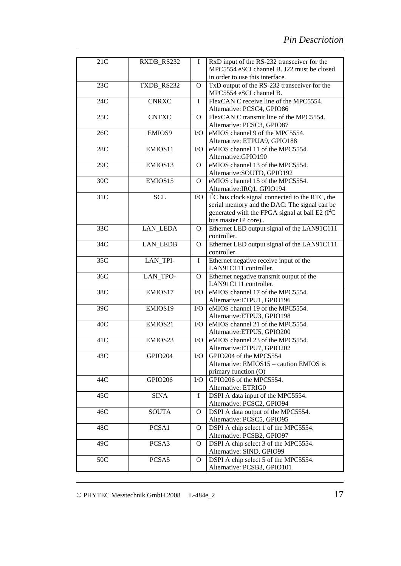| 21C             | RXDB RS232      | L            | RxD input of the RS-232 transceiver for the<br>MPC5554 eSCI channel B. J22 must be closed<br>in order to use this interface.                                                 |
|-----------------|-----------------|--------------|------------------------------------------------------------------------------------------------------------------------------------------------------------------------------|
| 23C             | TXDB_RS232      | $\Omega$     | TxD output of the RS-232 transceiver for the<br>MPC5554 eSCI channel B.                                                                                                      |
| 24C             | <b>CNRXC</b>    | I            | FlexCAN C receive line of the MPC5554.<br>Alternative: PCSC4, GPIO86                                                                                                         |
| 25C             | <b>CNTXC</b>    | $\Omega$     | FlexCAN C transmit line of the MPC5554.<br>Alternative: PCSC3, GPIO87                                                                                                        |
| 26C             | EMIOS9          | $\rm LO$     | eMIOS channel 9 of the MPC5554.<br>Alternative: ETPUA9, GPIO188                                                                                                              |
| 28C             | EMIOS11         | $\rm LO$     | eMIOS channel 11 of the MPC5554.<br>Alternative:GPIO190                                                                                                                      |
| 29C             | EMIOS13         | O            | eMIOS channel 13 of the MPC5554.<br>Alternative: SOUTD, GPIO192                                                                                                              |
| 30 <sub>C</sub> | EMIOS15         | $\Omega$     | eMIOS channel 15 of the MPC5554.<br>Alternative: IRQ1, GPIO194                                                                                                               |
| 31C             | <b>SCL</b>      | $\rm I/O$    | $I2C$ bus clock signal connected to the RTC, the<br>serial memory and the DAC: The signal can be<br>generated with the FPGA signal at ball E2 $(I2C)$<br>bus master IP core) |
| 33C             | <b>LAN LEDA</b> | O            | Ethernet LED output signal of the LAN91C111<br>controller.                                                                                                                   |
| 34C             | <b>LAN_LEDB</b> | O            | Ethernet LED output signal of the LAN91C111<br>controller.                                                                                                                   |
| 35C             | LAN_TPI-        | I            | Ethernet negative receive input of the<br>LAN91C111 controller.                                                                                                              |
| 36C             | LAN_TPO-        | O            | Ethernet negative transmit output of the<br>LAN91C111 controller.                                                                                                            |
| 38C             | EMIOS17         | $\rm LO$     | eMIOS channel 17 of the MPC5554.<br>Alternative:ETPU1, GPIO196                                                                                                               |
| 39C             | EMIOS19         | $\rm LO$     | eMIOS channel 19 of the MPC5554.<br>Alternative:ETPU3, GPIO198                                                                                                               |
| 40C             | EMIOS21         | $\rm LO$     | eMIOS channel 21 of the MPC5554.<br>Alternative:ETPU5, GPIO200                                                                                                               |
| 41C             | EMIOS23         | $\rm LO$     | eMIOS channel 23 of the MPC5554.<br>Alternative:ETPU7, GPIO202                                                                                                               |
| 43C             | GPIO204         | $\rm LO$     | GPIO204 of the MPC5554<br>Alternative: EMIOS15 – caution EMIOS is<br>primary function (O)                                                                                    |
| 44C             | GPIO206         | I/O          | GPIO206 of the MPC5554.<br>Alternative: ETRIG0                                                                                                                               |
| 45C             | <b>SINA</b>     | $\mathbf I$  | DSPI A data input of the MPC5554.<br>Alternative: PCSC2, GPIO94                                                                                                              |
| 46C             | <b>SOUTA</b>    | $\mathbf{O}$ | DSPI A data output of the MPC5554.<br>Alternative: PCSC5, GPIO95                                                                                                             |
| 48C             | PCSA1           | $\mathbf{O}$ | DSPI A chip select 1 of the MPC5554.<br>Alternative: PCSB2, GPIO97                                                                                                           |
| 49C             | PCSA3           | $\mathbf{O}$ | DSPI A chip select 3 of the MPC5554.<br>Alternative: SIND, GPIO99                                                                                                            |
| 50C             | PCSA5           | $\mathbf{O}$ | DSPI A chip select 5 of the MPC5554.<br>Alternative: PCSB3, GPIO101                                                                                                          |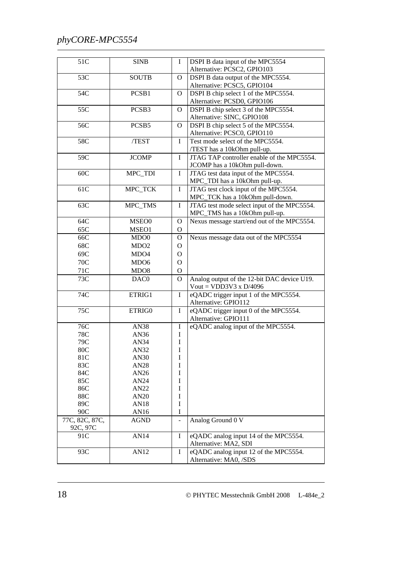| 51C              | <b>SINB</b>      | $\mathbf I$    | DSPI B data input of the MPC5554                                   |
|------------------|------------------|----------------|--------------------------------------------------------------------|
|                  |                  |                | Alternative: PCSC2, GPIO103                                        |
| 53C              | <b>SOUTB</b>     | $\overline{O}$ | DSPI B data output of the MPC5554.                                 |
|                  |                  |                | Alternative: PCSC5, GPIO104                                        |
| 54C              | PCSB1            | $\mathbf{O}$   | DSPI B chip select 1 of the MPC5554.                               |
| 55C              | PCSB3            |                | Alternative: PCSD0, GPIO106                                        |
|                  |                  | $\mathbf{O}$   | DSPI B chip select 3 of the MPC5554.<br>Alternative: SINC, GPIO108 |
| 56C              | PCSB5            | $\mathbf{O}$   | DSPI B chip select 5 of the MPC5554.                               |
|                  |                  |                | Alternative: PCSC0, GPIO110                                        |
| 58C              | /TEST            | I              | Test mode select of the MPC5554.                                   |
|                  |                  |                | /TEST has a 10kOhm pull-up.                                        |
| 59C              | <b>JCOMP</b>     | $\mathbf I$    | JTAG TAP controller enable of the MPC5554.                         |
|                  |                  |                | JCOMP has a 10kOhm pull-down.                                      |
| 60C              | MPC_TDI          | $\bf I$        | JTAG test data input of the MPC5554.                               |
|                  |                  |                | MPC_TDI has a 10kOhm pull-up.                                      |
| 61C              | MPC_TCK          | $\bf I$        | JTAG test clock input of the MPC5554.                              |
|                  |                  |                | MPC_TCK has a 10kOhm pull-down.                                    |
| 63C              | MPC_TMS          | $\mathbf I$    | JTAG test mode select input of the MPC5554.                        |
|                  |                  |                | MPC_TMS has a 10kOhm pull-up.                                      |
| 64C              | MSEO0            | $\mathbf{O}$   | Nexus message start/end out of the MPC5554.                        |
| 65C              | MSEO1            | $\mathbf{O}$   |                                                                    |
| 66C              | MDO <sub>0</sub> | $\mathbf{O}$   | Nexus message data out of the MPC5554                              |
| 68C              | MDO <sub>2</sub> | $\mathbf{O}$   |                                                                    |
| 69C              | MDO4             | $\mathbf{O}$   |                                                                    |
| 70C              | MDO <sub>6</sub> | $\mathbf{O}$   |                                                                    |
| 71C              | MDO <sub>8</sub> | $\mathbf{O}$   |                                                                    |
| 73C              | DAC0             | $\mathbf{O}$   | Analog output of the 12-bit DAC device U19.                        |
|                  |                  |                | Vout = VDD3V3 x $D/4096$                                           |
| 74C              | ETRIG1           | $\bf{I}$       | eQADC trigger input 1 of the MPC5554.                              |
|                  |                  |                | Alternative: GPIO112                                               |
| $\overline{75}C$ | ETRIG0           | I              | eQADC trigger input 0 of the MPC5554.                              |
|                  |                  |                | Alternative: GPIO111                                               |
| 76C              | <b>AN38</b>      | $\bf{I}$       | eQADC analog input of the MPC5554.                                 |
| 78C<br>79C       | AN36             | I              |                                                                    |
| 80C              | AN34<br>AN32     | I<br>I         |                                                                    |
| 81C              | AN30             | I              |                                                                    |
| 83C              | AN28             | I              |                                                                    |
| 84C              | AN26             | I              |                                                                    |
| 85C              | AN24             | I              |                                                                    |
| 86C              | AN22             | I              |                                                                    |
| 88C              | AN <sub>20</sub> | I              |                                                                    |
| 89C              | AN18             | $\bf I$        |                                                                    |
| 90C              | AN16             | I              |                                                                    |
| 77C, 82C, 87C,   | AGND             |                | Analog Ground 0 V                                                  |
| 92C, 97C         |                  |                |                                                                    |
| 91C              | AN14             | I              | eQADC analog input 14 of the MPC5554.                              |
|                  |                  |                | Alternative: MA2, SDI                                              |
| 93C              | AN12             | I              | eQADC analog input 12 of the MPC5554.                              |
|                  |                  |                | Alternative: MA0, /SDS                                             |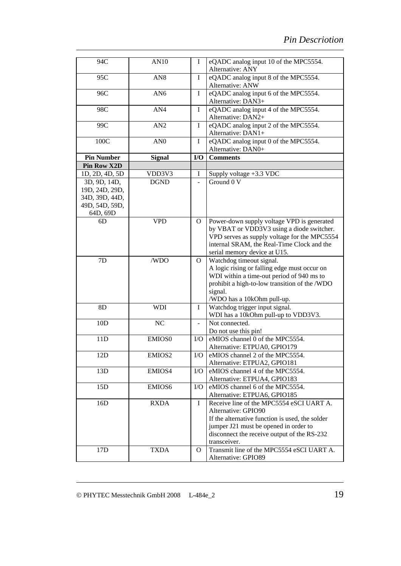| 94C                              | AN10            | I            | eQADC analog input 10 of the MPC5554.<br>Alternative: ANY                                 |
|----------------------------------|-----------------|--------------|-------------------------------------------------------------------------------------------|
| 95C                              | AN <sub>8</sub> | I            | eQADC analog input 8 of the MPC5554.<br>Alternative: ANW                                  |
| 96C                              | AN <sub>6</sub> | I            | eQADC analog input 6 of the MPC5554.                                                      |
|                                  |                 |              | Alternative: DAN3+                                                                        |
| 98C                              | AN4             | $\mathbf I$  | eQADC analog input 4 of the MPC5554.<br>Alternative: DAN2+                                |
| 99C                              | AN2             | I            | eQADC analog input 2 of the MPC5554.<br>Alternative: DAN1+                                |
| 100C                             | AN <sub>0</sub> | I            | eQADC analog input 0 of the MPC5554.<br>Alternative: DAN0+                                |
| <b>Pin Number</b>                | <b>Signal</b>   | I/O          | <b>Comments</b>                                                                           |
| <b>Pin Row X2D</b>               |                 |              |                                                                                           |
| 1D, 2D, 4D, 5D                   | VDD3V3          | I            | Supply voltage +3.3 VDC                                                                   |
| 3D, 9D, 14D,                     | <b>DGND</b>     |              | Ground 0 V                                                                                |
| 19D, 24D, 29D,<br>34D, 39D, 44D, |                 |              |                                                                                           |
| 49D, 54D, 59D,                   |                 |              |                                                                                           |
| 64D, 69D                         |                 |              |                                                                                           |
| 6D                               | <b>VPD</b>      | $\mathbf{O}$ | Power-down supply voltage VPD is generated                                                |
|                                  |                 |              | by VBAT or VDD3V3 using a diode switcher.                                                 |
|                                  |                 |              | VPD serves as supply voltage for the MPC5554                                              |
|                                  |                 |              | internal SRAM, the Real-Time Clock and the                                                |
|                                  |                 |              | serial memory device at U15.                                                              |
| 7D                               | /WDO            | O            | Watchdog timeout signal.                                                                  |
|                                  |                 |              | A logic rising or falling edge must occur on<br>WDI within a time-out period of 940 ms to |
|                                  |                 |              | prohibit a high-to-low transition of the /WDO                                             |
|                                  |                 |              | signal.                                                                                   |
|                                  |                 |              | /WDO has a 10kOhm pull-up.                                                                |
| 8D                               | <b>WDI</b>      | I            | Watchdog trigger input signal.                                                            |
|                                  |                 |              | WDI has a 10kOhm pull-up to VDD3V3.                                                       |
| 10D                              | NC              |              | Not connected.                                                                            |
|                                  |                 |              | Do not use this pin!                                                                      |
| 11D                              | EMIOS0          | $\rm LO$     | eMIOS channel 0 of the MPC5554.                                                           |
|                                  |                 |              | Alternative: ETPUA0, GPIO179                                                              |
| 12D                              | EMIOS2          | ${\rm I/O}$  | eMIOS channel 2 of the MPC5554.                                                           |
|                                  |                 |              | Alternative: ETPUA2, GPIO181                                                              |
| 13D                              | EMIOS4          | I/O          | eMIOS channel 4 of the MPC5554.                                                           |
|                                  |                 |              | Alternative: ETPUA4, GPIO183                                                              |
| 15D                              | EMIOS6          | I/O          | eMIOS channel 6 of the MPC5554.                                                           |
|                                  |                 |              | Alternative: ETPUA6, GPIO185                                                              |
| 16D                              | <b>RXDA</b>     | I            | Receive line of the MPC5554 eSCI UART A.                                                  |
|                                  |                 |              | Alternative: GPIO90                                                                       |
|                                  |                 |              | If the alternative function is used, the solder                                           |
|                                  |                 |              | jumper J21 must be opened in order to                                                     |
|                                  |                 |              | disconnect the receive output of the RS-232                                               |
|                                  |                 |              | transceiver.                                                                              |
| 17 <sub>D</sub>                  | <b>TXDA</b>     | O            | Transmit line of the MPC5554 eSCI UART A.<br>Alternative: GPIO89                          |
|                                  |                 |              |                                                                                           |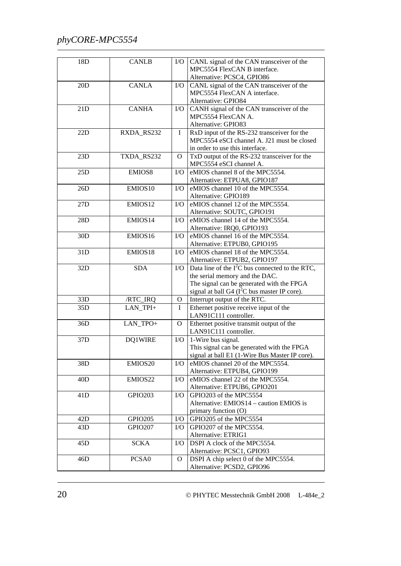| 18D             | <b>CANLB</b>        | $\rm LO$       | CANL signal of the CAN transceiver of the<br>MPC5554 FlexCAN B interface. |
|-----------------|---------------------|----------------|---------------------------------------------------------------------------|
|                 |                     |                | Alternative: PCSC4, GPIO86                                                |
| 20D             | <b>CANLA</b>        | $\rm LO$       | CANL signal of the CAN transceiver of the                                 |
|                 |                     |                | MPC5554 FlexCAN A interface.                                              |
|                 |                     |                | Alternative: GPIO84                                                       |
| 21D             | <b>CANHA</b>        | $\rm I/O$      | CANH signal of the CAN transceiver of the                                 |
|                 |                     |                | MPC5554 FlexCAN A.                                                        |
|                 |                     |                | Alternative: GPIO83                                                       |
| 22D             | RXDA_RS232          | $\mathbf I$    | RxD input of the RS-232 transceiver for the                               |
|                 |                     |                | MPC5554 eSCI channel A. J21 must be closed                                |
|                 |                     |                | in order to use this interface.                                           |
| 23D             | TXDA_RS232          | $\overline{O}$ | TxD output of the RS-232 transceiver for the                              |
|                 |                     |                | MPC5554 eSCI channel A.                                                   |
| 25D             | EMIOS8              | $\rm LO$       | eMIOS channel 8 of the MPC5554.                                           |
|                 |                     |                | Alternative: ETPUA8, GPIO187                                              |
| 26D             | EMIOS10             | $\rm LO$       | eMIOS channel 10 of the MPC5554.                                          |
|                 |                     |                | Alternative: GPIO189                                                      |
| 27D             | EMIOS12             | $\rm LO$       | eMIOS channel 12 of the MPC5554.                                          |
|                 |                     |                | Alternative: SOUTC, GPIO191                                               |
| 28D             | EMIOS14             | $\rm LO$       | eMIOS channel 14 of the MPC5554.                                          |
|                 |                     |                | Alternative: IRQ0, GPIO193                                                |
| 30 <sub>D</sub> | EMIOS16             | $\rm LO$       | eMIOS channel 16 of the MPC5554.                                          |
|                 |                     |                | Alternative: ETPUB0, GPIO195                                              |
| 31D             | EMIOS18             | $\rm LO$       | eMIOS channel 18 of the MPC5554.                                          |
|                 |                     |                | Alternative: ETPUB2, GPIO197                                              |
| 32D             | <b>SDA</b>          | $\rm LO$       | Data line of the $I2C$ bus connected to the RTC,                          |
|                 |                     |                |                                                                           |
|                 |                     |                | the serial memory and the DAC.                                            |
|                 |                     |                | The signal can be generated with the FPGA                                 |
|                 |                     |                | signal at ball G4 ( $I^2C$ bus master IP core).                           |
| 33D             | /RTC_IRQ            | 0              | Interrupt output of the RTC.                                              |
| 35D             | LAN_TPI+            | L              | Ethernet positive receive input of the                                    |
|                 |                     |                | LAN91C111 controller.                                                     |
| 36D             | LAN_TPO+            | $\overline{O}$ | Ethernet positive transmit output of the                                  |
|                 |                     |                | LAN91C111 controller.                                                     |
| 37D             | DQ1WIRE             | $\rm LO$       | 1-Wire bus signal.                                                        |
|                 |                     |                | This signal can be generated with the FPGA                                |
|                 |                     |                | signal at ball E1 (1-Wire Bus Master IP core).                            |
| 38D             | EMIOS <sub>20</sub> | $\rm LO$       | eMIOS channel 20 of the MPC5554.                                          |
|                 |                     |                | Alternative: ETPUB4, GPIO199                                              |
| 40D             | EMIOS22             | $\rm I/O$      | eMIOS channel 22 of the MPC5554.                                          |
|                 |                     |                | Alternative: ETPUB6, GPIO201                                              |
| 41D             | <b>GPIO203</b>      | $\rm LO$       | GPIO203 of the MPC5554                                                    |
|                 |                     |                | Alternative: EMIOS14 – caution EMIOS is                                   |
|                 |                     |                | primary function (O)                                                      |
| 42D             | <b>GPIO205</b>      | I/O            | GPIO205 of the MPC5554                                                    |
| 43D             | <b>GPIO207</b>      | I/O            | GPIO207 of the MPC5554.                                                   |
|                 |                     |                | Alternative: ETRIG1                                                       |
| 45D             | <b>SCKA</b>         | $\rm LO$       | DSPI A clock of the MPC5554.                                              |
|                 |                     |                | Alternative: PCSC1, GPIO93                                                |
| 46D             | PCSA0               | $\mathbf{O}$   | DSPI A chip select 0 of the MPC5554.<br>Alternative: PCSD2, GPIO96        |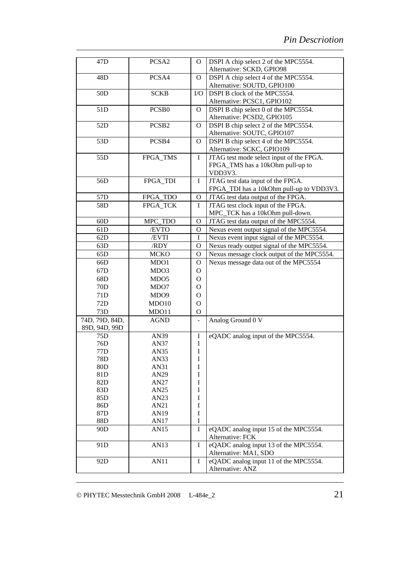| 47 <sub>D</sub> | PCSA2             | $\Omega$       | DSPI A chip select 2 of the MPC5554.                      |
|-----------------|-------------------|----------------|-----------------------------------------------------------|
|                 |                   |                | Alternative: SCKD, GPIO98                                 |
| 48D             | PCSA4             | $\mathbf{O}$   | DSPI A chip select 4 of the MPC5554.                      |
|                 |                   |                | Alternative: SOUTD, GPIO100                               |
| 50 <sub>D</sub> | <b>SCKB</b>       | I/O            | DSPI B clock of the MPC5554.                              |
|                 |                   |                | Alternative: PCSC1, GPIO102                               |
| 51D             | PCSB <sub>0</sub> | O              | DSPI B chip select 0 of the MPC5554.                      |
|                 |                   |                | Alternative: PCSD2, GPIO105                               |
| 52D             | PCSB <sub>2</sub> | $\mathbf{O}$   | DSPI B chip select 2 of the MPC5554.                      |
|                 |                   |                | Alternative: SOUTC, GPIO107                               |
| 53D             | PCSB4             | $\mathbf{O}$   | DSPI B chip select 4 of the MPC5554.                      |
|                 |                   |                | Alternative: SCKC, GPIO109                                |
| 55D             | FPGA_TMS          | $\mathbf I$    | JTAG test mode select input of the FPGA.                  |
|                 |                   |                | FPGA_TMS has a 10kOhm pull-up to                          |
|                 |                   |                | VDD3V3.                                                   |
| 56D             | FPGA_TDI          | I              | JTAG test data input of the FPGA.                         |
|                 |                   |                | FPGA_TDI has a 10kOhm pull-up to VDD3V3.                  |
| 57D             | FPGA_TDO          | $\mathbf O$    | JTAG test data output of the FPGA.                        |
| 58D             | FPGA_TCK          | Ι              | JTAG test clock input of the FPGA.                        |
|                 |                   |                | MPC_TCK has a 10kOhm pull-down.                           |
| 60D             | MPC_TDO           | $\mathbf{O}$   | JTAG test data output of the MPC5554.                     |
| 61D             | /EVTO             | O              | Nexus event output signal of the MPC5554.                 |
| 62D             | /EVTI             | $\mathbf I$    | Nexus event input signal of the MPC5554.                  |
|                 |                   |                |                                                           |
| 63D             | /RDY              | $\Omega$       | Nexus ready output signal of the MPC5554.                 |
| 65D             | <b>MCKO</b>       | O              | Nexus message clock output of the MPC5554.                |
| 66D             | MDO1              | $\mathbf{O}$   | Nexus message data out of the MPC5554                     |
| 67D             | MDO3              | $\mathbf{O}$   |                                                           |
| 68D             | MDO <sub>5</sub>  | $\mathbf{O}$   |                                                           |
| 70D             | MDO7              | $\Omega$       |                                                           |
| 71D             | MDO <sub>9</sub>  | $\mathbf{O}$   |                                                           |
| 72D             | MDO10             | $\mathbf{O}$   |                                                           |
| 73D             | MDO11             | $\mathbf O$    |                                                           |
| 74D, 79D, 84D,  | <b>AGND</b>       | $\blacksquare$ | Analog Ground 0 V                                         |
| 89D, 94D, 99D   |                   |                |                                                           |
| 75D             | AN39              | I              | eQADC analog input of the MPC5554.                        |
| 76D             | AN37              | $\mathbf I$    |                                                           |
| 77D             | AN35              | $\rm I$        |                                                           |
| 78D             | AN33              | I              |                                                           |
| 80D             | AN31              | I              |                                                           |
| 81D             | AN29              | I              |                                                           |
| 82D             | AN27              | I              |                                                           |
| 83D             | AN25              | I              |                                                           |
| 85D             | AN23              | I              |                                                           |
| 86D             | AN21              | I              |                                                           |
| 87D             | AN19              | $\rm I$        |                                                           |
| 88D             | AN17              | I              |                                                           |
| 90 <sub>D</sub> | AN15              | I              | eQADC analog input 15 of the MPC5554.<br>Alternative: FCK |
| 91D             | AN13              | I              | eQADC analog input 13 of the MPC5554.                     |
|                 |                   |                | Alternative: MA1, SDO                                     |
| 92D             | <b>AN11</b>       | I              | eQADC analog input 11 of the MPC5554.                     |
|                 |                   |                | Alternative: ANZ                                          |
|                 |                   |                |                                                           |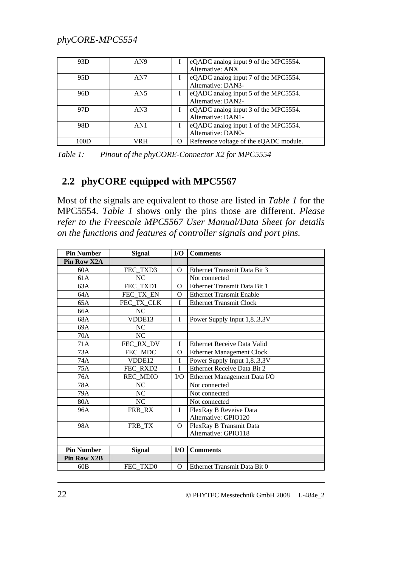<span id="page-29-0"></span>

| 93D  | AN9             |          | eQADC analog input 9 of the MPC5554.<br>Alternative: ANX   |
|------|-----------------|----------|------------------------------------------------------------|
| 95D  | AN <sub>7</sub> |          | eQADC analog input 7 of the MPC5554.<br>Alternative: DAN3- |
| 96D  | AN <sub>5</sub> |          | eQADC analog input 5 of the MPC5554.<br>Alternative: DAN2- |
| 97D  | AN3             |          | eQADC analog input 3 of the MPC5554.<br>Alternative: DAN1- |
| 98D  | AN1             |          | eQADC analog input 1 of the MPC5554.<br>Alternative: DAN0- |
| 100D | /RH             | $\Omega$ | Reference voltage of the eQADC module.                     |

<span id="page-29-1"></span>*Table 1: Pinout of the phyCORE-Connector X2 for MPC5554* 

#### **2.2 phyCORE equipped with MPC5567**

Most of the signals are equivalent to those are listed in *[Table 1](#page-29-1)* for the MPC5554. *[Table 1](#page-29-1)* shows only the pins those are different. *Please refer to the Freescale MPC5567 User Manual/Data Sheet for details on the functions and features of controller signals and port pins.* 

| <b>Pin Number</b>  | <b>Signal</b>   | I/O         | <b>Comments</b>                  |
|--------------------|-----------------|-------------|----------------------------------|
| Pin Row X2A        |                 |             |                                  |
| 60A                | FEC_TXD3        | O           | Ethernet Transmit Data Bit 3     |
| 61A                | N <sub>C</sub>  |             | Not connected                    |
| 63A                | FEC_TXD1        | $\Omega$    | Ethernet Transmit Data Bit 1     |
| 64A                | FEC_TX_EN       | $\Omega$    | <b>Ethernet Transmit Enable</b>  |
| 65A                | FEC_TX_CLK      | I           | <b>Ethernet Transmit Clock</b>   |
| 66A                | NC              |             |                                  |
| 68A                | VDDE13          | I           | Power Supply Input 1,83,3V       |
| 69A                | NC              |             |                                  |
| 70A                | NC              |             |                                  |
| 71A                | FEC_RX_DV       | T           | Ethernet Receive Data Valid      |
| 73A                | FEC MDC         | $\Omega$    | <b>Ethernet Management Clock</b> |
| 74A                | VDDE12          | I           | Power Supply Input 1,83,3V       |
| 75A                | FEC_RXD2        | I           | Ethernet Receive Data Bit 2      |
| 76A                | <b>REC_MDIO</b> | $\rm LO$    | Ethernet Management Data I/O     |
| 78A                | <b>NC</b>       |             | Not connected                    |
| 79A                | <b>NC</b>       |             | Not connected                    |
| 80A                | NC              |             | Not connected                    |
| 96A                | FRB_RX          | $\mathbf I$ | FlexRay B Reveive Data           |
|                    |                 |             | Alternative: GPIO120             |
| 98A                | FRB_TX          | $\Omega$    | FlexRay B Transmit Data          |
|                    |                 |             | Alternative: GPIO118             |
|                    |                 |             |                                  |
| <b>Pin Number</b>  | <b>Signal</b>   | I/O         | <b>Comments</b>                  |
| <b>Pin Row X2B</b> |                 |             |                                  |
| 60B                | FEC TXD0        | Ω           | Ethernet Transmit Data Bit 0     |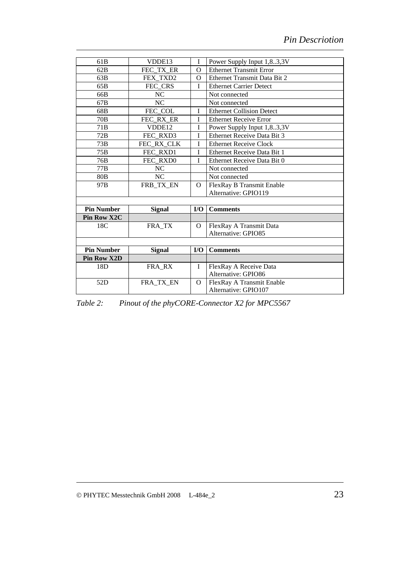<span id="page-30-0"></span>

| 61B                | VDDE13        | I                       | Power Supply Input 1,83,3V       |
|--------------------|---------------|-------------------------|----------------------------------|
| 62B                | FEC TX ER     | $\Omega$                | <b>Ethernet Transmit Error</b>   |
| 63B                | FEX TXD2      | O                       | Ethernet Transmit Data Bit 2     |
| 65B                | FEC CRS       | I                       | <b>Ethernet Carrier Detect</b>   |
| 66B                | NC            |                         | Not connected                    |
| 67 <sub>B</sub>    | NC            |                         | Not connected                    |
| 68B                | FEC_COL       | T                       | <b>Ethernet Collision Detect</b> |
| 70B                | FEC RX ER     | I                       | <b>Ethernet Receive Error</b>    |
| 71B                | VDDE12        | Ī                       | Power Supply Input 1,83,3V       |
| 72B                | FEC RXD3      | I                       | Ethernet Receive Data Bit 3      |
| 73B                | FEC RX CLK    | I                       | <b>Ethernet Receive Clock</b>    |
| 75B                | FEC RXD1      | T                       | Ethernet Receive Data Bit 1      |
| 76B                | FEC RXD0      | I                       | Ethernet Receive Data Bit 0      |
| 77B                | NC            |                         | Not connected                    |
| 80 <sub>B</sub>    | NC            |                         | Not connected                    |
| 97B                | FRB_TX_EN     | $\Omega$                | FlexRay B Transmit Enable        |
|                    |               |                         | Alternative: GPIO119             |
|                    |               |                         |                                  |
| <b>Pin Number</b>  | <b>Signal</b> | $\mathbf{I}/\mathbf{O}$ | <b>Comments</b>                  |
| <b>Pin Row X2C</b> |               |                         |                                  |
| 18C                | FRA_TX        | O                       | FlexRay A Transmit Data          |
|                    |               |                         | Alternative: GPIO85              |
|                    |               |                         |                                  |
| <b>Pin Number</b>  | <b>Signal</b> | $\mathbf{I}/\mathbf{O}$ | <b>Comments</b>                  |
| <b>Pin Row X2D</b> |               |                         |                                  |
| 18D                | FRA_RX        | I                       | FlexRay A Receive Data           |
|                    |               |                         | Alternative: GPIO86              |
| 52D                | FRA_TX_EN     | $\Omega$                | FlexRay A Transmit Enable        |
|                    |               |                         | Alternative: GPIO107             |

*Table 2: Pinout of the phyCORE-Connector X2 for MPC5567*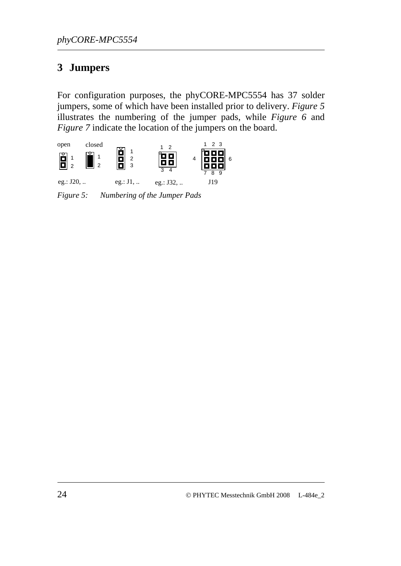# <span id="page-31-0"></span>**3 Jumpers**

For configuration purposes, the phyCORE-MPC5554 has 37 solder jumpers, some of which have been installed prior to delivery. *[Figure 5](#page-31-1)* illustrates the numbering of the jumper pads, while *[Figure 6](#page-32-1)* and *[Figure 7](#page-33-1)* indicate the location of the jumpers on the board.



<span id="page-31-1"></span>*Figure 5: Numbering of the Jumper Pads*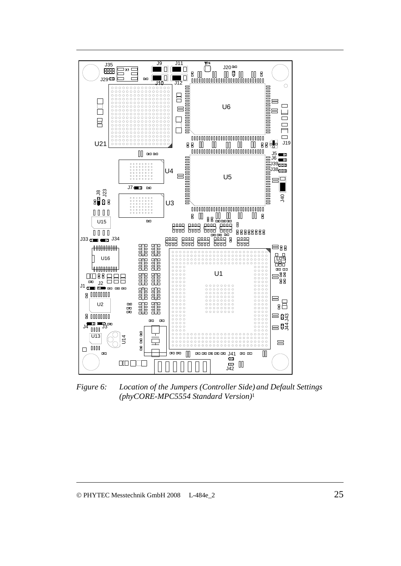<span id="page-32-0"></span>

<span id="page-32-1"></span>*Figure 6: Location of the Jumpers (Controller Side) and Default Settings (phyCORE-MPC5554 Standard Version)*<sup>1</sup>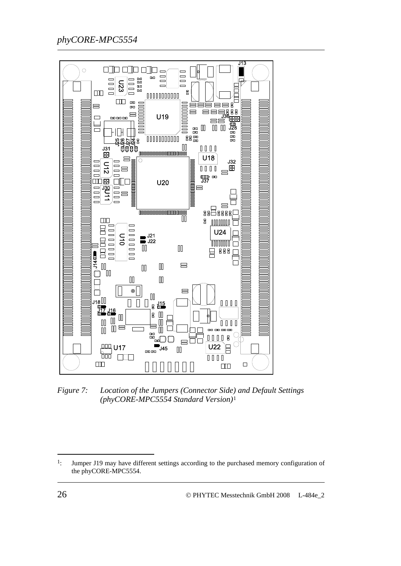<span id="page-33-0"></span>

<span id="page-33-1"></span>*Figure 7: Location of the Jumpers (Connector Side) and Default Settings (phyCORE-MPC5554 Standard Version)*[1](#page-33-2)

-

<span id="page-33-2"></span><sup>&</sup>lt;sup>1</sup>: Jumper J19 may have different settings according to the purchased memory configuration of the phyCORE-MPC5554.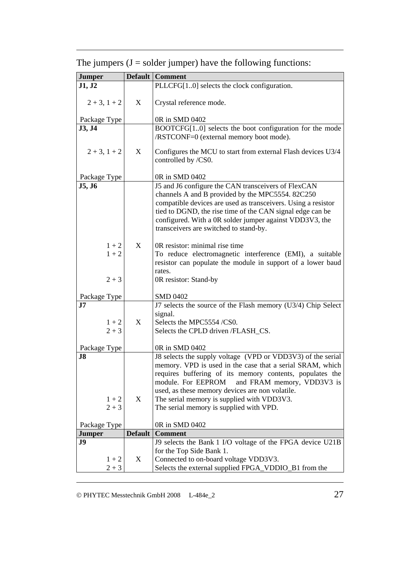| <b>Jumper</b>     |                | Default   Comment                                                                                   |
|-------------------|----------------|-----------------------------------------------------------------------------------------------------|
| J1, J2            |                | PLLCFG[10] selects the clock configuration.                                                         |
| $2 + 3$ , $1 + 2$ | X              | Crystal reference mode.                                                                             |
| Package Type      |                | 0R in SMD 0402                                                                                      |
| J3, J4            |                | BOOTCFG[10] selects the boot configuration for the mode                                             |
|                   |                | /RSTCONF=0 (external memory boot mode).                                                             |
| $2 + 3$ , $1 + 2$ | X              | Configures the MCU to start from external Flash devices U3/4<br>controlled by /CS0.                 |
| Package Type      |                | 0R in SMD 0402                                                                                      |
| J5, J6            |                | J5 and J6 configure the CAN transceivers of FlexCAN                                                 |
|                   |                | channels A and B provided by the MPC5554. 82C250                                                    |
|                   |                | compatible devices are used as transceivers. Using a resistor                                       |
|                   |                | tied to DGND, the rise time of the CAN signal edge can be                                           |
|                   |                | configured. With a 0R solder jumper against VDD3V3, the                                             |
|                   |                | transceivers are switched to stand-by.                                                              |
|                   |                |                                                                                                     |
| $1 + 2$           | X              | 0R resistor: minimal rise time                                                                      |
| $1 + 2$           |                | To reduce electromagnetic interference (EMI), a suitable                                            |
|                   |                | resistor can populate the module in support of a lower baud                                         |
|                   |                | rates.                                                                                              |
| $2 + 3$           |                | 0R resistor: Stand-by                                                                               |
| Package Type      |                | <b>SMD 0402</b>                                                                                     |
| $\mathbf{J}7$     |                | J7 selects the source of the Flash memory (U3/4) Chip Select                                        |
|                   |                | signal.                                                                                             |
| $1 + 2$           | X              | Selects the MPC5554/CS0.                                                                            |
| $2 + 3$           |                | Selects the CPLD driven /FLASH_CS.                                                                  |
|                   |                |                                                                                                     |
| Package Type      |                | 0R in SMD 0402                                                                                      |
| $J8$              |                | J8 selects the supply voltage (VPD or VDD3V3) of the serial                                         |
|                   |                | memory. VPD is used in the case that a serial SRAM, which                                           |
|                   |                | requires buffering of its memory contents, populates the                                            |
|                   |                | and FRAM memory, VDD3V3 is<br>module. For EEPROM<br>used, as these memory devices are non volatile. |
| $1 + 2$           | X              | The serial memory is supplied with VDD3V3.                                                          |
| $2 + 3$           |                | The serial memory is supplied with VPD.                                                             |
|                   |                |                                                                                                     |
| Package Type      |                | 0R in SMD 0402                                                                                      |
| <b>Jumper</b>     | <b>Default</b> | <b>Comment</b>                                                                                      |
| J <sub>9</sub>    |                | J9 selects the Bank 1 I/O voltage of the FPGA device U21B                                           |
|                   |                | for the Top Side Bank 1.                                                                            |
| $1 + 2$           | X              | Connected to on-board voltage VDD3V3.                                                               |
| $2 + 3$           |                | Selects the external supplied FPGA_VDDIO_B1 from the                                                |

The jumpers  $(J = s$ older jumper) have the following functions: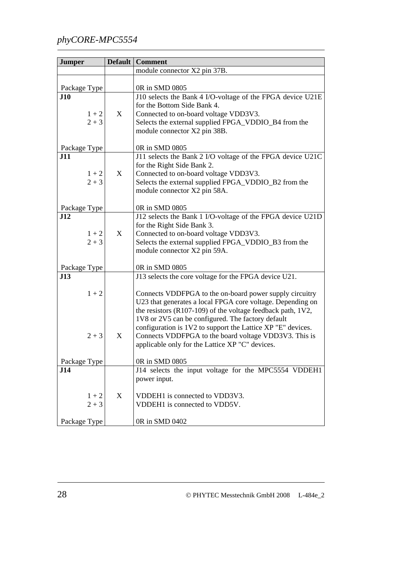| <b>Jumper</b> | Default | <b>Comment</b>                                                                                                        |
|---------------|---------|-----------------------------------------------------------------------------------------------------------------------|
|               |         | module connector X2 pin 37B.                                                                                          |
|               |         |                                                                                                                       |
| Package Type  |         | 0R in SMD 0805                                                                                                        |
| J10           |         | J10 selects the Bank 4 I/O-voltage of the FPGA device U21E                                                            |
|               |         | for the Bottom Side Bank 4.                                                                                           |
| $1 + 2$       | X       | Connected to on-board voltage VDD3V3.                                                                                 |
| $2 + 3$       |         | Selects the external supplied FPGA_VDDIO_B4 from the                                                                  |
|               |         | module connector X2 pin 38B.                                                                                          |
|               |         |                                                                                                                       |
| Package Type  |         | 0R in SMD 0805                                                                                                        |
| J11           |         | J11 selects the Bank 2 I/O voltage of the FPGA device U21C                                                            |
| $1 + 2$       | X       | for the Right Side Bank 2.                                                                                            |
| $2 + 3$       |         | Connected to on-board voltage VDD3V3.<br>Selects the external supplied FPGA_VDDIO_B2 from the                         |
|               |         | module connector X2 pin 58A.                                                                                          |
|               |         |                                                                                                                       |
| Package Type  |         | 0R in SMD 0805                                                                                                        |
| J12           |         | J12 selects the Bank 1 I/O-voltage of the FPGA device U21D                                                            |
|               |         | for the Right Side Bank 3.                                                                                            |
| $1 + 2$       | X       | Connected to on-board voltage VDD3V3.                                                                                 |
| $2 + 3$       |         | Selects the external supplied FPGA_VDDIO_B3 from the                                                                  |
|               |         | module connector X2 pin 59A.                                                                                          |
|               |         |                                                                                                                       |
| Package Type  |         | 0R in SMD 0805                                                                                                        |
| J13           |         | J13 selects the core voltage for the FPGA device U21.                                                                 |
|               |         |                                                                                                                       |
| $1 + 2$       |         | Connects VDDFPGA to the on-board power supply circuitry                                                               |
|               |         | U23 that generates a local FPGA core voltage. Depending on                                                            |
|               |         | the resistors $(R107-109)$ of the voltage feedback path, $1V2$ ,<br>1V8 or 2V5 can be configured. The factory default |
|               |         | configuration is 1V2 to support the Lattice XP "E" devices.                                                           |
| $2 + 3$       | X       | Connects VDDFPGA to the board voltage VDD3V3. This is                                                                 |
|               |         | applicable only for the Lattice XP "C" devices.                                                                       |
|               |         |                                                                                                                       |
| Package Type  |         | 0R in SMD 0805                                                                                                        |
| J14           |         | J14 selects the input voltage for the MPC5554 VDDEH1                                                                  |
|               |         | power input.                                                                                                          |
|               |         |                                                                                                                       |
| $1 + 2$       | X       | VDDEH1 is connected to VDD3V3.                                                                                        |
| $2 + 3$       |         | VDDEH1 is connected to VDD5V.                                                                                         |
|               |         |                                                                                                                       |
| Package Type  |         | 0R in SMD 0402                                                                                                        |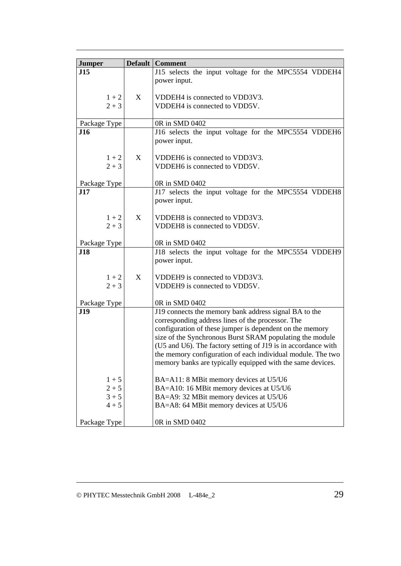| <b>Jumper</b>      |   | <b>Default   Comment</b>                                                                                                  |
|--------------------|---|---------------------------------------------------------------------------------------------------------------------------|
| J15                |   | J15 selects the input voltage for the MPC5554 VDDEH4                                                                      |
|                    |   | power input.                                                                                                              |
|                    |   |                                                                                                                           |
| $1 + 2$            | X | VDDEH4 is connected to VDD3V3.                                                                                            |
| $2 + 3$            |   | VDDEH4 is connected to VDD5V.                                                                                             |
| Package Type       |   | 0R in SMD 0402                                                                                                            |
| <b>J16</b>         |   | J16 selects the input voltage for the MPC5554 VDDEH6                                                                      |
|                    |   | power input.                                                                                                              |
|                    |   |                                                                                                                           |
| $1 + 2$<br>$2 + 3$ | X | VDDEH6 is connected to VDD3V3.<br>VDDEH6 is connected to VDD5V.                                                           |
|                    |   |                                                                                                                           |
| Package Type       |   | 0R in SMD 0402                                                                                                            |
| J17                |   | J17 selects the input voltage for the MPC5554 VDDEH8                                                                      |
|                    |   | power input.                                                                                                              |
|                    |   |                                                                                                                           |
| $1 + 2$            | X | VDDEH8 is connected to VDD3V3.                                                                                            |
| $2 + 3$            |   | VDDEH8 is connected to VDD5V.                                                                                             |
| Package Type       |   | 0R in SMD 0402                                                                                                            |
| <b>J18</b>         |   | J18 selects the input voltage for the MPC5554 VDDEH9                                                                      |
|                    |   | power input.                                                                                                              |
|                    |   |                                                                                                                           |
| $1 + 2$<br>$2 + 3$ | X | VDDEH9 is connected to VDD3V3.<br>VDDEH9 is connected to VDD5V.                                                           |
|                    |   |                                                                                                                           |
| Package Type       |   | 0R in SMD 0402                                                                                                            |
| <b>J19</b>         |   | J19 connects the memory bank address signal BA to the                                                                     |
|                    |   | corresponding address lines of the processor. The                                                                         |
|                    |   | configuration of these jumper is dependent on the memory                                                                  |
|                    |   | size of the Synchronous Burst SRAM populating the module<br>(U5 and U6). The factory setting of J19 is in accordance with |
|                    |   | the memory configuration of each individual module. The two                                                               |
|                    |   | memory banks are typically equipped with the same devices.                                                                |
|                    |   |                                                                                                                           |
| $1 + 5$            |   | BA=A11: 8 MBit memory devices at U5/U6                                                                                    |
| $2 + 5$            |   | BA=A10: 16 MBit memory devices at U5/U6                                                                                   |
| $3 + 5$<br>$4 + 5$ |   | BA=A9: 32 MBit memory devices at U5/U6<br>BA=A8: 64 MBit memory devices at U5/U6                                          |
|                    |   |                                                                                                                           |
| Package Type       |   | 0R in SMD 0402                                                                                                            |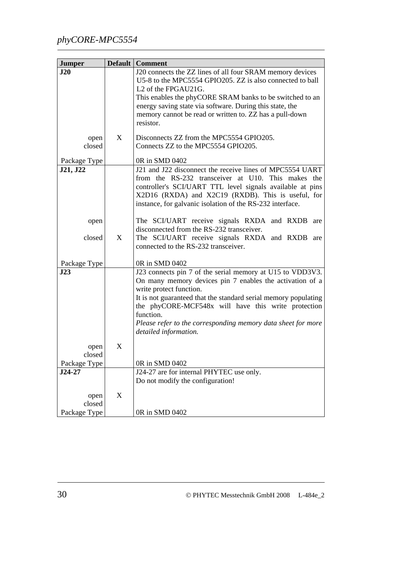| <b>Jumper</b>            |             | <b>Default   Comment</b>                                                                                               |
|--------------------------|-------------|------------------------------------------------------------------------------------------------------------------------|
| J20                      |             | J20 connects the ZZ lines of all four SRAM memory devices                                                              |
|                          |             | U5-8 to the MPC5554 GPIO205. ZZ is also connected to ball                                                              |
|                          |             | L <sub>2</sub> of the FPGAU <sub>21G</sub> .                                                                           |
|                          |             | This enables the phyCORE SRAM banks to be switched to an                                                               |
|                          |             | energy saving state via software. During this state, the                                                               |
|                          |             | memory cannot be read or written to. ZZ has a pull-down                                                                |
|                          |             | resistor.                                                                                                              |
| open                     | X           | Disconnects ZZ from the MPC5554 GPIO205.                                                                               |
| closed                   |             | Connects ZZ to the MPC5554 GPIO205.                                                                                    |
|                          |             | 0R in SMD 0402                                                                                                         |
| Package Type<br>J21, J22 |             | J21 and J22 disconnect the receive lines of MPC5554 UART                                                               |
|                          |             | from the RS-232 transceiver at U10. This makes the                                                                     |
|                          |             | controller's SCI/UART TTL level signals available at pins                                                              |
|                          |             | X2D16 (RXDA) and X2C19 (RXDB). This is useful, for                                                                     |
|                          |             | instance, for galvanic isolation of the RS-232 interface.                                                              |
|                          |             |                                                                                                                        |
| open                     |             | The SCI/UART receive signals RXDA and RXDB are                                                                         |
|                          |             | disconnected from the RS-232 transceiver.                                                                              |
| closed                   | X           | The SCI/UART receive signals RXDA and RXDB are                                                                         |
|                          |             | connected to the RS-232 transceiver.                                                                                   |
|                          |             |                                                                                                                        |
| Package Type             |             | 0R in SMD 0402                                                                                                         |
| J23                      |             | J23 connects pin 7 of the serial memory at U15 to VDD3V3.                                                              |
|                          |             | On many memory devices pin 7 enables the activation of a                                                               |
|                          |             | write protect function.                                                                                                |
|                          |             | It is not guaranteed that the standard serial memory populating<br>the phyCORE-MCF548x will have this write protection |
|                          |             | function.                                                                                                              |
|                          |             | Please refer to the corresponding memory data sheet for more                                                           |
|                          |             | detailed information.                                                                                                  |
|                          |             |                                                                                                                        |
| open                     | X           |                                                                                                                        |
| closed                   |             |                                                                                                                        |
| Package Type             |             | 0R in SMD 0402                                                                                                         |
| $J24-27$                 |             | J24-27 are for internal PHYTEC use only.                                                                               |
|                          |             | Do not modify the configuration!                                                                                       |
| open                     | $\mathbf X$ |                                                                                                                        |
| closed                   |             |                                                                                                                        |
| Package Type             |             | 0R in SMD 0402                                                                                                         |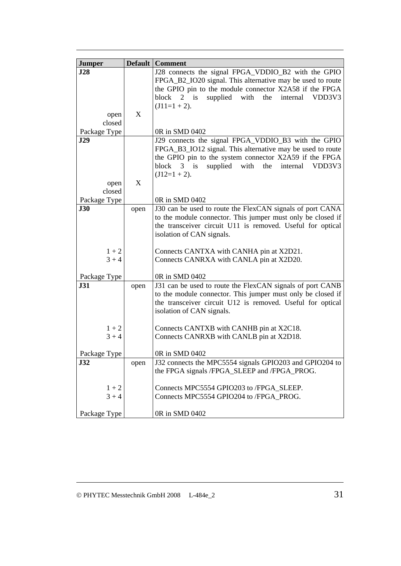|               |      | <b>Default   Comment</b>                                    |
|---------------|------|-------------------------------------------------------------|
| <b>Jumper</b> |      |                                                             |
| J28           |      | J28 connects the signal FPGA_VDDIO_B2 with the GPIO         |
|               |      | FPGA_B2_IO20 signal. This alternative may be used to route  |
|               |      | the GPIO pin to the module connector X2A58 if the FPGA      |
|               |      | block $2$ is<br>supplied with the internal<br>VDD3V3        |
|               |      | $(J11=1 + 2)$ .                                             |
| open          | X    |                                                             |
| closed        |      |                                                             |
| Package Type  |      | 0R in SMD 0402                                              |
| J29           |      | J29 connects the signal FPGA_VDDIO_B3 with the GPIO         |
|               |      | FPGA_B3_IO12 signal. This alternative may be used to route  |
|               |      | the GPIO pin to the system connector X2A59 if the FPGA      |
|               |      | supplied with the<br>block $3$ is<br>internal<br>VDD3V3     |
|               |      | $(J12=1 + 2)$ .                                             |
| open          | X    |                                                             |
| closed        |      |                                                             |
| Package Type  |      | 0R in SMD 0402                                              |
| <b>J30</b>    | open | J30 can be used to route the FlexCAN signals of port CANA   |
|               |      | to the module connector. This jumper must only be closed if |
|               |      | the transceiver circuit U11 is removed. Useful for optical  |
|               |      | isolation of CAN signals.                                   |
|               |      |                                                             |
| $1 + 2$       |      | Connects CANTXA with CANHA pin at X2D21.                    |
| $3 + 4$       |      | Connects CANRXA with CANLA pin at X2D20.                    |
|               |      |                                                             |
| Package Type  |      | 0R in SMD 0402                                              |
| <b>J31</b>    | open | J31 can be used to route the FlexCAN signals of port CANB   |
|               |      | to the module connector. This jumper must only be closed if |
|               |      | the transceiver circuit U12 is removed. Useful for optical  |
|               |      | isolation of CAN signals.                                   |
|               |      |                                                             |
| $1 + 2$       |      | Connects CANTXB with CANHB pin at X2C18.                    |
| $3 + 4$       |      | Connects CANRXB with CANLB pin at X2D18.                    |
|               |      |                                                             |
| Package Type  |      | 0R in SMD 0402                                              |
| J32           | open | J32 connects the MPC5554 signals GPIO203 and GPIO204 to     |
|               |      | the FPGA signals /FPGA_SLEEP and /FPGA_PROG.                |
|               |      |                                                             |
| $1 + 2$       |      | Connects MPC5554 GPIO203 to /FPGA_SLEEP.                    |
| $3 + 4$       |      | Connects MPC5554 GPIO204 to /FPGA_PROG.                     |
|               |      |                                                             |
| Package Type  |      | 0R in SMD 0402                                              |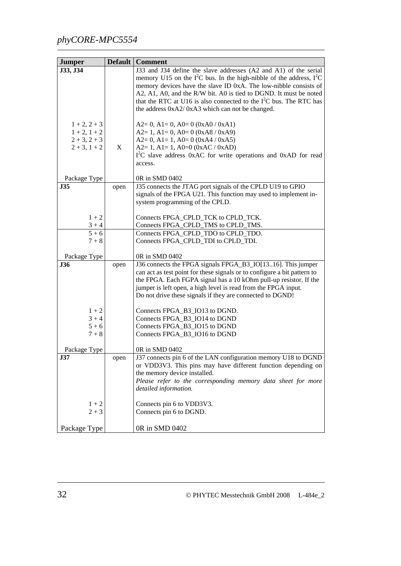| <b>Jumper</b>     |      | <b>Default   Comment</b>                                                   |
|-------------------|------|----------------------------------------------------------------------------|
| J33, J34          |      | J33 and J34 define the slave addresses (A2 and A1) of the serial           |
|                   |      | memory U15 on the $I^2C$ bus. In the high-nibble of the address, $I^2C$    |
|                   |      | memory devices have the slave ID 0xA. The low-nibble consists of           |
|                   |      | A2, A1, A0, and the R/W bit. A0 is tied to DGND. It must be noted          |
|                   |      | that the RTC at U16 is also connected to the $I2C$ bus. The RTC has        |
|                   |      | the address 0xA2/0xA3 which can not be changed.                            |
|                   |      |                                                                            |
| $1 + 2, 2 + 3$    |      | $A2=0$ , $A1=0$ , $A0=0$ (0xA0 / 0xA1)                                     |
| $1 + 2$ , $1 + 2$ |      | $A2=1$ , $A1=0$ , $A0=0$ (0xA8 / 0xA9)                                     |
| $2 + 3, 2 + 3$    |      | $A2=0$ , $A1=1$ , $A0=0$ (0xA4 / 0xA5)                                     |
| $2 + 3$ , $1 + 2$ | X    | $A2=1, A1=1, A0=0 (0xAC / 0xAD)$                                           |
|                   |      | I <sup>2</sup> C slave address 0xAC for write operations and 0xAD for read |
|                   |      | access.                                                                    |
|                   |      |                                                                            |
| Package Type      |      | 0R in SMD 0402                                                             |
| <b>J35</b>        | open | J35 connects the JTAG port signals of the CPLD U19 to GPIO                 |
|                   |      | signals of the FPGA U21. This function may used to implement in-           |
|                   |      | system programming of the CPLD.                                            |
|                   |      |                                                                            |
| $1 + 2$           |      | Connects FPGA_CPLD_TCK to CPLD_TCK.                                        |
| $3 + 4$           |      | Connects FPGA_CPLD_TMS to CPLD_TMS.                                        |
| $5 + 6$           |      | Connects FPGA CPLD TDO to CPLD TDO.                                        |
| $7 + 8$           |      | Connects FPGA CPLD TDI to CPLD TDI.                                        |
| Package Type      |      | 0R in SMD 0402                                                             |
| <b>J36</b>        | open | J36 connects the FPGA signals FPGA_B3_IO[1316]. This jumper                |
|                   |      | can act as test point for these signals or to configure a bit pattern to   |
|                   |      | the FPGA. Each FGPA signal has a 10 kOhm pull-up resistor. If the          |
|                   |      | jumper is left open, a high level is read from the FPGA input.             |
|                   |      | Do not drive these signals if they are connected to DGND!                  |
|                   |      |                                                                            |
| $1 + 2$           |      | Connects FPGA_B3_IO13 to DGND.                                             |
| $3 + 4$           |      | Connects FPGA_B3_IO14 to DGND                                              |
| $5 + 6$           |      | Connects FPGA_B3_IO15 to DGND                                              |
| $7 + 8$           |      | Connects FPGA_B3_IO16 to DGND                                              |
|                   |      |                                                                            |
| Package Type      |      | 0R in SMD 0402                                                             |
| J37               | open | J37 connects pin 6 of the LAN configuration memory U18 to DGND             |
|                   |      | or VDD3V3. This pins may have different function depending on              |
|                   |      | the memory device installed.                                               |
|                   |      | Please refer to the corresponding memory data sheet for more               |
|                   |      | detailed information.                                                      |
|                   |      |                                                                            |
| $1 + 2$           |      | Connects pin 6 to VDD3V3.                                                  |
| $2 + 3$           |      | Connects pin 6 to DGND.                                                    |
|                   |      |                                                                            |
| Package Type      |      | 0R in SMD 0402                                                             |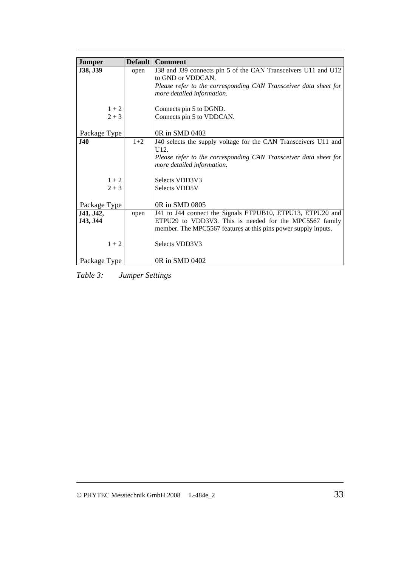| <b>Jumper</b> |       | <b>Default   Comment</b>                                         |
|---------------|-------|------------------------------------------------------------------|
| J38, J39      | open  | J38 and J39 connects pin 5 of the CAN Transceivers U11 and U12   |
|               |       | to GND or VDDCAN.                                                |
|               |       | Please refer to the corresponding CAN Transceiver data sheet for |
|               |       | more detailed information.                                       |
|               |       |                                                                  |
| $1 + 2$       |       | Connects pin 5 to DGND.                                          |
| $2 + 3$       |       | Connects pin 5 to VDDCAN.                                        |
|               |       |                                                                  |
| Package Type  |       | 0R in SMD 0402                                                   |
| <b>J40</b>    | $1+2$ | J40 selects the supply voltage for the CAN Transceivers U11 and  |
|               |       | U <sub>12</sub> .                                                |
|               |       | Please refer to the corresponding CAN Transceiver data sheet for |
|               |       | more detailed information.                                       |
|               |       |                                                                  |
| $1 + 2$       |       | Selects VDD3V3                                                   |
| $2 + 3$       |       | Selects VDD5V                                                    |
|               |       |                                                                  |
| Package Type  |       | 0R in SMD 0805                                                   |
| J41, J42,     | open  | J41 to J44 connect the Signals ETPUB10, ETPU13, ETPU20 and       |
| J43, J44      |       | ETPU29 to VDD3V3. This is needed for the MPC5567 family          |
|               |       | member. The MPC5567 features at this pins power supply inputs.   |
|               |       |                                                                  |
| $1 + 2$       |       | Selects VDD3V3                                                   |
|               |       |                                                                  |
| Package Type  |       | 0R in SMD 0402                                                   |

*Table 3: Jumper Settings*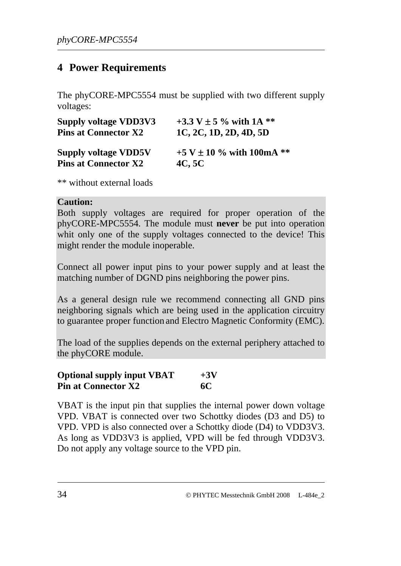## **4 Power Requirements**

The phyCORE-MPC5554 must be supplied with two different supply voltages:

| <b>Supply voltage VDD3V3</b> | +3.3 V $\pm$ 5 % with 1A **   |
|------------------------------|-------------------------------|
| <b>Pins at Connector X2</b>  | 1C, 2C, 1D, 2D, 4D, 5D        |
| <b>Supply voltage VDD5V</b>  | +5 V $\pm$ 10 % with 100mA ** |
| <b>Pins at Connector X2</b>  | 4C, 5C                        |

\*\* without external loads

#### **Caution:**

Both supply voltages are required for proper operation of the phyCORE-MPC5554. The module must **never** be put into operation whit only one of the supply voltages connected to the device! This might render the module inoperable.

Connect all power input pins to your power supply and at least the matching number of DGND pins neighboring the power pins.

As a general design rule we recommend connecting all GND pins neighboring signals which are being used in the application circuitry to guarantee proper function and Electro Magnetic Conformity (EMC).

The load of the supplies depends on the external periphery attached to the phyCORE module.

| <b>Optional supply input VBAT</b> | $+3V$ |
|-----------------------------------|-------|
| <b>Pin at Connector X2</b>        | 6C    |

VBAT is the input pin that supplies the internal power down voltage VPD. VBAT is connected over two Schottky diodes (D3 and D5) to VPD. VPD is also connected over a Schottky diode (D4) to VDD3V3. As long as VDD3V3 is applied, VPD will be fed through VDD3V3. Do not apply any voltage source to the VPD pin.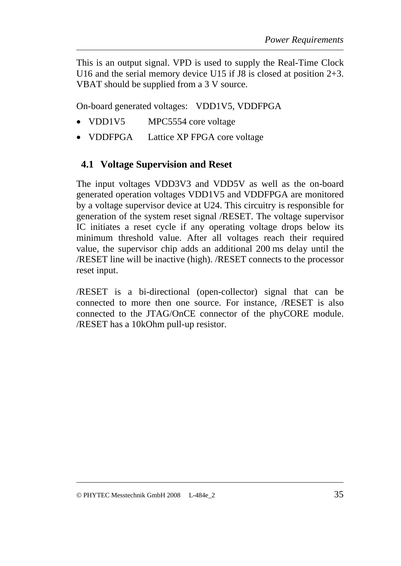This is an output signal. VPD is used to supply the Real-Time Clock U16 and the serial memory device U15 if J8 is closed at position 2+3. VBAT should be supplied from a 3 V source.

On-board generated voltages: VDD1V5, VDDFPGA

- VDD1V5 MPC5554 core voltage
- VDDFPGA Lattice XP FPGA core voltage

### **4.1 Voltage Supervision and Reset**

The input voltages VDD3V3 and VDD5V as well as the on-board generated operation voltages VDD1V5 and VDDFPGA are monitored by a voltage supervisor device at U24. This circuitry is responsible for generation of the system reset signal /RESET. The voltage supervisor IC initiates a reset cycle if any operating voltage drops below its minimum threshold value. After all voltages reach their required value, the supervisor chip adds an additional 200 ms delay until the /RESET line will be inactive (high). /RESET connects to the processor reset input.

/RESET is a bi-directional (open-collector) signal that can be connected to more then one source. For instance, /RESET is also connected to the JTAG/OnCE connector of the phyCORE module. /RESET has a 10kOhm pull-up resistor.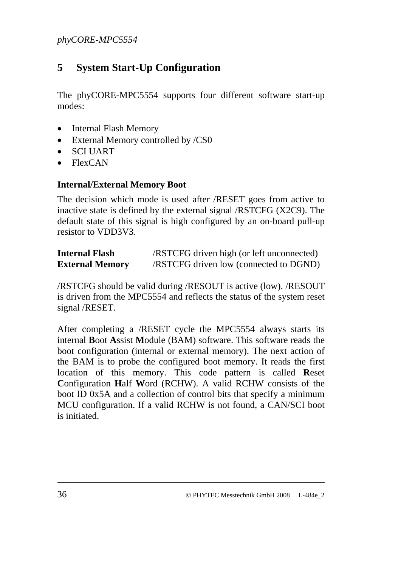# **5 System Start-Up Configuration**

The phyCORE-MPC5554 supports four different software start-up modes:

- Internal Flash Memory
- External Memory controlled by /CS0
- SCI UART
- FlexCAN

#### **Internal/External Memory Boot**

The decision which mode is used after /RESET goes from active to inactive state is defined by the external signal /RSTCFG (X2C9). The default state of this signal is high configured by an on-board pull-up resistor to VDD3V3.

| <b>Internal Flash</b>  | /RSTCFG driven high (or left unconnected)     |
|------------------------|-----------------------------------------------|
| <b>External Memory</b> | <b>/RSTCFG</b> driven low (connected to DGND) |

/RSTCFG should be valid during /RESOUT is active (low). /RESOUT is driven from the MPC5554 and reflects the status of the system reset signal /RESET.

After completing a /RESET cycle the MPC5554 always starts its internal **B**oot **A**ssist **M**odule (BAM) software. This software reads the boot configuration (internal or external memory). The next action of the BAM is to probe the configured boot memory. It reads the first location of this memory. This code pattern is called **R**eset **C**onfiguration **H**alf **W**ord (RCHW). A valid RCHW consists of the boot ID 0x5A and a collection of control bits that specify a minimum MCU configuration. If a valid RCHW is not found, a CAN/SCI boot is initiated.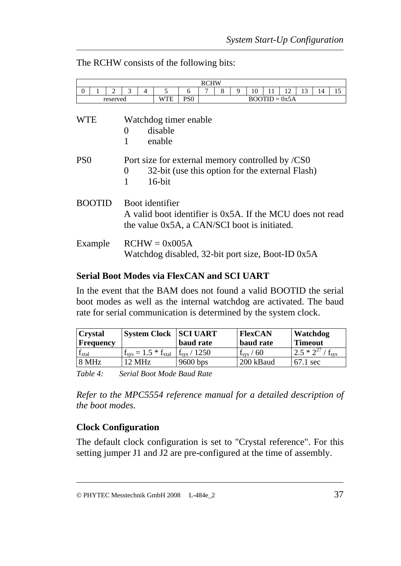The RCHW consists of the following bits:

|                 |               |                             |                       |   |                                                                                                                              |                 | <b>RCHW</b> |   |   |    |                 |    |    |    |    |
|-----------------|---------------|-----------------------------|-----------------------|---|------------------------------------------------------------------------------------------------------------------------------|-----------------|-------------|---|---|----|-----------------|----|----|----|----|
| $\theta$        |               | $\mathcal{D}_{\mathcal{L}}$ | 3                     | 4 | 5                                                                                                                            | 6               |             | 8 | 9 | 10 | 11              | 12 | 13 | 14 | 15 |
|                 |               | reserved                    |                       |   | WTE                                                                                                                          | PS <sub>0</sub> |             |   |   |    | $BOOTID = 0x5A$ |    |    |    |    |
| WTE             |               |                             | $\left( \right)$<br>1 |   | Watchdog timer enable<br>disable<br>enable                                                                                   |                 |             |   |   |    |                 |    |    |    |    |
| PS <sub>0</sub> |               |                             | $\overline{0}$<br>1   |   | Port size for external memory controlled by /CS0<br>32-bit (use this option for the external Flash)<br>$16$ -bit             |                 |             |   |   |    |                 |    |    |    |    |
|                 | <b>ROOTID</b> |                             |                       |   | Boot identifier<br>A valid boot identifier is 0x5A. If the MCU does not read<br>the value 0x5A, a CAN/SCI boot is initiated. |                 |             |   |   |    |                 |    |    |    |    |
|                 | Example       |                             |                       |   | $RCHW = 0x005A$<br>Watchdog disabled, 32-bit port size, Boot-ID 0x5A                                                         |                 |             |   |   |    |                 |    |    |    |    |

#### **Serial Boot Modes via FlexCAN and SCI UART**

In the event that the BAM does not found a valid BOOTID the serial boot modes as well as the internal watchdog are activated. The baud rate for serial communication is determined by the system clock.

| <b>Crystal</b><br> Frequency | <b>System Clock SCI UART</b>       | baud rate            | <b>FlexCAN</b><br>baud rate | Watchdog<br><b>Timeout</b> |
|------------------------------|------------------------------------|----------------------|-----------------------------|----------------------------|
| 1 xtal                       | $f_{\rm sys} = 1.5 * f_{\rm xtal}$ | $f_{\rm sys}$ / 1250 | $\rm f_{\rm sys}$ / 60      | $2.5 * 2^{27}$             |
| 8 MHz                        | $12 \text{ MHz}$                   | $9600$ bps           | 200 kBaud                   | $67.1 \text{ sec}$         |

*Table 4: Serial Boot Mode Baud Rate* 

*Refer to the MPC5554 reference manual for a detailed description of the boot modes.* 

### **Clock Configuration**

The default clock configuration is set to "Crystal reference". For this setting jumper J1 and J2 are pre-configured at the time of assembly.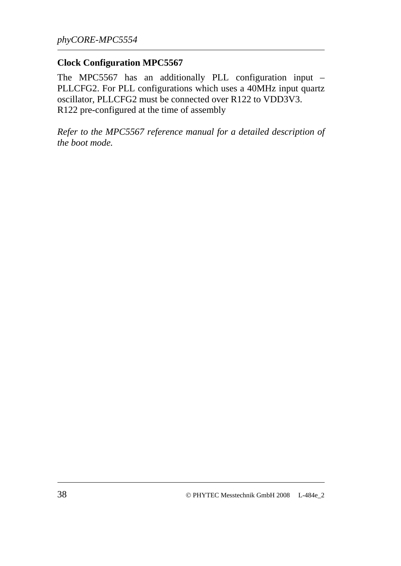#### **Clock Configuration MPC5567**

The MPC5567 has an additionally PLL configuration input – PLLCFG2. For PLL configurations which uses a 40MHz input quartz oscillator, PLLCFG2 must be connected over R122 to VDD3V3. R122 pre-configured at the time of assembly

*Refer to the MPC5567 reference manual for a detailed description of the boot mode.*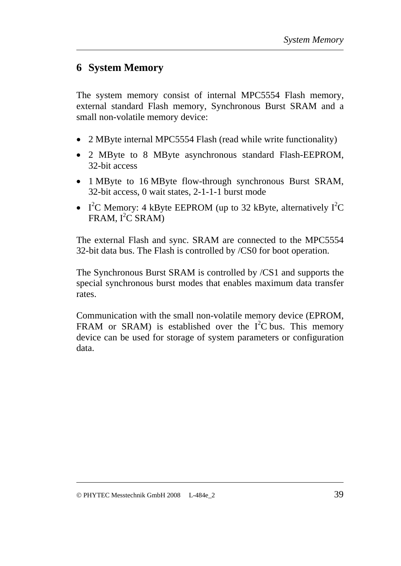## **6 System Memory**

The system memory consist of internal MPC5554 Flash memory, external standard Flash memory, Synchronous Burst SRAM and a small non-volatile memory device:

- 2 MByte internal MPC5554 Flash (read while write functionality)
- 2 MByte to 8 MByte asynchronous standard Flash-EEPROM, 32-bit access
- 1 MByte to 16 MByte flow-through synchronous Burst SRAM, 32-bit access, 0 wait states, 2-1-1-1 burst mode
- I<sup>2</sup>C Memory: 4 kByte EEPROM (up to 32 kByte, alternatively  $I^2C$  $FRAM, I<sup>2</sup>C SRAM)$

The external Flash and sync. SRAM are connected to the MPC5554 32-bit data bus. The Flash is controlled by /CS0 for boot operation.

The Synchronous Burst SRAM is controlled by /CS1 and supports the special synchronous burst modes that enables maximum data transfer rates.

Communication with the small non-volatile memory device (EPROM, FRAM or SRAM) is established over the  $I^2C$  bus. This memory device can be used for storage of system parameters or configuration data.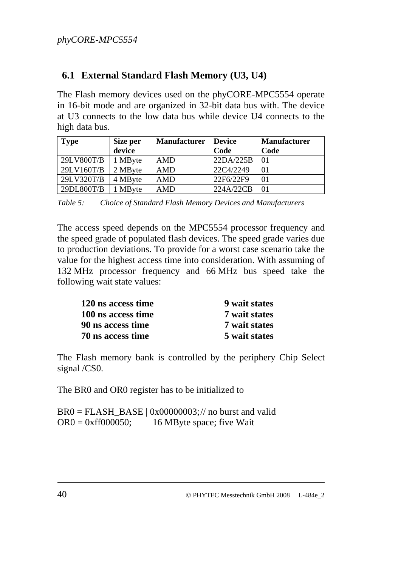## **6.1 External Standard Flash Memory (U3, U4)**

The Flash memory devices used on the phyCORE-MPC5554 operate in 16-bit mode and are organized in 32-bit data bus with. The device at U3 connects to the low data bus while device U4 connects to the high data bus.

| <b>Type</b> | Size per      | <b>Manufacturer</b> | <b>Device</b> | <b>Manufacturer</b> |
|-------------|---------------|---------------------|---------------|---------------------|
|             | device        |                     | Code          | Code                |
| 29LV800T/B  | 1 MByte       | AMD                 | 22DA/225B     | 01                  |
| 29LV160T/B  | 2 MByte       | AMD                 | 22C4/2249     | 01                  |
| 29LV320T/B  | 4 MByte       | <b>AMD</b>          | 22F6/22F9     | 01                  |
| 29DL800T/B  | <b>MB</b> yte | <b>AMD</b>          | 224A/22CB     | 01                  |

*Table 5: Choice of Standard Flash Memory Devices and Manufacturers* 

The access speed depends on the MPC5554 processor frequency and the speed grade of populated flash devices. The speed grade varies due to production deviations. To provide for a worst case scenario take the value for the highest access time into consideration. With assuming of 132 MHz processor frequency and 66 MHz bus speed take the following wait state values:

| 120 ns access time | 9 wait states |
|--------------------|---------------|
| 100 ns access time | 7 wait states |
| 90 ns access time  | 7 wait states |
| 70 ns access time  | 5 wait states |

The Flash memory bank is controlled by the periphery Chip Select signal /CS0.

The BR0 and OR0 register has to be initialized to

 $BRO = FLASH$   $BASE | 0x0000003; //$  no burst and valid  $OR0 = 0$ xff $000050$ ; 16 MByte space; five Wait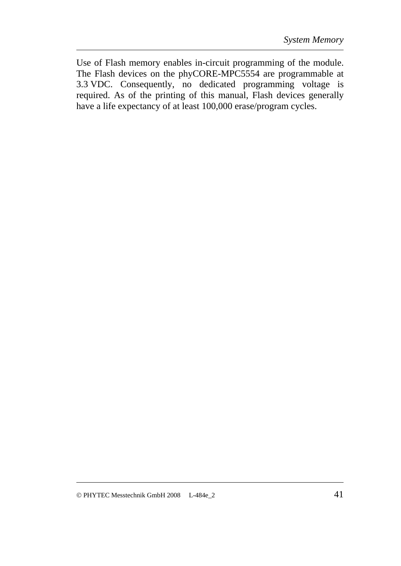Use of Flash memory enables in-circuit programming of the module. The Flash devices on the phyCORE-MPC5554 are programmable at 3.3 VDC. Consequently, no dedicated programming voltage is required. As of the printing of this manual, Flash devices generally have a life expectancy of at least 100,000 erase/program cycles.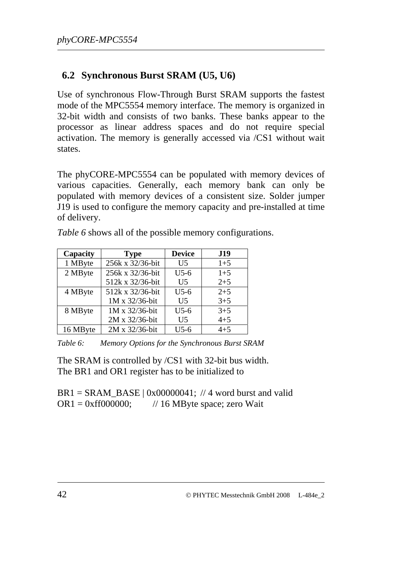## **6.2 Synchronous Burst SRAM (U5, U6)**

Use of synchronous Flow-Through Burst SRAM supports the fastest mode of the MPC5554 memory interface. The memory is organized in 32-bit width and consists of two banks. These banks appear to the processor as linear address spaces and do not require special activation. The memory is generally accessed via /CS1 without wait states.

The phyCORE-MPC5554 can be populated with memory devices of various capacities. Generally, each memory bank can only be populated with memory devices of a consistent size. Solder jumper J19 is used to configure the memory capacity and pre-installed at time of delivery.

| Capacity | <b>Type</b>      | <b>Device</b>  | <b>J19</b> |
|----------|------------------|----------------|------------|
| 1 MByte  | 256k x 32/36-bit | U <sub>5</sub> | $1+5$      |
| 2 MByte  | 256k x 32/36-bit | $U$ 5-6        | $1+5$      |
|          | 512k x 32/36-bit | U <sub>5</sub> | $2 + 5$    |
| 4 MByte  | 512k x 32/36-bit | $U$ 5-6        | $2 + 5$    |
|          | 1M x 32/36-bit   | U <sub>5</sub> | $3 + 5$    |
| 8 MByte  | 1M x 32/36-bit   | $U$ 5-6        | $3 + 5$    |
|          | 2M x 32/36-bit   | U <sub>5</sub> | $4 + 5$    |
| 16 MByte | 2M x 32/36-bit   | $U$ 5-6        | $4 + 5$    |

*[Table 6](#page-49-0)* shows all of the possible memory configurations.

<span id="page-49-0"></span>*Table 6: Memory Options for the Synchronous Burst SRAM* 

The SRAM is controlled by /CS1 with 32-bit bus width. The BR1 and OR1 register has to be initialized to

 $BR1 = SRAM$  BASE | 0x00000041; // 4 word burst and valid  $OR1 = 0$ xff000000; // 16 MByte space; zero Wait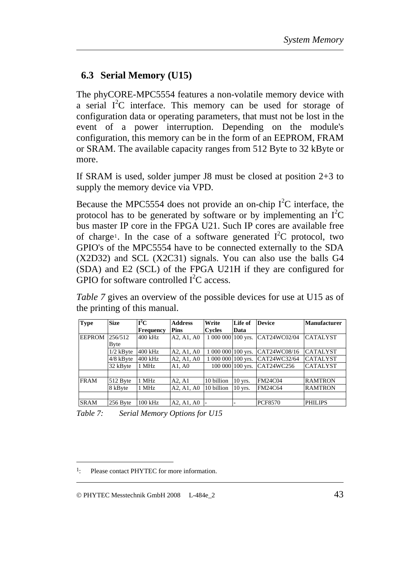## **6.3 Serial Memory (U15)**

<span id="page-50-2"></span>The phyCORE-MPC5554 features a non-volatile memory device with a serial  $I^2C$  interface. This memory can be used for storage of configuration data or operating parameters, that must not be lost in the event of a power interruption. Depending on the module's configuration, this memory can be in the form of an EEPROM, FRAM or SRAM. The available capacity ranges from 512 Byte to 32 kByte or more.

If SRAM is used, solder jumper J8 must be closed at position 2+3 to supply the memory device via VPD.

Because the MPC5554 does not provide an on-chip  $I^2C$  interface, the protocol has to be generated by software or by implementing an  $I^2C$ bus master IP core in the FPGA U21. Such IP cores are available free of charge<sup>[1](#page-50-0)</sup>. In the case of a software generated  $I^2C$  protocol, two GPIO's of the MPC5554 have to be connected externally to the SDA (X2D32) and SCL (X2C31) signals. You can also use the balls G4 (SDA) and E2 (SCL) of the FPGA U21H if they are configured for GPIO for software controlled  $I^2C$  access.

*[Table 7](#page-50-1)* gives an overview of the possible devices for use at U15 as of the printing of this manual.

| <b>Type</b>   | <b>Size</b> | $\mathbf{I}^2\mathbf{C}$ | <b>Address</b> | Write              | Life of          | <b>Device</b>  | Manufacturer    |
|---------------|-------------|--------------------------|----------------|--------------------|------------------|----------------|-----------------|
|               |             | Frequency                | <b>Pins</b>    | <b>Cycles</b>      | Data             |                |                 |
| <b>EEPROM</b> | 256/512     | $400$ kHz                | A2, A1, A0     | 1 000 000 100 yrs. |                  | CAT24WC02/04   | <b>CATALYST</b> |
|               | Byte        |                          |                |                    |                  |                |                 |
|               | $1/2$ kByte | 400 kHz                  | A2, A1, A0     | 1 000 000 100 yrs. |                  | CAT24WC08/16   | <b>CATALYST</b> |
|               | $4/8$ kByte | 400 kHz                  | A2, A1, A0     | 1 000 000 100 yrs. |                  | CAT24WC32/64   | <b>CATALYST</b> |
|               | 32 kByte    | 1 MHz                    | A1, A0         |                    | 100 000 100 yrs. | CAT24WC256     | <b>CATALYST</b> |
|               |             |                          |                |                    |                  |                |                 |
| <b>FRAM</b>   | 512 Byte    | 1 MHz                    | A2, A1         | 10 billion         | $10$ yrs.        | <b>FM24C04</b> | <b>RAMTRON</b>  |
|               | 8 kByte     | 1 MHz                    | A2, A1, A0     | 10 billion         | $10$ yrs.        | <b>FM24C64</b> | <b>RAMTRON</b>  |
|               |             |                          |                |                    |                  |                |                 |
| <b>SRAM</b>   | 256 Byte    | $100$ kHz                | A2, A1, A0     |                    |                  | <b>PCF8570</b> | <b>PHILIPS</b>  |

<span id="page-50-1"></span>*Table 7: Serial Memory Options for U15* 

 $\overline{a}$ 

<span id="page-50-0"></span><sup>&</sup>lt;sup>1</sup>: Please contact PHYTEC for more information.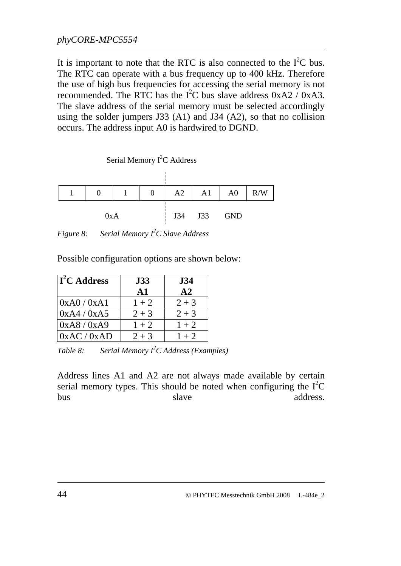It is important to note that the RTC is also connected to the  $I<sup>2</sup>C$  bus. The RTC can operate with a bus frequency up to 400 kHz. Therefore the use of high bus frequencies for accessing the serial memory is not recommended. The RTC has the  $I^2C$  bus slave address  $0xA2 / 0xA3$ . The slave address of the serial memory must be selected accordingly using the solder jumpers J33 (A1) and J34 (A2), so that no collision occurs. The address input A0 is hardwired to DGND.



*Figure 8: Serial Memory I<sup>2</sup> C Slave Address* 

Possible configuration options are shown below:

| $\Gamma^2$ C Address | <b>J33</b>    | <b>J34</b> |
|----------------------|---------------|------------|
|                      | $\mathbf{A1}$ | A2         |
| 0xA0/0xA1            | $1 + 2$       | $2 + 3$    |
| 0xA4/0xA5            | $2 + 3$       | $2 + 3$    |
| 0xA8/0xA9            | $1 + 2$       | $1 + 2$    |
| 0xAC / 0xAD          | $2 + 3$       | $1 + 2$    |

*Table 8: Serial Memory I<sup>2</sup> C Address (Examples)* 

Address lines A1 and A2 are not always made available by certain serial memory types. This should be noted when configuring the  $I<sup>2</sup>C$ bus slave address.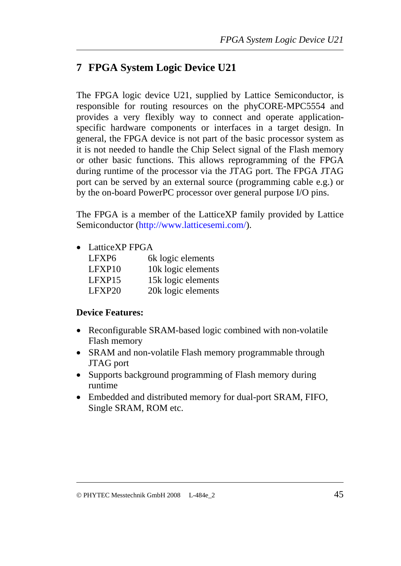# **7 FPGA System Logic Device U21**

The FPGA logic device U21, supplied by Lattice Semiconductor, is responsible for routing resources on the phyCORE-MPC5554 and provides a very flexibly way to connect and operate applicationspecific hardware components or interfaces in a target design. In general, the FPGA device is not part of the basic processor system as it is not needed to handle the Chip Select signal of the Flash memory or other basic functions. This allows reprogramming of the FPGA during runtime of the processor via the JTAG port. The FPGA JTAG port can be served by an external source (programming cable e.g.) or by the on-board PowerPC processor over general purpose I/O pins.

The FPGA is a member of the LatticeXP family provided by Lattice Semiconductor [\(http://www.latticesemi.com/\)](http://www.latticesemi.com/).

• LatticeXP FPGA

| LFXP <sub>6</sub> | 6k logic elements  |
|-------------------|--------------------|
| LFXP10            | 10k logic elements |
| LFXP15            | 15k logic elements |
| $L$ FXP20         | 20k logic elements |

### **Device Features:**

- Reconfigurable SRAM-based logic combined with non-volatile Flash memory
- SRAM and non-volatile Flash memory programmable through JTAG port
- Supports background programming of Flash memory during runtime
- Embedded and distributed memory for dual-port SRAM, FIFO, Single SRAM, ROM etc.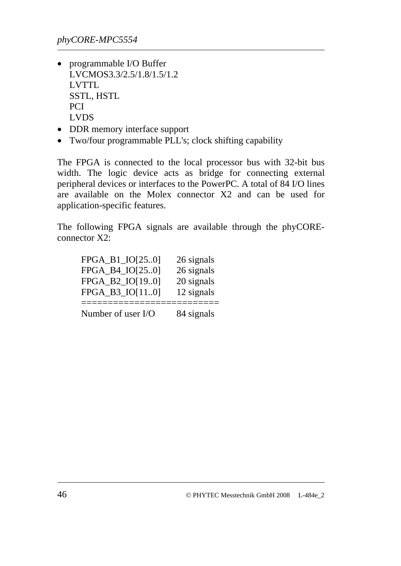- programmable I/O Buffer LVCMOS3.3/2.5/1.8/1.5/1.2 LVTTL SSTL, HSTL PCI LVDS
- DDR memory interface support
- Two/four programmable PLL's; clock shifting capability

The FPGA is connected to the local processor bus with 32-bit bus width. The logic device acts as bridge for connecting external peripheral devices or interfaces to the PowerPC. A total of 84 I/O lines are available on the Molex connector X2 and can be used for application-specific features.

The following FPGA signals are available through the phyCOREconnector X2:

| FPGA B4 IO[250]    | 26 signals |
|--------------------|------------|
| FPGA B2 IO[190]    | 20 signals |
| FPGA_B3_IO[110]    | 12 signals |
| Number of user I/O | 84 signals |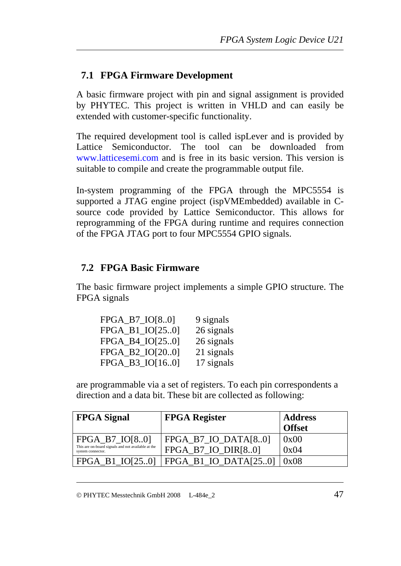## **7.1 FPGA Firmware Development**

A basic firmware project with pin and signal assignment is provided by PHYTEC. This project is written in VHLD and can easily be extended with customer-specific functionality.

The required development tool is called ispLever and is provided by Lattice Semiconductor. The tool can be downloaded from [www.latticesemi.com](http://www.latticesemi.com/) and is free in its basic version. This version is suitable to compile and create the programmable output file.

In-system programming of the FPGA through the MPC5554 is supported a JTAG engine project (ispVMEmbedded) available in Csource code provided by Lattice Semiconductor. This allows for reprogramming of the FPGA during runtime and requires connection of the FPGA JTAG port to four MPC5554 GPIO signals.

## **7.2 FPGA Basic Firmware**

The basic firmware project implements a simple GPIO structure. The FPGA signals

| $FPGA_B7_O[08.0]$ | 9 signals  |
|-------------------|------------|
| FPGA_B1_IO[250]   | 26 signals |
| FPGA_B4_IO[250]   | 26 signals |
| FPGA_B2_IO[200]   | 21 signals |
| FPGA_B3_IO[160]   | 17 signals |

are programmable via a set of registers. To each pin correspondents a direction and a data bit. These bit are collected as following:

| <b>FPGA Signal</b>                                                                           | <b>FPGA Register</b>                          | <b>Address</b><br><b>Offset</b> |
|----------------------------------------------------------------------------------------------|-----------------------------------------------|---------------------------------|
| $FPGA_B7_O[08.0]$<br>This are on-board signals and not available at the<br>system connector. | FPGA B7 IO DATA $[8.0]$<br>FPGA_B7_IO_DIR[80] | 0x00<br>0x04                    |
| $FPGA$ B1 $IO[250]$                                                                          | FPGA B1 IO DATA $[250]$                       | 0x08                            |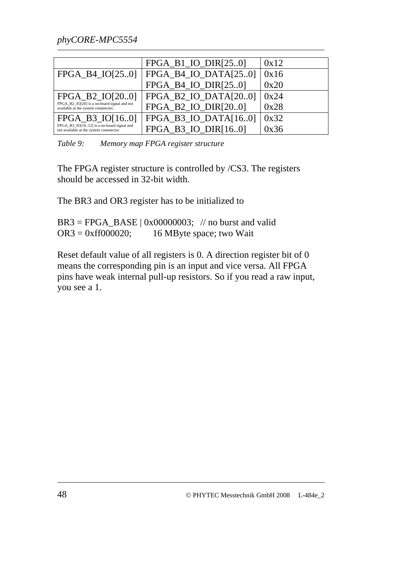|                                                                                      | FPGA B1 IO DIR[250]      | 0x12 |
|--------------------------------------------------------------------------------------|--------------------------|------|
| FPGA B4 IO[250]                                                                      | FPGA B4 IO DATA $[250]$  | 0x16 |
|                                                                                      | FPGA_B4_IO_DIR[250]      | 0x20 |
| FPGA B2 IO[200]                                                                      | FPGA B2 IO DATA $[200]$  | 0x24 |
| FPGA B2 IO[20] is a on-board signal and not<br>available at the system connnector.   | FPGA B2 IO DIR[200]      | 0x28 |
| FPGA B3 IO[160]                                                                      | FPGA B3 IO DATA $[16.0]$ | 0x32 |
| FPGA_B3_IO[1612] is a on-board signal and<br>not available at the system connnector. | FPGA B3 IO DIR[160]      | 0x36 |

*Table 9: Memory map FPGA register structure* 

The FPGA register structure is controlled by /CS3. The registers should be accessed in 32-bit width.

The BR3 and OR3 register has to be initialized to

 $BR3 = FPGA_BASE \mid 0x00000003; \text{ // no burst and valid}$  $OR3 = 0$ xff000020; 16 MByte space; two Wait

Reset default value of all registers is 0. A direction register bit of 0 means the corresponding pin is an input and vice versa. All FPGA pins have weak internal pull-up resistors. So if you read a raw input, you see a 1.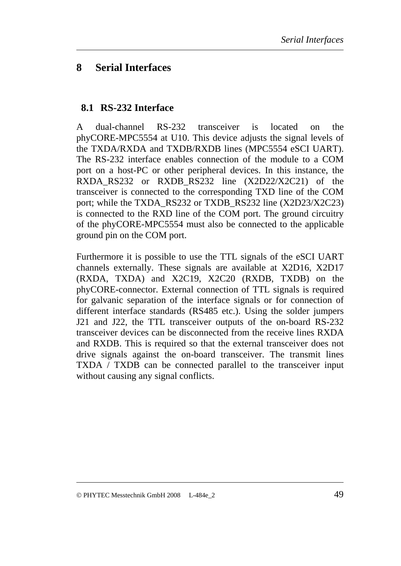## **8 Serial Interfaces**

### **8.1 RS-232 Interface**

A dual-channel RS-232 transceiver is located on the phyCORE-MPC5554 at U10. This device adjusts the signal levels of the TXDA/RXDA and TXDB/RXDB lines (MPC5554 eSCI UART). The RS-232 interface enables connection of the module to a COM port on a host-PC or other peripheral devices. In this instance, the RXDA\_RS232 or RXDB\_RS232 line (X2D22/X2C21) of the transceiver is connected to the corresponding TXD line of the COM port; while the TXDA\_RS232 or TXDB\_RS232 line (X2D23/X2C23) is connected to the RXD line of the COM port. The ground circuitry of the phyCORE-MPC5554 must also be connected to the applicable ground pin on the COM port.

Furthermore it is possible to use the TTL signals of the eSCI UART channels externally. These signals are available at X2D16, X2D17 (RXDA, TXDA) and X2C19, X2C20 (RXDB, TXDB) on the phyCORE-connector. External connection of TTL signals is required for galvanic separation of the interface signals or for connection of different interface standards (RS485 etc.). Using the solder jumpers J21 and J22, the TTL transceiver outputs of the on-board RS-232 transceiver devices can be disconnected from the receive lines RXDA and RXDB. This is required so that the external transceiver does not drive signals against the on-board transceiver. The transmit lines TXDA / TXDB can be connected parallel to the transceiver input without causing any signal conflicts.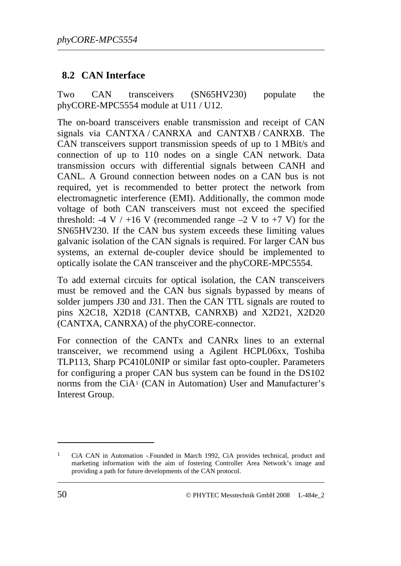### **8.2 CAN Interface**

Two CAN transceivers (SN65HV230) populate the phyCORE-MPC5554 module at U11 / U12.

The on-board transceivers enable transmission and receipt of CAN signals via CANTXA / CANRXA and CANTXB / CANRXB. The CAN transceivers support transmission speeds of up to 1 MBit/s and connection of up to 110 nodes on a single CAN network. Data transmission occurs with differential signals between CANH and CANL. A Ground connection between nodes on a CAN bus is not required, yet is recommended to better protect the network from electromagnetic interference (EMI). Additionally, the common mode voltage of both CAN transceivers must not exceed the specified threshold: -4 V / +16 V (recommended range  $-2$  V to +7 V) for the SN65HV230. If the CAN bus system exceeds these limiting values galvanic isolation of the CAN signals is required. For larger CAN bus systems, an external de-coupler device should be implemented to optically isolate the CAN transceiver and the phyCORE-MPC5554.

To add external circuits for optical isolation, the CAN transceivers must be removed and the CAN bus signals bypassed by means of solder jumpers J30 and J31. Then the CAN TTL signals are routed to pins X2C18, X2D18 (CANTXB, CANRXB) and X2D21, X2D20 (CANTXA, CANRXA) of the phyCORE-connector.

For connection of the CANTx and CANRx lines to an external transceiver, we recommend using a Agilent HCPL06xx, Toshiba TLP113, Sharp PC410L0NIP or similar fast opto-coupler. Parameters for configuring a proper CAN bus system can be found in the DS102 norms from the CiA[1](#page-57-0) (CAN in Automation) User and Manufacturer's Interest Group.

<u>.</u>

<span id="page-57-0"></span><sup>1</sup> CiA CAN in Automation -.Founded in March 1992, CiA provides technical, product and marketing information with the aim of fostering Controller Area Network's image and providing a path for future developments of the CAN protocol.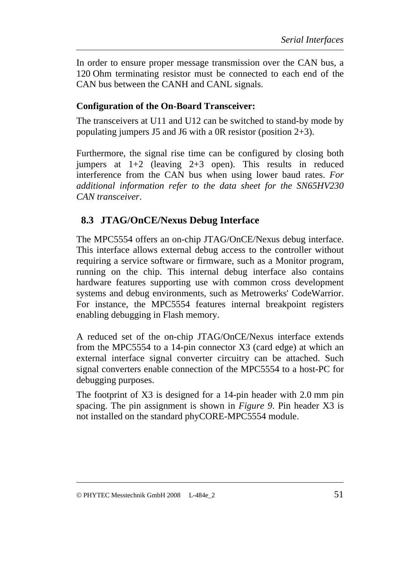In order to ensure proper message transmission over the CAN bus, a 120 Ohm terminating resistor must be connected to each end of the CAN bus between the CANH and CANL signals.

### **Configuration of the On-Board Transceiver:**

The transceivers at U11 and U12 can be switched to stand-by mode by populating jumpers J5 and J6 with a 0R resistor (position 2+3).

Furthermore, the signal rise time can be configured by closing both jumpers at 1+2 (leaving 2+3 open). This results in reduced interference from the CAN bus when using lower baud rates. *For additional information refer to the data sheet for the SN65HV230 CAN transceiver*.

## **8.3 JTAG/OnCE/Nexus Debug Interface**

The MPC5554 offers an on-chip JTAG/OnCE/Nexus debug interface. This interface allows external debug access to the controller without requiring a service software or firmware, such as a Monitor program, running on the chip. This internal debug interface also contains hardware features supporting use with common cross development systems and debug environments, such as Metrowerks' CodeWarrior. For instance, the MPC5554 features internal breakpoint registers enabling debugging in Flash memory.

A reduced set of the on-chip JTAG/OnCE/Nexus interface extends from the MPC5554 to a 14-pin connector X3 (card edge) at which an external interface signal converter circuitry can be attached. Such signal converters enable connection of the MPC5554 to a host-PC for debugging purposes.

The footprint of X3 is designed for a 14-pin header with 2.0 mm pin spacing. The pin assignment is shown in *[Figure 9](#page-59-0)*. Pin header X3 is not installed on the standard phyCORE-MPC5554 module.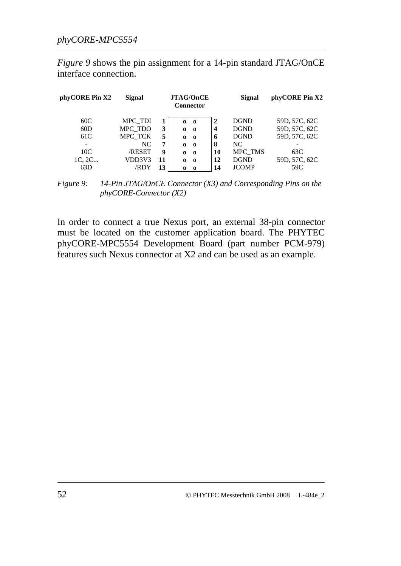*[Figure 9](#page-59-0)* shows the pin assignment for a 14-pin standard JTAG/OnCE interface connection.

| phyCORE Pin X2 | Signal  | <b>JTAG/OnCE</b><br><b>Connector</b> |              |              | <b>Signal</b> | phyCORE Pin X2 |               |
|----------------|---------|--------------------------------------|--------------|--------------|---------------|----------------|---------------|
| 60C            | MPC TDI |                                      | 0            | $\mathbf{0}$ | $\mathbf{2}$  | <b>DGND</b>    | 59D, 57C, 62C |
| 60D            | MPC TDO | 3                                    | $\bf{0}$     | $\bf{o}$     | 4             | <b>DGND</b>    | 59D, 57C, 62C |
| 61C            | MPC TCK | 5                                    | $\bf{0}$     | $\bf{0}$     | 6             | <b>DGND</b>    | 59D, 57C, 62C |
|                | NC.     | 7                                    | $\bf{0}$     | $\bf{0}$     | 8             | NC.            |               |
| 10C            | /RESET  | 9                                    | $\mathbf{0}$ | $\bf{o}$     | 10            | MPC TMS        | 63C           |
| 1C, 2C         | VDD3V3  | 11                                   | $\bf{0}$     | $\bf{0}$     | 12            | <b>DGND</b>    | 59D, 57C, 62C |
| 63D            | /RDY    | 13                                   | $\Omega$     | - 0          | 14            | <b>JCOMP</b>   | 59C           |

<span id="page-59-0"></span>*Figure 9: 14-Pin JTAG/OnCE Connector (X3) and Corresponding Pins on the phyCORE-Connector (X2)* 

In order to connect a true Nexus port, an external 38-pin connector must be located on the customer application board. The PHYTEC phyCORE-MPC5554 Development Board (part number PCM-979) features such Nexus connector at X2 and can be used as an example.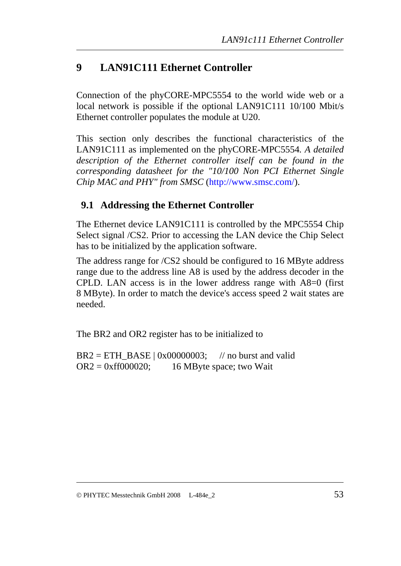# **9 LAN91C111 Ethernet Controller**

Connection of the phyCORE-MPC5554 to the world wide web or a local network is possible if the optional LAN91C111 10/100 Mbit/s Ethernet controller populates the module at U20.

This section only describes the functional characteristics of the LAN91C111 as implemented on the phyCORE-MPC5554*. A detailed description of the Ethernet controller itself can be found in the corresponding datasheet for the "10/100 Non PCI Ethernet Single Chip MAC and PHY" from SMSC* (<http://www.smsc.com/>).

## **9.1 Addressing the Ethernet Controller**

The Ethernet device LAN91C111 is controlled by the MPC5554 Chip Select signal /CS2. Prior to accessing the LAN device the Chip Select has to be initialized by the application software.

The address range for /CS2 should be configured to 16 MByte address range due to the address line A8 is used by the address decoder in the CPLD. LAN access is in the lower address range with A8=0 (first 8 MByte). In order to match the device's access speed 2 wait states are needed.

The BR2 and OR2 register has to be initialized to

 $BR2 = ETH_BASE \mid 0x00000003;$  // no burst and valid  $OR2 = 0$ xff000020; 16 MByte space; two Wait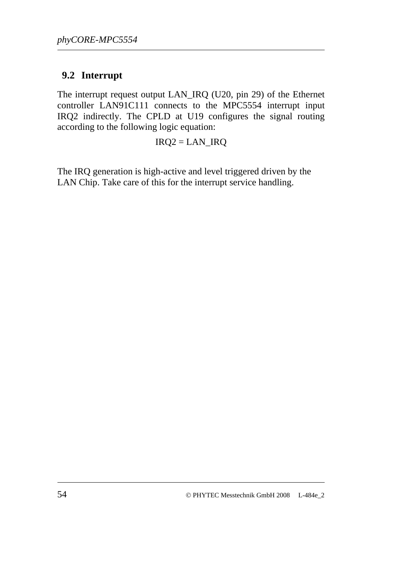## **9.2 Interrupt**

The interrupt request output LAN\_IRQ (U20, pin 29) of the Ethernet controller LAN91C111 connects to the MPC5554 interrupt input IRQ2 indirectly. The CPLD at U19 configures the signal routing according to the following logic equation:

#### IRQ2 = LAN\_IRQ

The IRQ generation is high-active and level triggered driven by the LAN Chip. Take care of this for the interrupt service handling.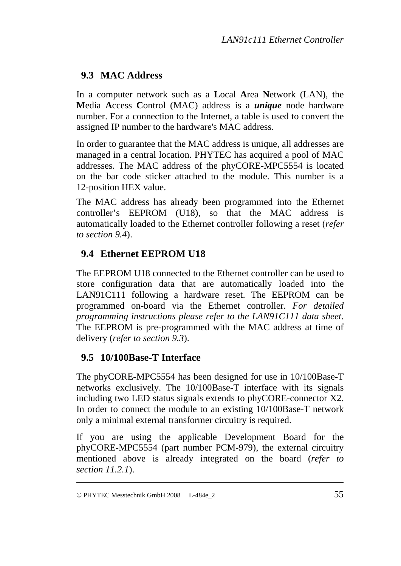# **9.3 MAC Address**

In a computer network such as a **L**ocal **A**rea **N**etwork (LAN), the **M**edia **A**ccess **C**ontrol (MAC) address is a *unique* node hardware number. For a connection to the Internet, a table is used to convert the assigned IP number to the hardware's MAC address.

In order to guarantee that the MAC address is unique, all addresses are managed in a central location. PHYTEC has acquired a pool of MAC addresses. The MAC address of the phyCORE-MPC5554 is located on the bar code sticker attached to the module. This number is a 12-position HEX value.

<span id="page-62-1"></span>The MAC address has already been programmed into the Ethernet controller's EEPROM (U18), so that the MAC address is automatically loaded to the Ethernet controller following a reset (*refer to section [9.4](#page-62-0)*).

# **9.4 Ethernet EEPROM U18**

<span id="page-62-0"></span>The EEPROM U18 connected to the Ethernet controller can be used to store configuration data that are automatically loaded into the LAN91C111 following a hardware reset. The EEPROM can be programmed on-board via the Ethernet controller. *For detailed programming instructions please refer to the LAN91C111 data sheet*. The EEPROM is pre-programmed with the MAC address at time of delivery (*refer to section [9.3](#page-62-1)*).

# **9.5 10/100Base-T Interface**

The phyCORE-MPC5554 has been designed for use in 10/100Base-T networks exclusively. The 10/100Base-T interface with its signals including two LED status signals extends to phyCORE-connector X2. In order to connect the module to an existing 10/100Base-T network only a minimal external transformer circuitry is required.

If you are using the applicable Development Board for the phyCORE-MPC5554 (part number PCM-979), the external circuitry mentioned above is already integrated on the board (*refer to section [11.2.1](#page-65-0)*).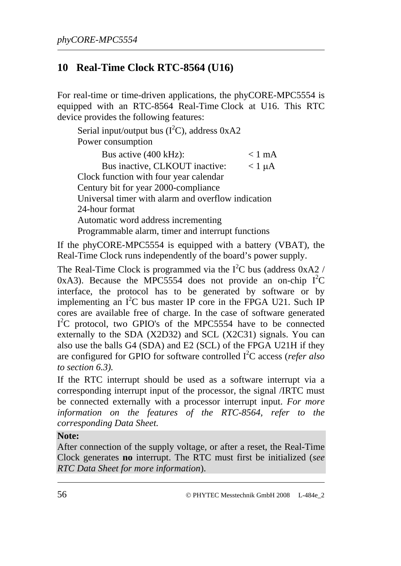# **10 Real-Time Clock RTC-8564 (U16)**

For real-time or time-driven applications, the phyCORE-MPC5554 is equipped with an RTC-8564 Real-Time Clock at U16. This RTC device provides the following features:

Serial input/output bus  $(I^2C)$ , address 0xA2 Power consumption

Bus active  $(400 \text{ kHz})$ :  $\leq 1 \text{ mA}$ Bus inactive, CLKOUT inactive:  $< 1 \mu A$ Clock function with four year calendar Century bit for year 2000-compliance Universal timer with alarm and overflow indication 24-hour format Automatic word address incrementing Programmable alarm, timer and interrupt functions

If the phyCORE-MPC5554 is equipped with a battery (VBAT), the Real-Time Clock runs independently of the board's power supply.

The Real-Time Clock is programmed via the  $I^2C$  bus (address 0xA2 / 0xA3). Because the MPC5554 does not provide an on-chip  $I^2C$ interface, the protocol has to be generated by software or by implementing an  $I^2C$  bus master IP core in the FPGA U21. Such IP cores are available free of charge. In the case of software generated I<sup>2</sup>C protocol, two GPIO's of the MPC5554 have to be connected externally to the SDA (X2D32) and SCL (X2C31) signals. You can also use the balls G4 (SDA) and E2 (SCL) of the FPGA U21H if they are configured for GPIO for software controlled I<sup>2</sup>C access (*refer also to section [6.3](#page-50-2)).*

If the RTC interrupt should be used as a software interrupt via a corresponding interrupt input of the processor, the signal /IRTC must be connected externally with a processor interrupt input. *For more*  information on the features of the RTC-8564, refer to the *corresponding Data Sheet.* 

#### **Note:**

After connection of the supply voltage, or after a reset, the Real-Time Clock generates **no** interrupt. The RTC must first be initialized (*see RTC Data Sheet for more information*).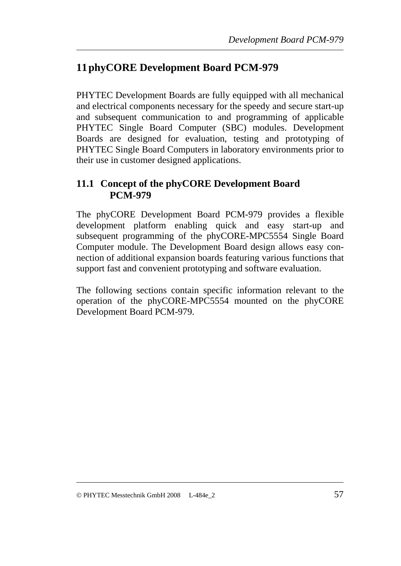# **11phyCORE Development Board PCM-979**

PHYTEC Development Boards are fully equipped with all mechanical and electrical components necessary for the speedy and secure start-up and subsequent communication to and programming of applicable PHYTEC Single Board Computer (SBC) modules. Development Boards are designed for evaluation, testing and prototyping of PHYTEC Single Board Computers in laboratory environments prior to their use in customer designed applications.

### **11.1 Concept of the phyCORE Development Board PCM-979**

The phyCORE Development Board PCM-979 provides a flexible development platform enabling quick and easy start-up and subsequent programming of the phyCORE-MPC5554 Single Board Computer module. The Development Board design allows easy connection of additional expansion boards featuring various functions that support fast and convenient prototyping and software evaluation.

The following sections contain specific information relevant to the operation of the phyCORE-MPC5554 mounted on the phyCORE Development Board PCM-979.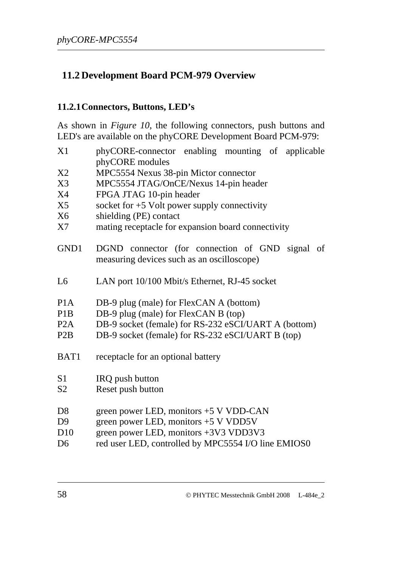## **11.2 Development Board PCM-979 Overview**

#### <span id="page-65-0"></span>**11.2.1Connectors, Buttons, LED's**

As shown in *[Figure 10](#page-67-0)*, the following connectors, push buttons and LED's are available on the phyCORE Development Board PCM-979:

| X1               | phyCORE-connector enabling mounting of applicable                                                                          |  |  |  |  |  |  |
|------------------|----------------------------------------------------------------------------------------------------------------------------|--|--|--|--|--|--|
|                  | phyCORE modules                                                                                                            |  |  |  |  |  |  |
| X2               | MPC5554 Nexus 38-pin Mictor connector                                                                                      |  |  |  |  |  |  |
| X3               | MPC5554 JTAG/OnCE/Nexus 14-pin header                                                                                      |  |  |  |  |  |  |
| X4               | FPGA JTAG 10-pin header                                                                                                    |  |  |  |  |  |  |
| X5               | socket for $+5$ Volt power supply connectivity                                                                             |  |  |  |  |  |  |
| X6               | shielding (PE) contact                                                                                                     |  |  |  |  |  |  |
| X7               | mating receptacle for expansion board connectivity                                                                         |  |  |  |  |  |  |
| GND1             | DGND connector (for connection of GND signal of<br>measuring devices such as an oscilloscope)                              |  |  |  |  |  |  |
| L <sub>6</sub>   | LAN port 10/100 Mbit/s Ethernet, RJ-45 socket                                                                              |  |  |  |  |  |  |
| P <sub>1</sub> A | DB-9 plug (male) for FlexCAN A (bottom)                                                                                    |  |  |  |  |  |  |
| P <sub>1</sub> B | DB-9 plug (male) for FlexCAN B (top)                                                                                       |  |  |  |  |  |  |
| P <sub>2</sub> A | DB-9 socket (female) for RS-232 eSCI/UART A (bottom)                                                                       |  |  |  |  |  |  |
| P <sub>2</sub> B | DB-9 socket (female) for RS-232 eSCI/UART B (top)                                                                          |  |  |  |  |  |  |
| BAT1             | receptacle for an optional battery                                                                                         |  |  |  |  |  |  |
| S <sub>1</sub>   | IRQ push button                                                                                                            |  |  |  |  |  |  |
| S <sub>2</sub>   | Reset push button                                                                                                          |  |  |  |  |  |  |
| D <sub>8</sub>   | green power LED, monitors $+5$ V VDD-CAN                                                                                   |  |  |  |  |  |  |
| D <sub>9</sub>   | green power LED, monitors +5 V VDD5V                                                                                       |  |  |  |  |  |  |
| D10              | green power LED, monitors +3V3 VDD3V3                                                                                      |  |  |  |  |  |  |
|                  | $1 \quad \text{ITD} \quad . \quad 11 \quad 11 \quad \text{MDOLELATION}$<br>$\Gamma$ $\Gamma$ $\Gamma$ $\cap$ $\cap$ $\cap$ |  |  |  |  |  |  |

D6 red user LED, controlled by MPC5554 I/O line EMIOS0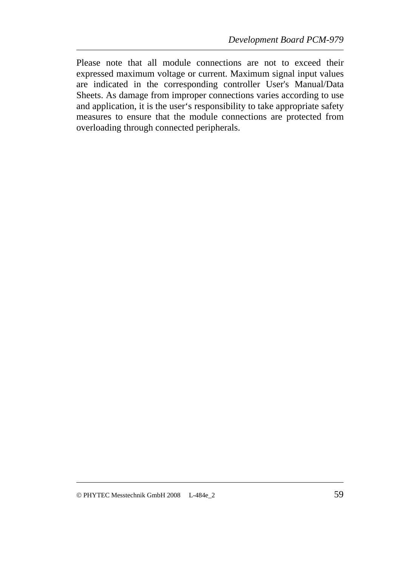Please note that all module connections are not to exceed their expressed maximum voltage or current. Maximum signal input values are indicated in the corresponding controller User's Manual/Data Sheets. As damage from improper connections varies according to use and application, it is the user's responsibility to take appropriate safety measures to ensure that the module connections are protected from overloading through connected peripherals.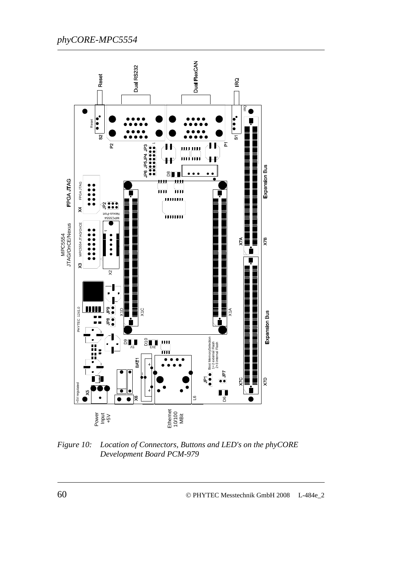

<span id="page-67-0"></span>*Figure 10: Location of Connectors, Buttons and LED's on the phyCORE Development Board PCM-979*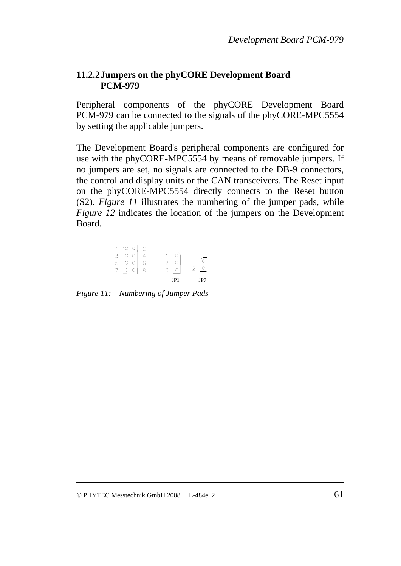#### **11.2.2Jumpers on the phyCORE Development Board PCM-979**

Peripheral components of the phyCORE Development Board PCM-979 can be connected to the signals of the phyCORE-MPC5554 by setting the applicable jumpers.

The Development Board's peripheral components are configured for use with the phyCORE-MPC5554 by means of removable jumpers. If no jumpers are set, no signals are connected to the DB-9 connectors, the control and display units or the CAN transceivers. The Reset input on the phyCORE-MPC5554 directly connects to the Reset button (S2). *[Figure 11](#page-68-0)* illustrates the numbering of the jumper pads, while *[Figure 12](#page-69-0)* indicates the location of the jumpers on the Development Board.

|                                                                                                                |               | JP1 | JP7           |
|----------------------------------------------------------------------------------------------------------------|---------------|-----|---------------|
|                                                                                                                |               |     | $\mathcal{P}$ |
| $\begin{array}{c c c c c} 1 & 0 & 0 & 2 \\ \hline 3 & 0 & 0 & 4 \\ 5 & 0 & 0 & 6 \\ 7 & 0 & 0 & 8 \end{array}$ | $\frac{2}{3}$ |     |               |
|                                                                                                                |               |     |               |
|                                                                                                                |               |     |               |

<span id="page-68-0"></span>*Figure 11: Numbering of Jumper Pads*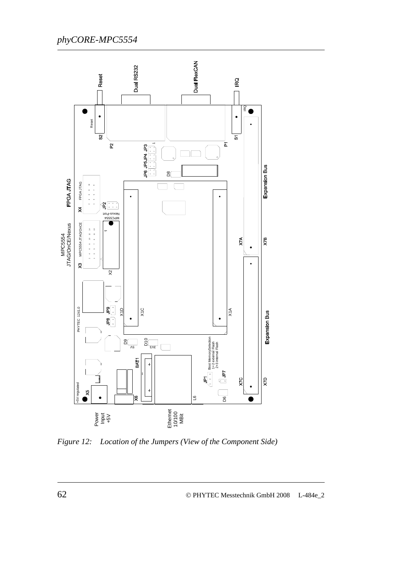

<span id="page-69-0"></span>*Figure 12: Location of the Jumpers (View of the Component Side)*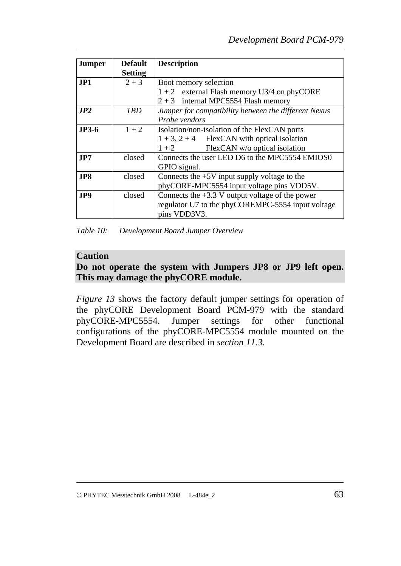| <b>Jumper</b> | <b>Default</b> | <b>Description</b>                                   |
|---------------|----------------|------------------------------------------------------|
|               | <b>Setting</b> |                                                      |
| JPI           | $2 + 3$        | Boot memory selection                                |
|               |                | $1+2$ external Flash memory U3/4 on phyCORE          |
|               |                | $2 + 3$ internal MPC5554 Flash memory                |
| JP2           | TBD            | Jumper for compatibility between the different Nexus |
|               |                | Probe vendors                                        |
| $JP3-6$       | $1 + 2$        | Isolation/non-isolation of the FlexCAN ports         |
|               |                | $1 + 3$ , $2 + 4$ FlexCAN with optical isolation     |
|               |                | FlexCAN w/o optical isolation<br>$1+2$               |
| JP7           | closed         | Connects the user LED D6 to the MPC5554 EMIOS0       |
|               |                | GPIO signal.                                         |
| JP8           | closed         | Connects the $+5V$ input supply voltage to the       |
|               |                | phyCORE-MPC5554 input voltage pins VDD5V.            |
| JP9           | closed         | Connects the $+3.3$ V output voltage of the power    |
|               |                | regulator U7 to the phyCOREMPC-5554 input voltage    |
|               |                | pins VDD3V3.                                         |

*Table 10: Development Board Jumper Overview* 

#### **Caution**

### **Do not operate the system with Jumpers JP8 or JP9 left open. This may damage the phyCORE module.**

*[Figure 13](#page-71-0)* shows the factory default jumper settings for operation of the phyCORE Development Board PCM-979 with the standard phyCORE-MPC5554. Jumper settings for other functional configurations of the phyCORE-MPC5554 module mounted on the Development Board are described in *section [11.3](#page-72-0)*.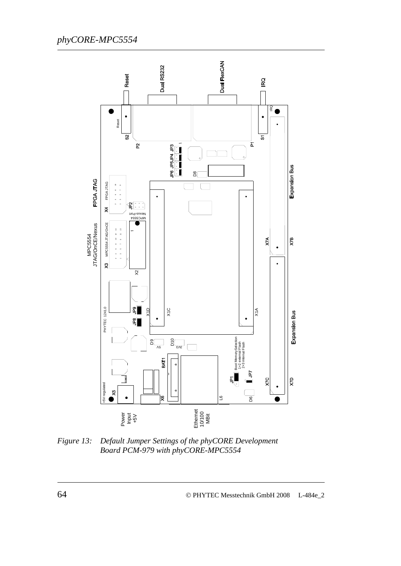

<span id="page-71-0"></span>*Figure 13: Default Jumper Settings of the phyCORE Development Board PCM-979 with phyCORE-MPC5554*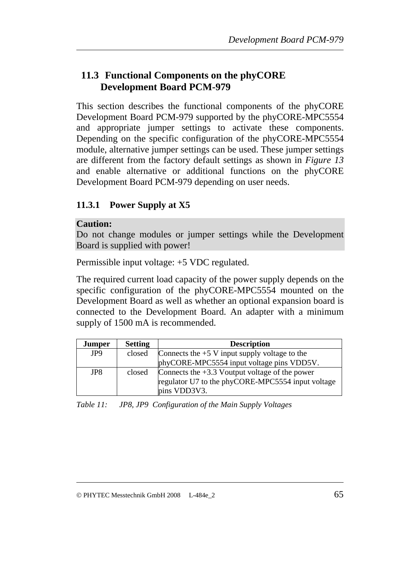## **11.3 Functional Components on the phyCORE Development Board PCM-979**

This section describes the functional components of the phyCORE Development Board PCM-979 supported by the phyCORE-MPC5554 and appropriate jumper settings to activate these components. Depending on the specific configuration of the phyCORE-MPC5554 module, alternative jumper settings can be used. These jumper settings are different from the factory default settings as shown in *[Figure 13](#page-71-0)* and enable alternative or additional functions on the phyCORE Development Board PCM-979 depending on user needs.

## **11.3.1 Power Supply at X5**

#### **Caution:**

Do not change modules or jumper settings while the Development Board is supplied with power!

Permissible input voltage: +5 VDC regulated.

The required current load capacity of the power supply depends on the specific configuration of the phyCORE-MPC5554 mounted on the Development Board as well as whether an optional expansion board is connected to the Development Board. An adapter with a minimum supply of 1500 mA is recommended.

| Jumper          | <b>Setting</b> | <b>Description</b>                                                                                                    |  |  |  |
|-----------------|----------------|-----------------------------------------------------------------------------------------------------------------------|--|--|--|
| JP <sub>9</sub> | closed         | Connects the $+5$ V input supply voltage to the                                                                       |  |  |  |
|                 |                | phyCORE-MPC5554 input voltage pins VDD5V.                                                                             |  |  |  |
| JP8             | closed         | Connects the $+3.3$ Voutput voltage of the power<br>regulator U7 to the phyCORE-MPC5554 input voltage<br>pins VDD3V3. |  |  |  |

*Table 11: JP8, JP9 Configuration of the Main Supply Voltages*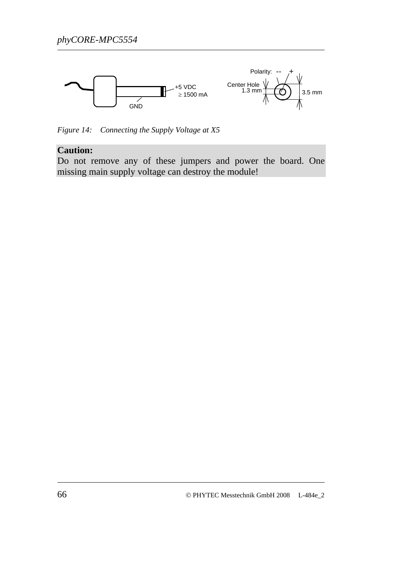

*Figure 14: Connecting the Supply Voltage at X5* 

### **Caution:**

Do not remove any of these jumpers and power the board. One missing main supply voltage can destroy the module!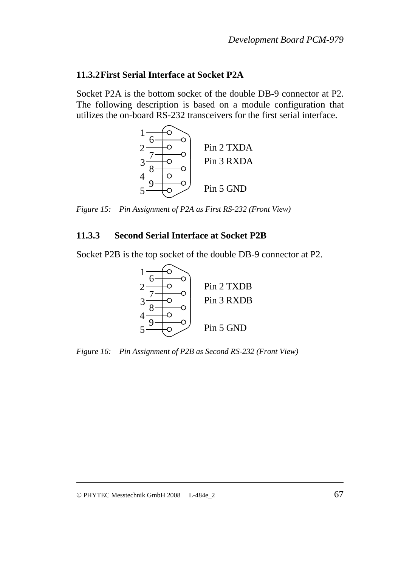#### **11.3.2First Serial Interface at Socket P2A**

Socket P2A is the bottom socket of the double DB-9 connector at P2. The following description is based on a module configuration that utilizes the on-board RS-232 transceivers for the first serial interface.



*Figure 15: Pin Assignment of P2A as First RS-232 (Front View)* 

### **11.3.3 Second Serial Interface at Socket P2B**

Socket P2B is the top socket of the double DB-9 connector at P2.



*Figure 16: Pin Assignment of P2B as Second RS-232 (Front View)*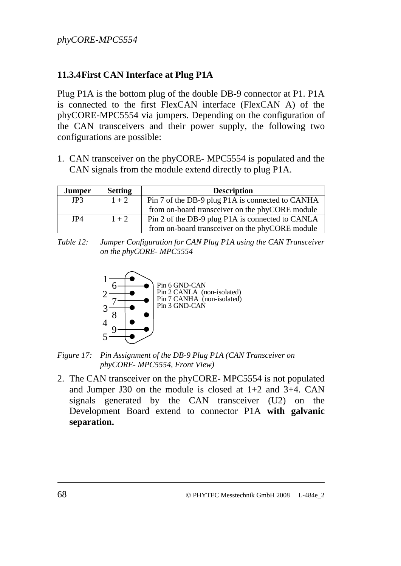### **11.3.4First CAN Interface at Plug P1A**

Plug P1A is the bottom plug of the double DB-9 connector at P1. P1A is connected to the first FlexCAN interface (FlexCAN A) of the phyCORE-MPC5554 via jumpers. Depending on the configuration of the CAN transceivers and their power supply, the following two configurations are possible:

1. CAN transceiver on the phyCORE- MPC5554 is populated and the CAN signals from the module extend directly to plug P1A.

| <b>Jumper</b> | <b>Setting</b> | <b>Description</b>                               |
|---------------|----------------|--------------------------------------------------|
| JP3           | $1 + 2$        | Pin 7 of the DB-9 plug P1A is connected to CANHA |
|               |                | from on-board transceiver on the phyCORE module  |
| JP4           | $1 + 2$        | Pin 2 of the DB-9 plug P1A is connected to CANLA |
|               |                | from on-board transceiver on the phyCORE module  |

*Table 12: Jumper Configuration for CAN Plug P1A using the CAN Transceiver on the phyCORE- MPC5554* 



*Figure 17: Pin Assignment of the DB-9 Plug P1A (CAN Transceiver on phyCORE- MPC5554, Front View)* 

2. The CAN transceiver on the phyCORE- MPC5554 is not populated and Jumper J30 on the module is closed at 1+2 and 3+4. CAN signals generated by the CAN transceiver (U2) on the Development Board extend to connector P1A **with galvanic separation.**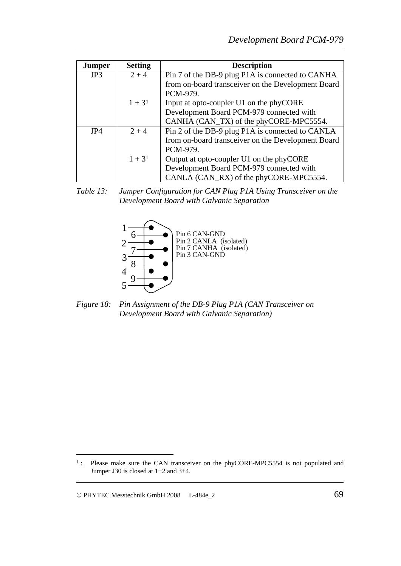| <b>Jumper</b> | <b>Setting</b> | <b>Description</b>                                 |  |  |  |  |  |
|---------------|----------------|----------------------------------------------------|--|--|--|--|--|
| JP3           | $2 + 4$        | Pin 7 of the DB-9 plug P1A is connected to CANHA   |  |  |  |  |  |
|               |                | from on-board transceiver on the Development Board |  |  |  |  |  |
|               |                | PCM-979.                                           |  |  |  |  |  |
|               | $1 + 3^1$      | Input at opto-coupler U1 on the phyCORE            |  |  |  |  |  |
|               |                | Development Board PCM-979 connected with           |  |  |  |  |  |
|               |                | CANHA (CAN_TX) of the phyCORE-MPC5554.             |  |  |  |  |  |
| JP4           | $2 + 4$        | Pin 2 of the DB-9 plug P1A is connected to CANLA   |  |  |  |  |  |
|               |                | from on-board transceiver on the Development Board |  |  |  |  |  |
|               |                | PCM-979.                                           |  |  |  |  |  |
|               | $1 + 3^1$      | Output at opto-coupler U1 on the phyCORE           |  |  |  |  |  |
|               |                | Development Board PCM-979 connected with           |  |  |  |  |  |
|               |                | CANLA (CAN_RX) of the phyCORE-MPC5554.             |  |  |  |  |  |

*Table 13: Jumper Configuration for CAN Plug P1A Using Transceiver on the Development Board with Galvanic Separation* 



*Figure 18: Pin Assignment of the DB-9 Plug P1A (CAN Transceiver on Development Board with Galvanic Separation)* 

 $\overline{a}$ 

<span id="page-76-0"></span><sup>&</sup>lt;sup>1</sup>: Please make sure the CAN transceiver on the phyCORE-MPC5554 is not populated and Jumper J30 is closed at 1+2 and 3+4.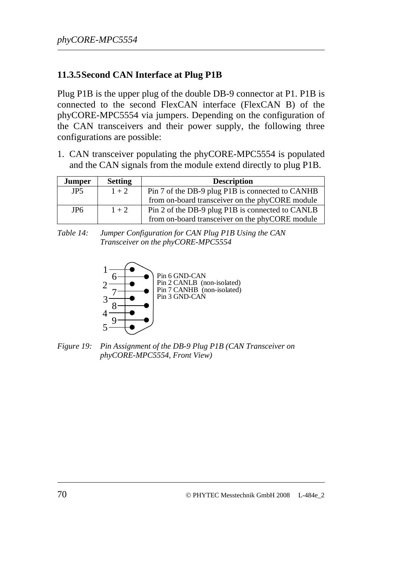### **11.3.5Second CAN Interface at Plug P1B**

Plug P1B is the upper plug of the double DB-9 connector at P1. P1B is connected to the second FlexCAN interface (FlexCAN B) of the phyCORE-MPC5554 via jumpers. Depending on the configuration of the CAN transceivers and their power supply, the following three configurations are possible:

1. CAN transceiver populating the phyCORE-MPC5554 is populated and the CAN signals from the module extend directly to plug P1B.

| <b>Jumper</b>   | <b>Setting</b> | <b>Description</b>                               |
|-----------------|----------------|--------------------------------------------------|
| JP <sub>5</sub> | $1 + 2$        | Pin 7 of the DB-9 plug P1B is connected to CANHB |
|                 |                | from on-board transceiver on the phyCORE module  |
| JP <sub>6</sub> | $1 + 2$        | Pin 2 of the DB-9 plug P1B is connected to CANLB |
|                 |                | from on-board transceiver on the phyCORE module  |

*Table 14: Jumper Configuration for CAN Plug P1B Using the CAN Transceiver on the phyCORE-MPC5554* 



*Figure 19: Pin Assignment of the DB-9 Plug P1B (CAN Transceiver on phyCORE-MPC5554, Front View)*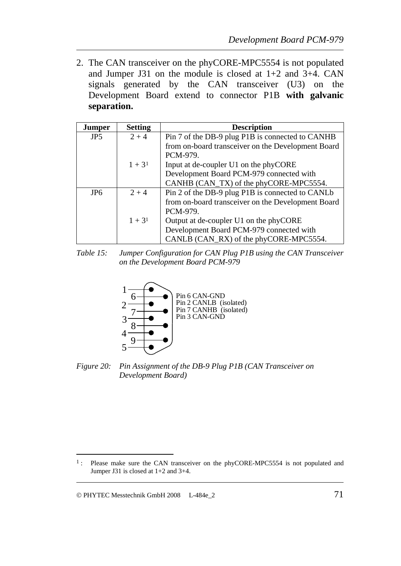2. The CAN transceiver on the phyCORE-MPC5554 is not populated and Jumper J31 on the module is closed at 1+2 and 3+4. CAN signals generated by the CAN transceiver (U3) on the Development Board extend to connector P1B **with galvanic separation.**

| <b>Jumper</b>   | <b>Setting</b> | <b>Description</b>                                 |  |  |  |  |  |
|-----------------|----------------|----------------------------------------------------|--|--|--|--|--|
| JP <sub>5</sub> | $2 + 4$        | Pin 7 of the DB-9 plug P1B is connected to CANHB   |  |  |  |  |  |
|                 |                | from on-board transceiver on the Development Board |  |  |  |  |  |
|                 |                | PCM-979.                                           |  |  |  |  |  |
|                 | $1 + 3^1$      | Input at de-coupler U1 on the phyCORE              |  |  |  |  |  |
|                 |                | Development Board PCM-979 connected with           |  |  |  |  |  |
|                 |                | CANHB (CAN_TX) of the phyCORE-MPC5554.             |  |  |  |  |  |
| JP <sub>6</sub> | $2 + 4$        | Pin 2 of the DB-9 plug P1B is connected to CANLb   |  |  |  |  |  |
|                 |                | from on-board transceiver on the Development Board |  |  |  |  |  |
|                 |                | PCM-979.                                           |  |  |  |  |  |
|                 | $1 + 3^1$      | Output at de-coupler U1 on the phyCORE             |  |  |  |  |  |
|                 |                | Development Board PCM-979 connected with           |  |  |  |  |  |
|                 |                | CANLB (CAN_RX) of the phyCORE-MPC5554.             |  |  |  |  |  |

*Table 15: Jumper Configuration for CAN Plug P1B using the CAN Transceiver on the Development Board PCM-979* 



*Figure 20: Pin Assignment of the DB-9 Plug P1B (CAN Transceiver on Development Board)* 

 $\overline{a}$ 

<span id="page-78-0"></span><sup>&</sup>lt;sup>1</sup>: Please make sure the CAN transceiver on the phyCORE-MPC5554 is not populated and Jumper J31 is closed at 1+2 and 3+4.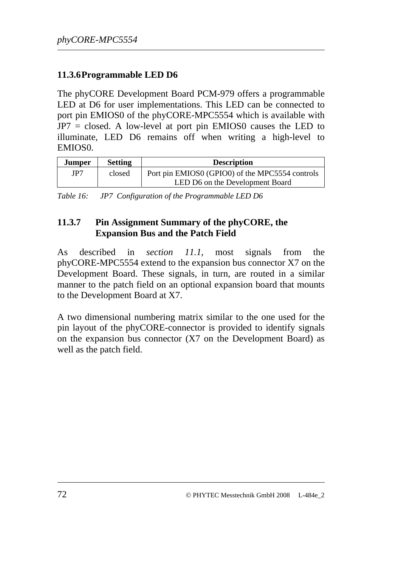## **11.3.6Programmable LED D6**

The phyCORE Development Board PCM-979 offers a programmable LED at D6 for user implementations. This LED can be connected to port pin EMIOS0 of the phyCORE-MPC5554 which is available with JP7 = closed. A low-level at port pin EMIOS0 causes the LED to illuminate, LED D6 remains off when writing a high-level to EMIOS0.

| Jumper | <b>Setting</b> | <b>Description</b>                              |
|--------|----------------|-------------------------------------------------|
| JP7    | closed         | Port pin EMIOS0 (GPIO0) of the MPC5554 controls |
|        |                | LED D6 on the Development Board                 |

*Table 16: JP7 Configuration of the Programmable LED D6* 

### **11.3.7 Pin Assignment Summary of the phyCORE, the Expansion Bus and the Patch Field**

As described in *section [11.1](#page-64-0)*, most signals from the phyCORE-MPC5554 extend to the expansion bus connector X7 on the Development Board. These signals, in turn, are routed in a similar manner to the patch field on an optional expansion board that mounts to the Development Board at X7.

A two dimensional numbering matrix similar to the one used for the pin layout of the phyCORE-connector is provided to identify signals on the expansion bus connector (X7 on the Development Board) as well as the patch field.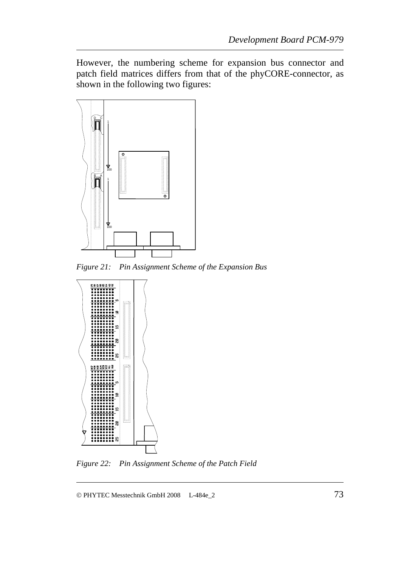However, the numbering scheme for expansion bus connector and patch field matrices differs from that of the phyCORE-connector, as shown in the following two figures:



*Figure 21: Pin Assignment Scheme of the Expansion Bus* 



*Figure 22: Pin Assignment Scheme of the Patch Field* 

© PHYTEC Messtechnik GmbH 2008 L-484e\_2 73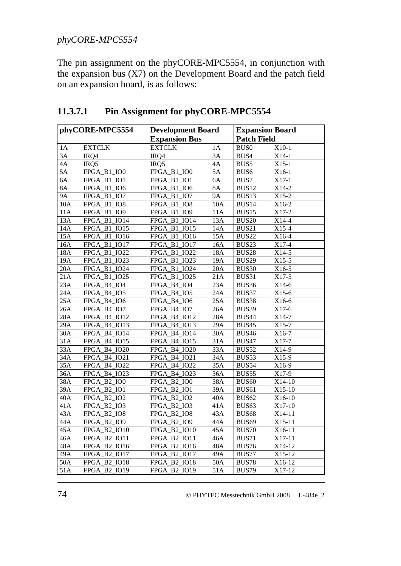The pin assignment on the phyCORE-MPC5554, in conjunction with the expansion bus (X7) on the Development Board and the patch field on an expansion board, is as follows:

| phyCORE-MPC5554 |                     | <b>Development Board</b> |                 | <b>Expansion Board</b> |          |
|-----------------|---------------------|--------------------------|-----------------|------------------------|----------|
|                 |                     | <b>Expansion Bus</b>     |                 | <b>Patch Field</b>     |          |
| 1A              | <b>EXTCLK</b>       | <b>EXTCLK</b>            | 1A              | <b>BUS0</b>            | $X10-1$  |
| 3A              | IRQ4                | IRQ4                     | $\overline{3A}$ | BUS4                   | $X14-1$  |
| 4A              | IRQ5                | IRQ5                     | 4A              | BUS5                   | $X15-1$  |
| 5A              | FPGA_B1_IO0         | FPGA B1 IO0              | $\overline{5}A$ | BUS <sub>6</sub>       | X16-1    |
| 6A              | FPGA_B1_IO1         | FPGA_B1_IO1              | 6A              | BUS7                   | $X17-1$  |
| 8A              | FPGA_B1_IO6         | FPGA_B1_IO6              | <b>8A</b>       | BUS <sub>12</sub>      | $X14-2$  |
| <b>9A</b>       | FPGA_B1_IO7         | FPGA_B1_IO7              | <b>9A</b>       | BUS13                  | $X15-2$  |
| 10A             | FPGA_B1_IO8         | FPGA_B1_IO8              | 10A             | BUS14                  | X16-2    |
| 11A             | FPGA_B1_IO9         | FPGA_B1_IO9              | 11A             | BUS15                  | $X17-2$  |
| 13A             | FPGA_B1_IO14        | FPGA_B1_IO14             | 13A             | <b>BUS20</b>           | X14-4    |
| 14A             | FPGA_B1_IO15        | FPGA_B1_IO15             | 14A             | BUS21                  | X15-4    |
| 15A             | FPGA_B1_IO16        | FPGA_B1_IO16             | 15A             | <b>BUS22</b>           | X16-4    |
| 16A             | FPGA_B1_IO17        | FPGA_B1_IO17             | 16A             | BUS23                  | X17-4    |
| 18A             | FPGA_B1_IO22        | FPGA_B1_IO22             | 18A             | <b>BUS28</b>           | $X14-5$  |
| 19A             | FPGA_B1_IO23        | FPGA B1 IO23             | 19A             | <b>BUS29</b>           | $X15-5$  |
| 20A             | FPGA_B1_IO24        | FPGA B1 IO24             | 20A             | <b>BUS30</b>           | X16-5    |
| 21A             | <b>FPGA B1 IO25</b> | FPGA_B1_IO25             | 21A             | BUS31                  | X17-5    |
| 23A             | FPGA B4 IO4         | FPGA_B4_IO4              | 23A             | BUS36                  | $X14-6$  |
| 24A             | FPGA_B4_IO5         | FPGA B4 IO5              | 24A             | BUS37                  | $X15-6$  |
| 25A             | FPGA B4 IO6         | FPGA B4 IO6              | 25A             | BUS38                  | X16-6    |
| 26A             | FPGA_B4_IO7         | FPGA_B4_IO7              | 26A             | BUS39                  | X17-6    |
| 28A             | FPGA_B4_IO12        | FPGA_B4_IO12             | 28A             | <b>BUS44</b>           | X14-7    |
| 29A             | FPGA_B4_IO13        | FPGA_B4_IO13             | 29A             | BUS45                  | $X15-7$  |
| 30A             | FPGA_B4_IO14        | FPGA_B4_IO14             | 30A             | <b>BUS46</b>           | X16-7    |
| 31A             | FPGA_B4_IO15        | FPGA_B4_IO15             | 31A             | <b>BUS47</b>           | X17-7    |
| 33A             | FPGA_B4_IO20        | FPGA_B4_IO20             | 33A             | BUS52                  | X14-9    |
| 34A             | FPGA_B4_IO21        | FPGA B4 IO21             | 34A             | BUS53                  | X15-9    |
| 35A             | FPGA_B4_IO22        | <b>FPGA B4 IO22</b>      | 35A             | BUS54                  | X16-9    |
| 36A             | FPGA_B4_IO23        | <b>FPGA B4 IO23</b>      | 36A             | BUS55                  | X17-9    |
| 38A             | FPGA_B2_IO0         | FPGA_B2_IO0              | 38A             | <b>BUS60</b>           | $X14-10$ |
| 39A             | FPGA_B2_IO1         | FPGA_B2_IO1              | 39A             | BUS61                  | X15-10   |
| 40A             | FPGA_B2_IO2         | FPGA B2 IO2              | 40A             | BUS <sub>62</sub>      | X16-10   |
| 41A             | FPGA_B2_IO3         | FPGA B2 IO3              | 41A             | BUS <sub>63</sub>      | X17-10   |
| 43A             | FPGA_B2_IO8         | FPGA_B2_IO8              | 43A             | <b>BUS68</b>           | X14-11   |
| 44A             | FPGA B2 IO9         | <b>FPGA B2 IO9</b>       | 44A             | BUS <sub>69</sub>      | X15-11   |
| 45A             | FPGA_B2_IO10        | FPGA_B2_IO10             | 45A             | <b>BUS70</b>           | X16-11   |
| 46A             | FPGA_B2_IO11        | FPGA_B2_IO11             | 46A             | <b>BUS71</b>           | X17-11   |
| 48A             | FPGA_B2_IO16        | <b>FPGA B2 IO16</b>      | 48A             | BUS76                  | X14-12   |
| 49A             | FPGA_B2_IO17        | FPGA_B2_IO17             | 49A             | BUS77                  | X15-12   |
| 50A             | <b>FPGA B2 IO18</b> | <b>FPGA B2 IO18</b>      | 50A             | <b>BUS78</b>           | X16-12   |
| 51A             | FPGA B2 IO19        | FPGA B2 IO19             | 51A             | <b>BUS79</b>           | X17-12   |

## **11.3.7.1 Pin Assignment for phyCORE-MPC5554**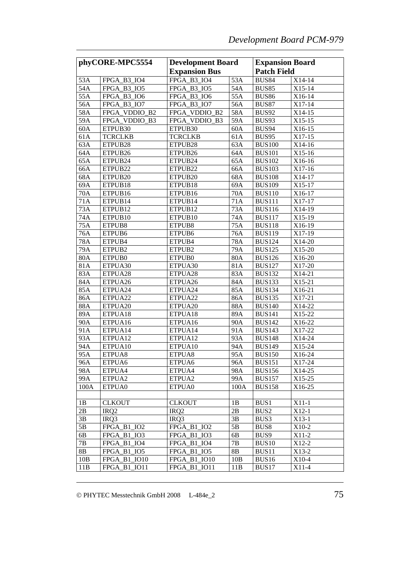| phyCORE-MPC5554 |                     | <b>Development Board</b> |      | <b>Expansion Board</b> |          |
|-----------------|---------------------|--------------------------|------|------------------------|----------|
|                 |                     | <b>Expansion Bus</b>     |      | <b>Patch Field</b>     |          |
| 53A             | FPGA B3 IO4         | FPGA B3 IO4              | 53A  | <b>BUS84</b>           | X14-14   |
| 54A             | FPGA_B3_IO5         | <b>FPGA B3 IO5</b>       | 54A  | <b>BUS85</b>           | X15-14   |
| 55A             | FPGA_B3_IO6         | FPGA B3 IO6              | 55A  | <b>BUS86</b>           | X16-14   |
| 56A             | FPGA_B3_IO7         | FPGA B3 IO7              | 56A  | <b>BUS87</b>           | X17-14   |
| 58A             | FPGA_VDDIO_B2       | FPGA_VDDIO_B2            | 58A  | <b>BUS92</b>           | X14-15   |
| 59A             | FPGA_VDDIO B3       | FPGA_VDDIO_B3            | 59A  | BUS93                  | $X15-15$ |
| 60A             | ETPUB30             | ETPUB30                  | 60A  | BUS94                  | X16-15   |
| 61A             | <b>TCRCLKB</b>      | <b>TCRCLKB</b>           | 61A  | BUS95                  | X17-15   |
| 63A             | ETPUB <sub>28</sub> | ETPUB <sub>28</sub>      | 63A  | <b>BUS100</b>          | X14-16   |
| 64A             | ETPUB <sub>26</sub> | ETPUB <sub>26</sub>      | 64A  | <b>BUS101</b>          | X15-16   |
| 65A             | ETPUB24             | ETPUB24                  | 65A  | <b>BUS102</b>          | X16-16   |
| 66A             | ETPUB22             | ETPUB22                  | 66A  | <b>BUS103</b>          | X17-16   |
| 68A             | ETPUB <sub>20</sub> | ETPUB <sub>20</sub>      | 68A  | <b>BUS108</b>          | X14-17   |
| 69A             | ETPUB18             | ETPUB18                  | 69A  | <b>BUS109</b>          | X15-17   |
| 70A             | ETPUB16             | ETPUB16                  | 70A  | <b>BUS110</b>          | X16-17   |
| 71A             | ETPUB14             | ETPUB14                  | 71A  | <b>BUS111</b>          | X17-17   |
| 73A             | ETPUB <sub>12</sub> | ETPUB12                  | 73A  | <b>BUS116</b>          | X14-19   |
| 74A             | ETPUB <sub>10</sub> | ETPUB <sub>10</sub>      | 74A  | <b>BUS117</b>          | X15-19   |
| 75A             | ETPUB <sub>8</sub>  | ETPUB8                   | 75A  | <b>BUS118</b>          | X16-19   |
| 76A             | ETPUB6              | ETPUB6                   | 76A  | <b>BUS119</b>          | X17-19   |
| 78A             | ETPUB4              | ETPUB4                   | 78A  | <b>BUS124</b>          | X14-20   |
| 79A             | ETPUB2              | ETPUB2                   | 79A  | <b>BUS125</b>          | X15-20   |
| 80A             | ETPUB0              | ETPUB0                   | 80A  | <b>BUS126</b>          | X16-20   |
| 81A             | ETPUA30             | ETPUA30                  | 81A  | <b>BUS127</b>          | X17-20   |
| 83A             | ETPUA28             | ETPUA28                  | 83A  | <b>BUS132</b>          | X14-21   |
| 84A             | ETPUA26             | ETPUA26                  | 84A  | <b>BUS133</b>          | X15-21   |
| 85A             | ETPUA24             | ETPUA24                  | 85A  | <b>BUS134</b>          | X16-21   |
| 86A             | ETPUA22             | ETPUA22                  | 86A  | <b>BUS135</b>          | X17-21   |
| 88A             | ETPUA20             | ETPUA20                  | 88A  | <b>BUS140</b>          | X14-22   |
| 89A             | ETPUA18             | ETPUA18                  | 89A  | <b>BUS141</b>          | X15-22   |
| 90A             | ETPUA16             | ETPUA16                  | 90A  | <b>BUS142</b>          | X16-22   |
| 91A             | ETPUA14             | ETPUA14                  | 91A  | <b>BUS143</b>          | X17-22   |
| 93A             | ETPUA12             | ETPUA12                  | 93A  | <b>BUS148</b>          | X14-24   |
| 94A             | ETPUA10             | ETPUA10                  | 94A  | <b>BUS149</b>          | X15-24   |
| 95A             | ETPUA8              | ETPUA8                   | 95A  | <b>BUS150</b>          | X16-24   |
| 96A             | ETPUA6              | ETPUA6                   | 96A  | <b>BUS151</b>          | X17-24   |
| 98A             | ETPUA4              | ETPUA4                   | 98A  | <b>BUS156</b>          | X14-25   |
| 99A             | ETPUA2              | ETPUA2                   | 99A  | <b>BUS157</b>          | X15-25   |
| 100A            | ETPUA0              | ETPUA0                   | 100A | <b>BUS158</b>          | X16-25   |
|                 |                     |                          |      |                        |          |
| 1B              | <b>CLKOUT</b>       | <b>CLKOUT</b>            | 1B   | BUS1                   | $X11-1$  |
| 2B              | IRQ <sub>2</sub>    | IRQ <sub>2</sub>         | 2B   | BUS2                   | $X12-1$  |
| 3B              | IRQ3                | IRQ3                     | 3B   | BUS3                   | $X13-1$  |
| 5B              | FPGA_B1_IO2         | FPGA_B1_IO2              | 5B   | BUS8                   | X10-2    |
| 6B              | FPGA_B1_IO3         | FPGA B1 IO3              | 6B   | BUS9                   | X11-2    |
| 7В              | FPGA_B1_IO4         | FPGA_B1_IO4              | 7B   | <b>BUS10</b>           | X12-2    |
| 8B              | FPGA_B1_IO5         | FPGA_B1_IO5              | 8B   | BUS11                  | $X13-2$  |
| 10B             | FPGA_B1_IO10        | FPGA_B1_IO10             | 10B  | BUS16                  | X10-4    |
| 11B             | FPGA_B1_IO11        | FPGA_B1_IO11             | 11B  | BUS17                  | $X11-4$  |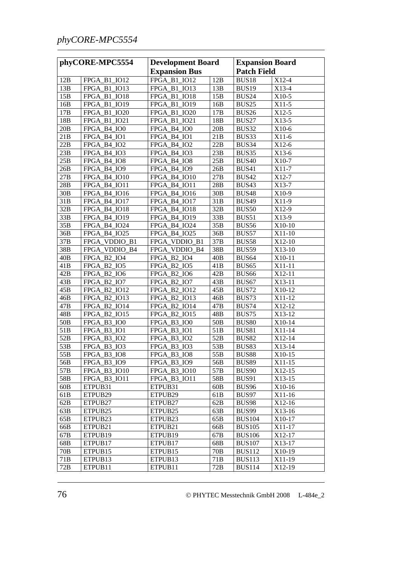| phyCORE-MPC5554 |                     | <b>Development Board</b>            |                 | <b>Expansion Board</b> |          |
|-----------------|---------------------|-------------------------------------|-----------------|------------------------|----------|
|                 |                     | <b>Expansion Bus</b>                |                 | <b>Patch Field</b>     |          |
| 12B             | FPGA_B1_IO12        | FPGA B1 IO12                        | 12B             | BUS18                  | X12-4    |
| 13B             | FPGA_B1_IO13        | FPGA_B1_IO13                        | 13B             | BUS <sub>19</sub>      | $X13-4$  |
| 15B             | FPGA_B1_IO18        | FPGA_B1_IO18                        | 15B             | <b>BUS24</b>           | X10-5    |
| 16B             | FPGA_B1_IO19        | FPGA_B1_IO19                        | 16B             | BUS25                  | $X11-5$  |
| 17 <sub>B</sub> | FPGA_B1_IO20        | FPGA_B1_IO20                        | 17B             | <b>BUS26</b>           | $X12-5$  |
| 18B             | FPGA_B1_IO21        | FPGA_B1_IO21                        | 18B             | BUS27                  | $X13-5$  |
| 20B             | FPGA_B4_IO0         | FPGA B4 IO0                         | 20B             | BUS32                  | $X10-6$  |
| 21B             | FPGA_B4_IO1         | FPGA_B4_IO1                         | 21B             | BUS33                  | $X11-6$  |
| 22B             | FPGA_B4_IO2         | FPGA_B4_IO2                         | 22B             | BUS34                  | $X12-6$  |
| 23B             | FPGA_B4_IO3         | FPGA_B4_IO3                         | 23B             | BUS35                  | $X13-6$  |
| 25B             | FPGA_B4_IO8         | FPGA_B4_IO8                         | 25B             | <b>BUS40</b>           | X10-7    |
| 26B             | FPGA_B4_IO9         | FPGA_B4_IO9                         | 26B             | <b>BUS41</b>           | X11-7    |
| 27B             | FPGA_B4_IO10        | FPGA_B4_IO10                        | 27B             | <b>BUS42</b>           | X12-7    |
| 28B             | FPGA_B4_IO11        | FPGA_B4_IO11                        | 28B             | BUS43                  | X13-7    |
| 30B             | FPGA_B4_IO16        | FPGA_B4_IO16                        | 30B             | <b>BUS48</b>           | X10-9    |
| 31B             | FPGA_B4_IO17        | <b>FPGA B4 IO17</b>                 | 31B             | <b>BUS49</b>           | X11-9    |
| 32B             | FPGA_B4_IO18        | FPGA_B4_IO18                        | 32B             | <b>BUS50</b>           | X12-9    |
| 33B             | FPGA_B4_IO19        | FPGA_B4_IO19                        | 33B             | BUS51                  | X13-9    |
| 35B             | FPGA_B4_IO24        | FPGA_B4_IO24                        | 35B             | BUS56                  | X10-10   |
| 36B             | FPGA_B4_IO25        | FPGA_B4_IO25                        | 36B             | BUS57                  | $X11-10$ |
| 37B             | FPGA_VDDIO_B1       | FPGA_VDDIO_B1                       | 37B             | BUS58                  | X12-10   |
| 38B             | FPGA_VDDIO_B4       | FPGA_VDDIO_B4                       | 38B             | BUS59                  | X13-10   |
| 40B             | FPGA_B2_IO4         | FPGA_B2_IO4                         | 40B             | BUS <sub>64</sub>      | X10-11   |
| 41B             | FPGA_B2_IO5         | FPGA_B2_IO5                         | 41B             | BUS65                  | X11-11   |
| 42B             | FPGA_B2_IO6         | FPGA_B2_IO6                         | 42B             | <b>BUS66</b>           | X12-11   |
| 43B             | FPGA_B2_IO7         | FPGA_B2_IO7                         | 43B             | BUS67                  | X13-11   |
| 45B             | FPGA_B2_IO12        | FPGA_B2_IO12                        | 45B             | <b>BUS72</b>           | X10-12   |
| 46B             | FPGA_B2_IO13        | FPGA_B2_IO13                        | 46B             | BUS73                  | X11-12   |
| 47B             | FPGA_B2_IO14        | FPGA_B2_IO14                        | 47B             | <b>BUS74</b>           | X12-12   |
| 48B             | FPGA_B2_IO15        | FPGA_B2_IO15                        | 48B             | BUS75                  | X13-12   |
| 50 <sub>B</sub> | FPGA B3 IO0         | FPGA_B3_IO0                         | 50 <sub>B</sub> | <b>BUS80</b>           | X10-14   |
| 51B             | FPGA_B3_IO1         | $B3$ <sub>-IO1</sub><br><b>FPGA</b> | 51B             | BUS81                  | $X11-14$ |
| 52B             | FPGA_B3_IO2         | $B3$ <sub>-IO2</sub><br><b>FPGA</b> | 52B             | <b>BUS82</b>           | X12-14   |
| 53B             | FPGA_B3_IO3         | FPGA_B3_IO3                         | 53B             | BUS83                  | X13-14   |
| 55B             | FPGA_B3_IO8         | FPGA_B3_IO8                         | 55B             | $\rm BUS88$            | X10-15   |
| 56B             | FPGA_B3_IO9         | FPGA_B3_IO9                         | 56B             | BUS89                  | $X11-15$ |
| 57B             | <b>FPGA B3 IO10</b> | FPGA_B3_IO10                        | 57B             | <b>BUS90</b>           | X12-15   |
| 58B             | <b>FPGA B3 IO11</b> | <b>FPGA B3 IO11</b>                 | 58B             | <b>BUS91</b>           | $X13-15$ |
| 60B             | ETPUB31             | ETPUB31                             | 60B             | BUS96                  | X10-16   |
| 61B             | ETPUB29             | ETPUB29                             | 61B             | BUS97                  | $X11-16$ |
| 62B             | ETPUB27             | ETPUB27                             | 62B             | BUS98                  | $X12-16$ |
| 63B             | ETPUB <sub>25</sub> | ETPUB <sub>25</sub>                 | 63B             | BUS99                  | X13-16   |
| 65B             | ETPUB <sub>23</sub> | ETPUB <sub>23</sub>                 | 65B             | <b>BUS104</b>          | X10-17   |
| 66B             | ETPUB21             | ETPUB21                             | 66B             | <b>BUS105</b>          | X11-17   |
| 67B             | ETPUB19             | ETPUB19                             | 67B             | <b>BUS106</b>          | X12-17   |
| 68B             | ETPUB17             | ETPUB17                             | 68B             | <b>BUS107</b>          | X13-17   |
| 70B             | ETPUB <sub>15</sub> | ETPUB15                             | 70 <sub>B</sub> | <b>BUS112</b>          | X10-19   |
| 71B             | ETPUB13             | ETPUB13                             | 71B             | <b>BUS113</b>          | X11-19   |
| 72B             | ETPUB11             | ETPUB11                             | 72B             | <b>BUS114</b>          | X12-19   |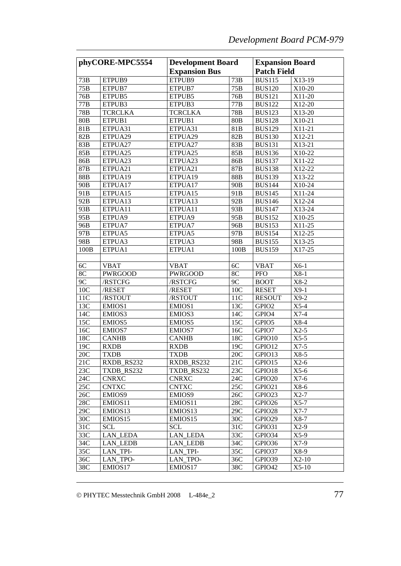| phyCORE-MPC5554 |                     | <b>Development Board</b> |                 | <b>Expansion Board</b> |                     |
|-----------------|---------------------|--------------------------|-----------------|------------------------|---------------------|
|                 |                     | <b>Expansion Bus</b>     |                 | <b>Patch Field</b>     |                     |
| 73B             | ETPUB9              | ETPUB9                   | 73B             | <b>BUS115</b>          | X13-19              |
| 75B             | ETPUB7              | ETPUB7                   | 75B             | <b>BUS120</b>          | X10-20              |
| 76B             | ETPUB5              | ETPUB5                   | 76B             | <b>BUS121</b>          | X11-20              |
| 77B             | ETPUB3              | ETPUB3                   | 77B             | <b>BUS122</b>          | X12-20              |
| 78B             | <b>TCRCLKA</b>      | TCRCLKA                  | 78B             | <b>BUS123</b>          | X13-20              |
| 80B             | ETPUB1              | ETPUB1                   | 80B             | <b>BUS128</b>          | X <sub>1</sub> 0-21 |
| 81B             | ETPUA31             | ETPUA31                  | 81B             | <b>BUS129</b>          | X11-21              |
| 82B             | ETPUA29             | ETPUA <sub>29</sub>      | 82B             | <b>BUS130</b>          | X12-21              |
| 83B             | ETPUA27             | ETPUA27                  | 83B             | <b>BUS131</b>          | X13-21              |
| 85B             | ETPUA25             | ETPUA <sub>25</sub>      | 85B             | <b>BUS136</b>          | X10-22              |
| 86B             | ETPUA <sub>23</sub> | ETPUA <sub>23</sub>      | 86B             | <b>BUS137</b>          | X11-22              |
| 87B             | ETPUA21             | ETPUA21                  | 87B             | <b>BUS138</b>          | X12-22              |
| 88B             | ETPUA19             | ETPUA <sub>19</sub>      | 88B             | <b>BUS139</b>          | X13-22              |
| 90B             | ETPUA17             | ETPUA17                  | 90B             | <b>BUS144</b>          | X10-24              |
| 91 <sub>B</sub> | ETPUA <sub>15</sub> | ETPUA <sub>15</sub>      | 91 <sub>B</sub> | <b>BUS145</b>          | X11-24              |
| 92B             | ETPUA <sub>13</sub> | ETPUA <sub>13</sub>      | 92B             | <b>BUS146</b>          | X12-24              |
| 93B             | ETPUA11             | ETPUA11                  | 93B             | <b>BUS147</b>          | X13-24              |
| 95B             | ETPUA9              | ETPUA9                   | 95 <sub>B</sub> | <b>BUS152</b>          | X <sub>1</sub> 0-25 |
| 96B             | ETPUA7              | ETPUA7                   | 96B             | <b>BUS153</b>          | X11-25              |
| 97B             | ETPUA5              | ETPUA5                   | 97B             | <b>BUS154</b>          | X12-25              |
| 98B             | ETPUA3              | ETPUA3                   | 98B             | <b>BUS155</b>          | X13-25              |
| 100B            | ETPUA1              | ETPUA1                   | 100B            | <b>BUS159</b>          | X17-25              |
|                 |                     |                          |                 |                        |                     |
| 6C              | <b>VBAT</b>         | VBAT                     | 6C              | <b>VBAT</b>            | $X6-1$              |
| 8C              |                     |                          | 8C              | <b>PFO</b>             | $X8-1$              |
| 9C              | PWRGOOD<br>/RSTCFG  | PWRGOOD<br>/RSTCFG       | 9C              | <b>BOOT</b>            | $X8-2$              |
| 10C             | /RESET              |                          | 10C             | <b>RESET</b>           | $X9-1$              |
| 11C             |                     | /RESET                   | 11C             | <b>RESOUT</b>          | $X9-2$              |
| 13C             | /RSTOUT             | /RSTOUT<br>EMIOS1        | 13C             | GPIO <sub>2</sub>      | $X$ 5-4             |
| 14C             | EMIOS <sub>1</sub>  |                          | 14C             | GPIO <sub>4</sub>      | $X7-4$              |
| 15C             | EMIOS3              | EMIOS3                   |                 |                        |                     |
|                 | EMIOS5              | EMIOS5                   | 15C             | GPIO5                  | $X8-4$              |
| 16C             | EMIOS7              | EMIOS7                   | 16C             | GPIO7                  | $X2-5$              |
| 18C             | <b>CANHB</b>        | <b>CANHB</b>             | 18C             | GPIO <sub>10</sub>     | $X5-5$              |
| 19C             | <b>RXDB</b>         | <b>RXDB</b>              | 19C             | GPIO12                 | $X7-5$              |
| 20C             | <b>TXDB</b>         | <b>TXDB</b>              | 20C             | GPIO13                 | $X8-5$              |
| 21C             | RXDB RS232          | RXDB_RS232               | 21C             | GPIO15                 | $X2-6$              |
| 23C             | TXDB RS232          | TXDB RS232               | 23C             | GPIO <sub>18</sub>     | $X5-6$              |
| 24C             | <b>CNRXC</b>        | <b>CNRXC</b>             | 24C             | GPIO <sub>20</sub>     | X7-6                |
| 25C             | <b>CNTXC</b>        | <b>CNTXC</b>             | 25C             | GPIO21                 | $X8-6$              |
| 26C             | EMIOS9              | EMIOS9                   | 26C             | GPIO <sub>23</sub>     | $X2-7$              |
| 28C             | EMIOS <sub>11</sub> | EMIOS <sub>11</sub>      | 28C             | GPIO <sub>26</sub>     | $X5-7$              |
| 29C             | EMIOS13             | EMIOS <sub>13</sub>      | 29C             | GPIO28                 | $X7-7$              |
| 30 <sub>C</sub> | EMIOS <sub>15</sub> | EMIOS <sub>15</sub>      | 30 <sub>C</sub> | GPIO29                 | $X8-7$              |
| 31 <sup>C</sup> | <b>SCL</b>          | <b>SCL</b>               | 31C             | GPIO31                 | $X2-9$              |
| 33C             | <b>LAN LEDA</b>     | <b>LAN LEDA</b>          | 33C             | GPIO34                 | $X5-9$              |
| 34C             | <b>LAN LEDB</b>     | LAN LEDB                 | 34C             | GPIO36                 | $X7-9$              |
| 35C             | LAN TPI-            | <b>LAN TPI-</b>          | 35C             | GPIO37                 | $X8-9$              |
| 36C             | LAN_TPO-            | LAN TPO-                 | 36C             | GPIO39                 | $X2-10$             |
| 38C             | EMIOS17             | EMIOS17                  | 38C             | GPIO <sub>42</sub>     | $X5-10$             |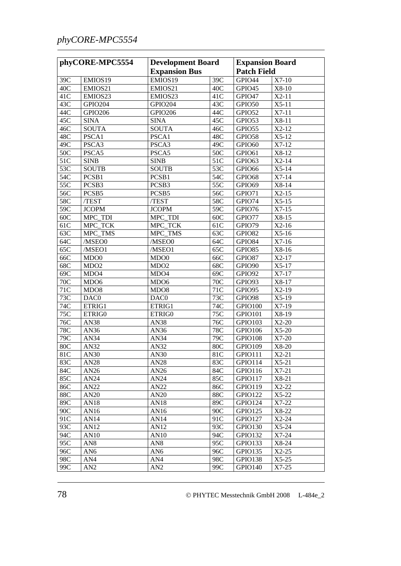## *phyCORE-MPC5554*

| phyCORE-MPC5554 |                             | <b>Development Board</b><br><b>Expansion Bus</b> |            | <b>Expansion Board</b><br><b>Patch Field</b> |                    |
|-----------------|-----------------------------|--------------------------------------------------|------------|----------------------------------------------|--------------------|
|                 |                             |                                                  |            |                                              |                    |
| 39C<br>40C      | EMIOS19                     | EMIOS19<br>EMIOS21                               | 39C<br>40C | GPIO44                                       | $X7-10$<br>$X8-10$ |
|                 | EMIOS21<br>EMIOS23          |                                                  | 41C        | GPIO45<br>GPIO47                             | $X2-11$            |
| 41C             |                             | EMIOS23                                          |            |                                              |                    |
| 43C             | GPIO204                     | GPIO204                                          | 43C        | GPIO50                                       | $X5-11$            |
| 44C             | <b>GPIO206</b>              | <b>GPIO206</b>                                   | 44C        | GPIO52                                       | $X7-11$<br>X8-11   |
| 45C             | <b>SINA</b><br><b>SOUTA</b> | <b>SINA</b>                                      | 45C<br>46C | GPIO53                                       | $X2-12$            |
| 46C<br>48C      |                             | <b>SOUTA</b>                                     |            | GPIO55                                       | $X5-12$            |
|                 | PSCA1                       | PSCA1                                            | 48C        | GPIO58                                       |                    |
| 49C             | PSCA3                       | PSCA3                                            | 49C        | GPIO60                                       | $X7-12$            |
| 50C             | PSCA5                       | PSCA5                                            | 50C        | GPIO61                                       | X8-12              |
| 51C             | <b>SINB</b>                 | <b>SINB</b>                                      | 51C        | GPIO63                                       | $X2-14$            |
| 53C             | <b>SOUTB</b>                | <b>SOUTB</b>                                     | 53C        | GPIO66                                       | $X5-14$            |
| 54C             | PCSB1                       | PCSB1                                            | 54C        | GPIO68                                       | $X7-14$            |
| 55C             | PCSB3                       | PCSB3                                            | 55C        | GPIO69                                       | X8-14              |
| 56C             | PCSB5                       | PCSB5                                            | 56C        | GPIO71                                       | $X2-15$            |
| 58C             | /TEST                       | /TEST                                            | 58C        | GPIO74                                       | $X5-15$            |
| 59C             | <b>JCOPM</b>                | <b>JCOPM</b>                                     | 59C        | GPIO76                                       | $X7-15$            |
| 60C             | $MPC$ _TDI                  | MPC_TDI                                          | 60C        | GPIO77                                       | X8-15              |
| 61C             | MPC_TCK                     | MPC_TCK                                          | 61C        | GPIO79                                       | $X2-16$            |
| 63C             | MPC_TMS                     | MPC_TMS                                          | 63C        | GPIO82                                       | $X5-16$            |
| 64C             | /MSEO0                      | /MSEO0                                           | 64C        | GPIO84                                       | $X7-16$            |
| 65C             | /MSEO1                      | /MSEO1                                           | 65C        | GPIO85                                       | X8-16              |
| 66C             | MD <sub>00</sub>            | MDO <sub>0</sub>                                 | 66C        | GPIO87                                       | $X2-17$            |
| 68C             | MDO <sub>2</sub>            | MDO <sub>2</sub>                                 | 68C        | GPIO90                                       | $X5-17$            |
| 69C             | MDO4                        | MDO4                                             | 69C        | GPIO92                                       | $X7-17$            |
| 70C             | MD <sub>O6</sub>            | MDO <sub>6</sub>                                 | 70C        | GPIO93                                       | X8-17              |
| 71C             | MDO <sub>8</sub>            | MDO <sub>8</sub>                                 | 71C        | GPIO95                                       | $X2-19$            |
| 73C             | DAC0                        | DAC0                                             | 73C        | GPIO98                                       | $X5-19$            |
| 74C             | ETRIG1                      | ETRIG1                                           | 74C        | GPIO100                                      | $X7-19$            |
| 75C             | ETRIG0                      | ETRIG0                                           | 75C        | GPIO101                                      | X8-19              |
| 76C             | <b>AN38</b>                 | <b>AN38</b>                                      | 76C        | GPIO103                                      | $X2-20$            |
| 78C             | AN36                        | AN36                                             | 78C        | GPIO106                                      | $X5-20$            |
| 79C             | AN34                        | AN34                                             | 79C        | GPIO108                                      | $X7-20$            |
| 80C             | AN32                        | AN32                                             | 80C        | GPIO109                                      | X8-20              |
| 81C             | AN30                        | AN30                                             | 81C        | GPIO111                                      | $X2-21$            |
| 83C             | AN28                        | AN28                                             | 83C        | GPIO114                                      | $X5-21$            |
| 84C             | AN26                        | AN26                                             | 84C        | GPIO116                                      | $X7-21$            |
| 85C             | AN24                        | AN24                                             | 85C        | GPIO117                                      | X8-21              |
| 86C             | AN22                        | AN22                                             | 86C        | GPIO119                                      | $X2-22$            |
| 88C             | AN20                        | AN20                                             | 88C        | GPIO122                                      | $X5-22$            |
| 89C             | AN18                        | AN18                                             | 89C        | GPIO124                                      | $X7-22$            |
| 90C             | AN16                        | AN16                                             | 90C        | GPIO125                                      | X8-22              |
| 91C             | AN14                        | AN14                                             | 91C        | GPIO127                                      | $X2-24$            |
| 93C             | AN12                        | AN12                                             | 93C        | GPIO130                                      | $X5-24$            |
| 94C             | AN10                        | AN10                                             | 94C        | GPIO132                                      | $X7-24$            |
| 95C             | AN <sub>8</sub>             | AN <sub>8</sub>                                  | 95C        | GPIO133                                      | X8-24              |
| 96C             | AN <sub>6</sub>             | AN <sub>6</sub>                                  | 96C        | GPIO135                                      | $X2-25$            |
| 98C             | AN4                         | AN4                                              | 98C        | GPIO138                                      | $X5-25$            |
| 99C             | AN2                         | AN2                                              | 99C        | GPIO140                                      | $X7-25$            |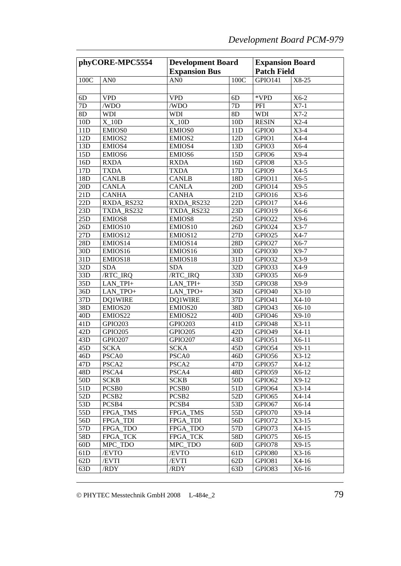| phyCORE-MPC5554 |                   | <b>Development Board</b> |                 | <b>Expansion Board</b> |         |
|-----------------|-------------------|--------------------------|-----------------|------------------------|---------|
|                 |                   | <b>Expansion Bus</b>     |                 | <b>Patch Field</b>     |         |
| 100C            | AN <sub>0</sub>   | AN <sub>0</sub>          | 100C            | GPIO141                | X8-25   |
|                 |                   |                          |                 |                        |         |
| 6D              | <b>VPD</b>        | <b>VPD</b>               | 6 <sub>D</sub>  | *VPD                   | $X6-2$  |
| 7D              | /WDO              | /WDO                     | 7D              | PFI                    | $X7-1$  |
| 8D              | <b>WDI</b>        | <b>WDI</b>               | 8D              | <b>WDI</b>             | $X7-2$  |
| 10D             | $X_10D$           | $X_10D$                  | 10D             | <b>RESIN</b>           | $X2-4$  |
| 11D             | EMIOS0            | <b>EMIOS0</b>            | 11D             | GPIO <sub>0</sub>      | $X3-4$  |
| 12D             | EMIOS2            | EMIOS2                   | 12D             | GPIO1                  | X4-4    |
| 13D             | EMIOS4            | EMIOS4                   | 13D             | GPIO3                  | $X6-4$  |
| 15D             | EMIOS6            | EMIOS6                   | 15D             | GPIO <sub>6</sub>      | $X9-4$  |
| 16D             | <b>RXDA</b>       | <b>RXDA</b>              | 16D             | GPIO <sub>8</sub>      | $X3-5$  |
| 17D             | <b>TXDA</b>       | <b>TXDA</b>              | 17D             | GPIO9                  | $X4-5$  |
| 18D             | <b>CANLB</b>      | <b>CANLB</b>             | 18D             | GPIO11                 | $X6-5$  |
| 20D             | <b>CANLA</b>      | <b>CANLA</b>             | 20D             | GPIO14                 | $X9-5$  |
| 21D             | <b>CANHA</b>      | <b>CANHA</b>             | 21D             | GPIO16                 | $X3-6$  |
| 22D             | RXDA_RS232        | RXDA_RS232               | 22D             | GPIO17                 | $X4-6$  |
| 23D             | TXDA_RS232        | TXDA_RS232               | 23D             | GPIO19                 | X6-6    |
| 25D             | EMIOS8            | EMIOS8                   | 25D             | GPIO22                 | $X9-6$  |
| 26D             | EMIOS10           | EMIOS10                  | 26D             | GPIO24                 | $X3-7$  |
| 27D             | EMIOS12           | EMIOS12                  | 27D             | GPIO25                 | X4-7    |
| 28D             | EMIOS14           | EMIOS14                  | 28D             | GPIO27                 | $X6-7$  |
| 30D             | EMIOS16           | EMIOS16                  | 30D             | GPIO30                 | $X9-7$  |
| 31D             | EMIOS18           | EMIOS18                  | 31D             | GPIO32                 | $X3-9$  |
| 32D             | <b>SDA</b>        | SDA                      | 32D             | GPIO33                 | X4-9    |
| 33D             | /RTC_IRQ          | /RTC_IRQ                 | 33D             | GPIO35                 | X6-9    |
| 35D             | LAN_TPI+          | LAN_TPI+                 | 35D             | GPIO38                 | X9-9    |
| 36D             | LAN_TPO+          | LAN_TPO+                 | 36D             | GPIO <sub>40</sub>     | $X3-10$ |
| 37D             | DQ1WIRE           | DQ1WIRE                  | 37D             | GPIO41                 | $X4-10$ |
| 38D             | EMIOS20           | EMIOS20                  | 38D             | GPIO43                 | X6-10   |
| 40D             | EMIOS22           | EMIOS22                  | 40D             | GPIO46                 | $X9-10$ |
| 41D             | GPIO203           | GPIO203                  | 41D             | GPIO48                 | $X3-11$ |
| 42D             | GPIO205           | GPIO205                  | 42D             | GPIO49                 | $X4-11$ |
| 43D             | <b>GPIO207</b>    | <b>GPIO207</b>           | 43D             | GPIO51                 | $X6-11$ |
| 45D             | <b>SCKA</b>       | <b>SCKA</b>              | 45D             | GPIO54                 | $X9-11$ |
| 46D             | PSCA0             | PSCA0                    | 46D             | GPIO56                 | $X3-12$ |
| 47 <sub>D</sub> | PSCA <sub>2</sub> | PSCA2                    | 47D             | GPIO57                 | X4-12   |
| 48D             | PSCA4             | PSCA4                    | 48D             | GPIO59                 | $X6-12$ |
| 50 <sub>D</sub> | <b>SCKB</b>       | <b>SCKB</b>              | 50 <sub>D</sub> | GPIO62                 | $X9-12$ |
| 51D             | PCSB <sub>0</sub> | PCSB <sub>0</sub>        | 51D             | GPIO64                 | $X3-14$ |
| 52D             | PCSB <sub>2</sub> | PCSB <sub>2</sub>        | 52D             | GPIO65                 | $X4-14$ |
| 53D             | PCSB4             | PCSB4                    | 53D             | GPIO67                 | X6-14   |
| 55D             | <b>FPGA TMS</b>   | FPGA_TMS                 | 55D             | GPIO70                 | $X9-14$ |
| 56D             | FPGA_TDI          | FPGA_TDI                 | 56D             | GPIO72                 | $X3-15$ |
| 57D             | FPGA_TDO          | FPGA_TDO                 | 57D             | GPIO73                 | $X4-15$ |
| 58D             | FPGA_TCK          | FPGA_TCK                 | 58D             | GPIO75                 | $X6-15$ |
| 60D             | MPC_TDO           | MPC_TDO                  | 60D             | GPIO78                 | $X9-15$ |
| 61D             | /EVTO             | /EVTO                    | 61D             | GPIO80                 | $X3-16$ |
| 62D             | /EVTI             | /EVTI                    | 62D             | GPIO81                 | $X4-16$ |
| 63D             | /RDY              | /RDY                     | 63D             | GPIO83                 | $X6-16$ |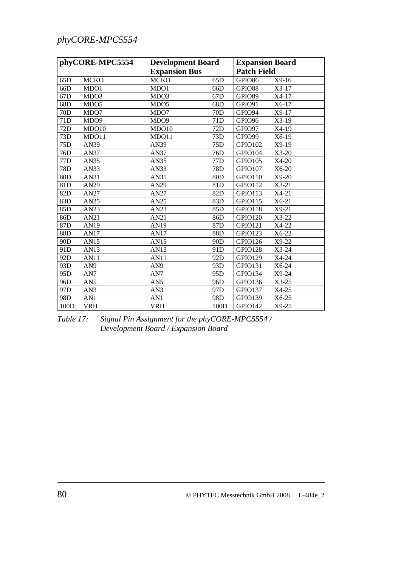## *phyCORE-MPC5554*

| phyCORE-MPC5554 |                  |                      | <b>Development Board</b> |                | <b>Expansion Board</b> |
|-----------------|------------------|----------------------|--------------------------|----------------|------------------------|
|                 |                  | <b>Expansion Bus</b> |                          |                | <b>Patch Field</b>     |
| 65D             | <b>MCKO</b>      | <b>MCKO</b>          | 65D                      | GPIO86         | $X9-16$                |
| 66D             | MDO1             | MDO1                 | 66D                      | GPIO88         | X3-17                  |
| 67D             | MDO3             | MDO3                 | 67D                      | GPIO89         | X4-17                  |
| 68D             | MDO <sub>5</sub> | MDO <sub>5</sub>     | 68D                      | <b>GPIO91</b>  | X6-17                  |
| 70D             | MDO7             | MDO7                 | 70 <sub>D</sub>          | GPIO94         | $X9-17$                |
| 71D             | MDO <sub>9</sub> | MDO <sub>9</sub>     | 71D                      | GPIO96         | $X3-19$                |
| 72D             | MDO10            | MDO10                | 72D                      | GPIO97         | X4-19                  |
| 73D             | MDO11            | MDO11                | 73D                      | GPIO99         | X6-19                  |
| 75D             | AN39             | AN39                 | 75D                      | GPIO102        | $X9-19$                |
| 76D             | AN37             | AN37                 | 76D                      | GPIO104        | $X3-20$                |
| 77 <sub>D</sub> | AN35             | AN35                 | 77 <sub>D</sub>          | GPIO105        | $X4-20$                |
| 78D             | AN33             | AN33                 | 78D                      | GPIO107        | X6-20                  |
| 80D             | AN31             | AN31                 | 80D                      | <b>GPIO110</b> | $X9-20$                |
| 81D             | AN29             | AN29                 | 81 <sub>D</sub>          | <b>GPIO112</b> | $X3-21$                |
| 82D             | AN27             | <b>AN27</b>          | 82D                      | GPIO113        | $X4-21$                |
| 83D             | AN25             | AN25                 | 83D                      | <b>GPIO115</b> | $X6-21$                |
| 85D             | AN23             | AN23                 | 85D                      | GPIO118        | $X9-21$                |
| 86D             | AN21             | AN21                 | 86D                      | GPIO120        | X3-22                  |
| 87D             | AN19             | AN19                 | 87D                      | <b>GPIO121</b> | X4-22                  |
| 88D             | AN17             | AN17                 | 88D                      | <b>GPIO123</b> | X6-22                  |
| 90D             | <b>AN15</b>      | <b>AN15</b>          | 90 <sub>D</sub>          | GPIO126        | X9-22                  |
| 91D             | AN13             | AN13                 | 91D                      | <b>GPIO128</b> | $X3-24$                |
| 92D             | <b>AN11</b>      | <b>AN11</b>          | 92D                      | GPIO129        | X4-24                  |
| 93D             | AN9              | AN9                  | 93D                      | GPIO131        | X6-24                  |
| 95 <sub>D</sub> | AN7              | AN7                  | 95 <sub>D</sub>          | GPIO134        | $X9-24$                |
| 96D             | AN <sub>5</sub>  | AN5                  | 96D                      | GPIO136        | $X3-25$                |
| 97D             | AN3              | AN3                  | 97D                      | GPIO137        | X4-25                  |
| 98 <sub>D</sub> | AN1              | AN1                  | 98 <sub>D</sub>          | <b>GPIO139</b> | $X6-25$                |
| 100D            | <b>VRH</b>       | <b>VRH</b>           | 100D                     | GPIO142        | $X9-25$                |

*Table 17: Signal Pin Assignment for the phyCORE-MPC5554 / Development Board / Expansion Board*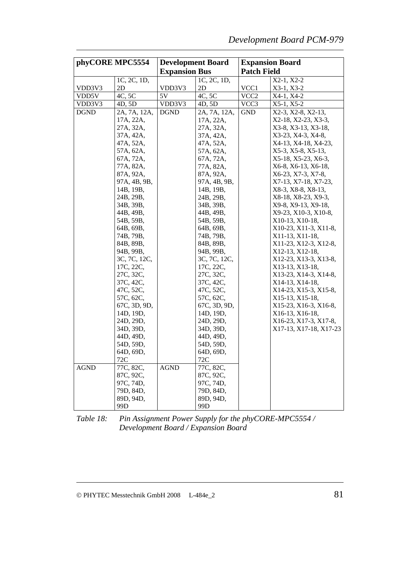| phyCORE MPC5554 |                        | <b>Development Board</b> |                        | <b>Expansion Board</b> |                                                 |  |
|-----------------|------------------------|--------------------------|------------------------|------------------------|-------------------------------------------------|--|
|                 |                        | <b>Expansion Bus</b>     |                        | <b>Patch Field</b>     |                                                 |  |
|                 | 1C, 2C, 1D,            |                          | 1C, 2C, 1D,            |                        | X2-1, X2-2                                      |  |
| VDD3V3          | 2D                     | VDD3V3                   | 2D                     | VCC1                   | $X3-1, X3-2$                                    |  |
| VDD5V           | 4C, 5C                 | 5V                       | 4C, 5C                 | VCC <sub>2</sub>       | X4-1, X4-2                                      |  |
| VDD3V3          | 4D, 5D                 | VDD3V3                   | 4D, 5D                 | VCC <sub>3</sub>       | $X5-1, X5-2$                                    |  |
| <b>DGND</b>     | 2A, 7A, 12A,           | <b>DGND</b>              | 2A, 7A, 12A,           | <b>GND</b>             | X2-3, X2-8, X2-13,                              |  |
|                 | 17A, 22A,              |                          | 17A, 22A,              |                        | X2-18, X2-23, X3-3,                             |  |
|                 | 27A, 32A,              |                          | 27A, 32A,              |                        | X3-8, X3-13, X3-18,                             |  |
|                 | 37A, 42A,              |                          | 37A, 42A,              |                        | X3-23, X4-3, X4-8,                              |  |
|                 | 47A, 52A,              |                          | 47A, 52A,              |                        | X4-13, X4-18, X4-23,                            |  |
|                 | 57A, 62A,              |                          | 57A, 62A,              |                        | X5-3, X5-8, X5-13,                              |  |
|                 | 67A, 72A,              |                          | 67A, 72A,              |                        | X5-18, X5-23, X6-3,                             |  |
|                 | 77A, 82A,              |                          | 77A, 82A,              |                        | X6-8, X6-13, X6-18,                             |  |
|                 | 87A, 92A,              |                          | 87A, 92A,              |                        | X6-23, X7-3, X7-8,                              |  |
|                 | 97A, 4B, 9B,           |                          | 97A, 4B, 9B,           |                        | X7-13, X7-18, X7-23,                            |  |
|                 | 14B, 19B,              |                          | 14B, 19B,              |                        | X8-3, X8-8, X8-13,                              |  |
|                 | 24B, 29B,              |                          | 24B, 29B,              |                        | X8-18, X8-23, X9-3,                             |  |
|                 | 34B, 39B,              |                          | 34B, 39B,              |                        | X9-8, X9-13, X9-18,                             |  |
|                 | 44B, 49B,              |                          | 44B, 49B,              |                        | X9-23, X10-3, X10-8,                            |  |
|                 | 54B, 59B,              |                          | 54B, 59B,              |                        | X10-13, X10-18,                                 |  |
|                 | 64B, 69B,              |                          | 64B, 69B,              |                        | X10-23, X11-3, X11-8,                           |  |
|                 | 74B, 79B,              |                          | 74B, 79B,              |                        | X11-13, X11-18,                                 |  |
|                 | 84B, 89B,              |                          | 84B, 89B,              |                        | X11-23, X12-3, X12-8,                           |  |
|                 | 94B, 99B,              |                          | 94B, 99B,              |                        | X12-13, X12-18,                                 |  |
|                 | 3C, 7C, 12C,           |                          | 3C, 7C, 12C,           |                        | X12-23, X13-3, X13-8,                           |  |
|                 | 17C, 22C,              |                          | 17C, 22C,              |                        | X13-13, X13-18,                                 |  |
|                 | 27C, 32C,              |                          | 27C, 32C,              |                        | X13-23, X14-3, X14-8,                           |  |
|                 | 37C, 42C,              |                          | 37C, 42C,              |                        | X14-13, X14-18,                                 |  |
|                 | 47C, 52C,              |                          | 47C, 52C,              |                        | X14-23, X15-3, X15-8,                           |  |
|                 | 57C, 62C,              |                          | 57C, 62C,              |                        | X15-13, X15-18,                                 |  |
|                 | 67C, 3D, 9D,           |                          | 67C, 3D, 9D,           |                        | X15-23, X16-3, X16-8,                           |  |
|                 | 14D, 19D,<br>24D, 29D, |                          | 14D, 19D,<br>24D, 29D, |                        | X16-13, X16-18,                                 |  |
|                 | 34D, 39D,              |                          | 34D, 39D,              |                        | X16-23, X17-3, X17-8,<br>X17-13, X17-18, X17-23 |  |
|                 | 44D, 49D,              |                          | 44D, 49D,              |                        |                                                 |  |
|                 | 54D, 59D,              |                          | 54D, 59D,              |                        |                                                 |  |
|                 | 64D, 69D,              |                          | 64D, 69D,              |                        |                                                 |  |
|                 | 72C                    |                          | 72C                    |                        |                                                 |  |
| <b>AGND</b>     | 77C, 82C,              | <b>AGND</b>              | 77C, 82C,              |                        |                                                 |  |
|                 | 87C, 92C,              |                          | 87C, 92C,              |                        |                                                 |  |
|                 | 97C, 74D,              |                          | 97C, 74D,              |                        |                                                 |  |
|                 | 79D, 84D,              |                          | 79D, 84D,              |                        |                                                 |  |
|                 | 89D, 94D,              |                          | 89D, 94D,              |                        |                                                 |  |
|                 | 99D                    |                          | 99 <sub>D</sub>        |                        |                                                 |  |

*Table 18: Pin Assignment Power Supply for the phyCORE-MPC5554 / Development Board / Expansion Board*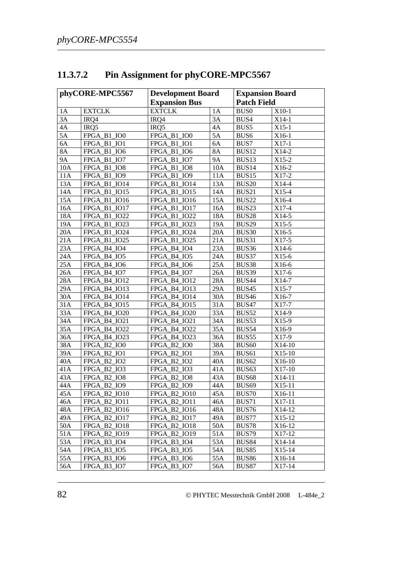| phyCORE-MPC5567 |                     | <b>Development Board</b> |           | <b>Expansion Board</b> |          |
|-----------------|---------------------|--------------------------|-----------|------------------------|----------|
|                 |                     | <b>Expansion Bus</b>     |           | <b>Patch Field</b>     |          |
| 1A              | <b>EXTCLK</b>       | <b>EXTCLK</b>            | 1A        | <b>BUS0</b>            | $X10-1$  |
| 3A              | IRQ4                | IRQ4                     | 3A        | BUS4                   | $X14-1$  |
| 4A              | IRQ5                | IRQ5                     | 4A        | BUS5                   | $X15-1$  |
| 5A              | FPGA_B1_IO0         | FPGA B1 IO0              | 5A        | BUS <sub>6</sub>       | X16-1    |
| 6A              | FPGA_B1_IO1         | FPGA_B1_IO1              | 6A        | BUS7                   | $X17-1$  |
| <b>8A</b>       | FPGA_B1_IO6         | FPGA_B1_IO6              | <b>8A</b> | BUS <sub>12</sub>      | $X14-2$  |
| <b>9A</b>       | FPGA_B1_IO7         | FPGA_B1_IO7              | <b>9A</b> | BUS <sub>13</sub>      | $X15-2$  |
| 10A             | FPGA_B1_IO8         | FPGA B1 IO8              | 10A       | BUS14                  | X16-2    |
| 11A             | FPGA_B1_IO9         | FPGA B1 IO9              | 11A       | BUS15                  | $X17-2$  |
| 13A             | FPGA_B1_IO14        | <b>FPGA B1 IO14</b>      | 13A       | <b>BUS20</b>           | $X14-4$  |
| 14A             | FPGA_B1_IO15        | FPGA_B1_IO15             | 14A       | BUS21                  | $X15-4$  |
| 15A             | FPGA_B1_IO16        | FPGA_B1_IO16             | 15A       | BUS22                  | X16-4    |
| 16A             | FPGA_B1_IO17        | FPGA_B1_IO17             | 16A       | BUS <sub>23</sub>      | X17-4    |
| 18A             | FPGA_B1_IO22        | FPGA_B1_IO22             | 18A       | BUS28                  | $X14-5$  |
| 19A             | FPGA_B1_IO23        | FPGA_B1_IO23             | 19A       | BUS29                  | $X15-5$  |
| 20A             | FPGA_B1_IO24        | <b>FPGA B1 IO24</b>      | 20A       | BUS30                  | X16-5    |
| 21A             | FPGA_B1_IO25        | FPGA_B1_IO25             | 21A       | BUS31                  | $X17-5$  |
| 23A             | FPGA B4 IO4         | FPGA_B4_IO4              | 23A       | BUS36                  | $X14-6$  |
| 24A             | FPGA_B4_IO5         | FPGA_B4_IO5              | 24A       | BUS37                  | $X15-6$  |
| 25A             | FPGA_B4_IO6         | FPGA_B4_IO6              | 25A       | BUS38                  | X16-6    |
| 26A             | FPGA_B4_IO7         | FPGA B4 IO7              | 26A       | BUS39                  | $X17-6$  |
| 28A             | <b>FPGA B4 IO12</b> | FPGA_B4_IO12             | 28A       | <b>BUS44</b>           | X14-7    |
| 29A             | FPGA_B4_IO13        | FPGA_B4_IO13             | 29A       | BUS45                  | $X15-7$  |
| 30A             | FPGA_B4_IO14        | FPGA_B4_IO14             | 30A       | <b>BUS46</b>           | X16-7    |
| 31A             | FPGA_B4_IO15        | FPGA_B4_IO15             | 31A       | BUS47                  | X17-7    |
| 33A             | <b>FPGA_B4_IO20</b> | FPGA_B4_IO20             | 33A       | BUS52                  | X14-9    |
| 34A             | FPGA_B4_IO21        | FPGA_B4_IO21             | 34A       | BUS53                  | $X15-9$  |
| 35A             | FPGA_B4_IO22        | FPGA_B4_IO22             | 35A       | BUS54                  | X16-9    |
| 36A             | FPGA_B4_IO23        | FPGA_B4_IO23             | 36A       | BUS55                  | X17-9    |
| 38A             | FPGA_B2_IO0         | FPGA_B2_IO0              | 38A       | BUS <sub>60</sub>      | $X14-10$ |
| 39A             | FPGA_B2_IO1         | FPGA_B2_IO1              | 39A       | BUS <sub>61</sub>      | $X15-10$ |
| 40A             | FPGA_B2_IO2         | FPGA_B2_IO2              | 40A       | BUS <sub>62</sub>      | X16-10   |
| 41A             | <b>FPGA B2 IO3</b>  | FPGA_B2_IO3              | 41A       | BUS <sub>63</sub>      | X17-10   |
| 43A             | FPGA_B2_IO8         | FPGA_B2_IO8              | 43A       | BUS <sub>68</sub>      | X14-11   |
| 44A             | <b>FPGA B2 IO9</b>  | <b>FPGA B2 IO9</b>       | 44A       | BUS <sub>69</sub>      | $X15-11$ |
| 45A             | FPGA_B2_IO10        | FPGA_B2_IO10             | 45A       | BUS70                  | X16-11   |
| 46A             | <b>FPGA B2 IO11</b> | <b>FPGA B2 IO11</b>      | 46A       | <b>BUS71</b>           | X17-11   |
| 48A             | <b>FPGA B2 IO16</b> | FPGA_B2_IO16             | 48A       | <b>BUS76</b>           | X14-12   |
| 49A             | FPGA_B2_IO17        | FPGA_B2_IO17             | 49A       | BUS77                  | $X15-12$ |
| 50A             | FPGA_B2_IO18        | FPGA_B2_IO18             | 50A       | <b>BUS78</b>           | X16-12   |
| 51A             | FPGA_B2_IO19        | FPGA_B2_IO19             | 51A       | BUS79                  | X17-12   |
| 53A             | FPGA B3 IO4         | FPGA_B3_IO4              | 53A       | <b>BUS84</b>           | X14-14   |
| 54A             | FPGA B3 IO5         | FPGA B3 IO5              | 54A       | <b>BUS85</b>           | $X15-14$ |
| 55A             | FPGA B3 IO6         | FPGA_B3_IO6              | 55A       | <b>BUS86</b>           | X16-14   |
| 56A             | FPGA B3 IO7         | FPGA B3 IO7              | 56A       | <b>BUS87</b>           | $X17-14$ |

## **11.3.7.2 Pin Assignment for phyCORE-MPC5567**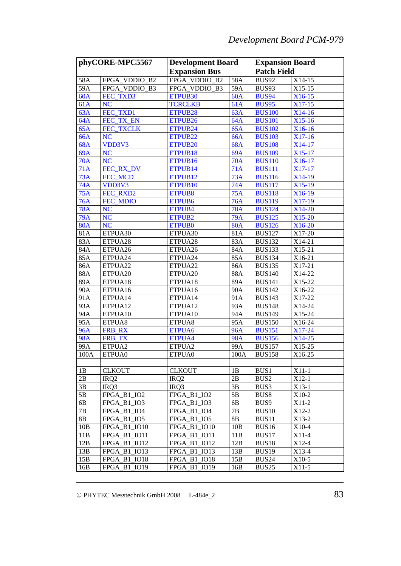| phyCORE-MPC5567 |                            | <b>Development Board</b>                          |            | <b>Expansion Board</b> |          |
|-----------------|----------------------------|---------------------------------------------------|------------|------------------------|----------|
|                 |                            | <b>Expansion Bus</b>                              |            | <b>Patch Field</b>     |          |
| 58A             | FPGA_VDDIO_B2              | FPGA VDDIO B2                                     | 58A        | <b>BUS92</b>           | X14-15   |
| 59A             | FPGA_VDDIO_B3              | FPGA_VDDIO B3                                     | 59A        | BUS93                  | X15-15   |
| 60A             | FEC TXD3                   | ETPUB <sub>30</sub>                               | 60A        | <b>BUS94</b>           | $X16-15$ |
| 61A             | <b>NC</b>                  | <b>TCRCLKB</b>                                    | 61A        | <b>BUS95</b>           | $X17-15$ |
| 63A             | FEC_TXD1                   | ETPUB <sub>28</sub>                               | 63A        | <b>BUS100</b>          | $X14-16$ |
| 64A             | FEC_TX_EN                  | ETPUB <sub>26</sub>                               | 64A        | <b>BUS101</b>          | $X15-16$ |
| 65A             | FEC_TXCLK                  | ETPUB24                                           | 65A        | <b>BUS102</b>          | X16-16   |
| 66A             | <b>NC</b>                  | ETPUB <sub>22</sub>                               | 66A        | <b>BUS103</b>          | X17-16   |
| 68A             | VDD3V3                     | ETPUB <sub>20</sub>                               | 68A        | <b>BUS108</b>          | X14-17   |
| 69A             | <b>NC</b>                  | ETPUB <sub>18</sub>                               | 69A        | <b>BUS109</b>          | X15-17   |
| <b>70A</b>      | <b>NC</b>                  | ETPUB <sub>16</sub>                               | <b>70A</b> | <b>BUS110</b>          | X16-17   |
| 71A             | FEC_RX_DV                  | ETPUB14                                           | 71A        | <b>BUS111</b>          | $X17-17$ |
| 73A             | FEC_MCD                    | ETPUB12                                           | 73A        | <b>BUS116</b>          | X14-19   |
| 74A             | VDD3V3                     | ETPUB <sub>10</sub>                               | 74A        | <b>BUS117</b>          | X15-19   |
| 75A             | FEC_RXD2                   | <b>ETPUB8</b>                                     | <b>75A</b> | <b>BUS118</b>          | X16-19   |
| 76A             | FEC_MDIO                   | ETPUB6                                            | 76A        | <b>BUS119</b>          | X17-19   |
| <b>78A</b>      | <b>NC</b>                  | ETPUB4                                            | <b>78A</b> | <b>BUS124</b>          | X14-20   |
| 79A             | <b>NC</b>                  | ETPUB2                                            | 79A        | <b>BUS125</b>          | X15-20   |
| <b>80A</b>      | <b>NC</b>                  | <b>ETPUB0</b>                                     | <b>80A</b> | <b>BUS126</b>          | X16-20   |
| 81A             | ETPUA30                    | ETPUA30                                           | 81A        | <b>BUS127</b>          | X17-20   |
| 83A             | ETPUA28                    | ETPUA28                                           | 83A        | <b>BUS132</b>          | X14-21   |
| 84A             | ETPUA26                    | ETPUA26                                           | 84A        | <b>BUS133</b>          | X15-21   |
| 85A             | ETPUA24                    | ETPUA24                                           | 85A        | <b>BUS134</b>          | X16-21   |
| 86A             | ETPUA22                    | ETPUA22                                           | 86A        | <b>BUS135</b>          | X17-21   |
| 88A             | ETPUA20                    | ETPUA20                                           | 88A        | <b>BUS140</b>          | X14-22   |
| 89A             | ETPUA18                    | ETPUA18                                           | 89A        | <b>BUS141</b>          | X15-22   |
| 90A             | ETPUA16                    | ETPUA16                                           | 90A        | <b>BUS142</b>          | X16-22   |
| 91A             | ETPUA14                    | ETPUA14                                           | 91A        | <b>BUS143</b>          | X17-22   |
| 93A             | ETPUA12                    | ETPUA12                                           | 93A        | <b>BUS148</b>          | X14-24   |
| 94A             | ETPUA10                    | ETPUA10                                           | 94A        | <b>BUS149</b>          | X15-24   |
| 95A             | ETPUA8                     | ETPUA8                                            | 95A        | <b>BUS150</b>          | X16-24   |
| 96A             | FRB_RX                     | ETPUA6                                            | <b>96A</b> | <b>BUS151</b>          | $X17-24$ |
| <b>98A</b>      | FRB_TX                     | ETPUA4                                            | <b>98A</b> | <b>BUS156</b>          | X14-25   |
| 99A             | ETPUA2                     | ETPUA2                                            | 99A        | <b>BUS157</b>          | X15-25   |
| 100A            | ETPUA0                     | ETPUA0                                            | 100A       | <b>BUS158</b>          | X16-25   |
|                 |                            |                                                   |            |                        |          |
| 1B              | <b>CLKOUT</b>              | <b>CLKOUT</b>                                     | 1B         | BUS1                   | $X11-1$  |
| 2B              | IRQ <sub>2</sub>           | IRQ <sub>2</sub>                                  | 2B         | BUS2                   | $X12-1$  |
| 3B              | IRQ3                       | IRQ3                                              | 3B         | BUS3                   | $X13-1$  |
| 5B              | FPGA B1 IO2                | <b>FPGA B1 IO2</b>                                | 5B         | BUS8                   | X10-2    |
| 6B              | <b>FPGA B1 IO3</b>         | FPGA_B1<br>IO <sub>3</sub>                        | 6B         | BUS9                   | X11-2    |
| 7В              | FPGA B1 IO4                | <b>FPGA</b><br>B <sub>1</sub><br>IO <sub>4</sub>  | 7B         | BUS <sub>10</sub>      | X12-2    |
| 8B              | FPGA B1<br>IO <sub>5</sub> | <b>FPGA</b><br>B <sub>1</sub><br>IO <sub>5</sub>  | 8B         | BUS11                  | X13-2    |
| 10B             | FPGA B1<br><b>IO10</b>     | <b>FPGA</b><br>B <sub>1</sub><br>IO <sub>10</sub> | 10B        | BUS16                  | $X10-4$  |
| 11B             | FPGA B1<br><b>IO11</b>     | <b>FPGA</b><br>B <sub>1</sub><br>IO11             | 11B        | BUS17                  | $X11-4$  |
| 12B             | <b>IO12</b><br>FPGA B1     | <b>FPGA</b><br>B <sub>1</sub><br><b>IO12</b>      | 12B        | BUS18                  | X12-4    |
| 13B             | FPGA B1<br><b>IO13</b>     | FPGA<br>B1<br>IO13                                | 13B        | BUS <sub>19</sub>      | X13-4    |
| 15B             | <b>IO18</b><br>FPGA B1     | <b>FPGA</b><br>B1<br>IO18                         | 15B        | <b>BUS24</b>           | $X10-5$  |
| 16B             | FPGA_B1<br>IO19            | FPGA B1<br><b>IO19</b>                            | 16B        | <b>BUS25</b>           | $X11-5$  |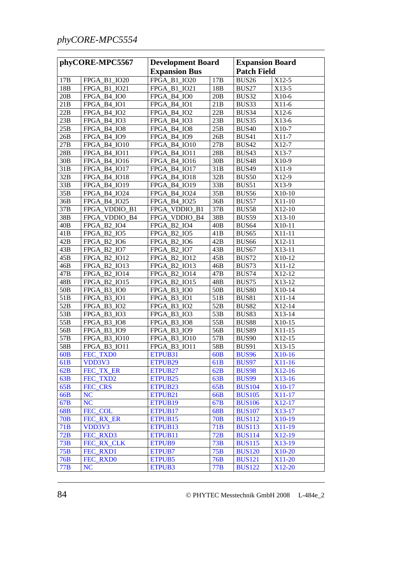| phyCORE-MPC5567 |                     | <b>Development Board</b>            |                 | <b>Expansion Board</b> |          |
|-----------------|---------------------|-------------------------------------|-----------------|------------------------|----------|
|                 |                     | <b>Expansion Bus</b>                |                 | <b>Patch Field</b>     |          |
| 17 <sub>B</sub> | FPGA_B1_IO20        | <b>FPGA B1 IO20</b>                 | 17B             | <b>BUS26</b>           | X12-5    |
| 18B             | <b>FPGA B1 IO21</b> | <b>FPGA B1 IO21</b>                 | 18B             | BUS27                  | X13-5    |
| 20B             | FPGA_B4_IO0         | FPGA B4 IO0                         | 20B             | BUS32                  | X10-6    |
| 21B             | FPGA_B4_IO1         | FPGA_B4_IO1                         | 21B             | BUS33                  | $X11-6$  |
| 22B             | FPGA_B4_IO2         | FPGA_B4_IO2                         | 22B             | BUS34                  | $X12-6$  |
| 23B             | FPGA_B4_IO3         | FPGA_B4_IO3                         | 23B             | BUS35                  | $X13-6$  |
| 25B             | FPGA_B4_IO8         | FPGA_B4_IO8                         | 25B             | <b>BUS40</b>           | X10-7    |
| 26B             | FPGA_B4_IO9         | FPGA_B4_IO9                         | 26B             | <b>BUS41</b>           | X11-7    |
| 27B             | FPGA_B4_IO10        | FPGA_B4_IO10                        | 27B             | <b>BUS42</b>           | X12-7    |
| 28B             | FPGA_B4_IO11        | FPGA_B4_IO11                        | 28B             | BUS43                  | X13-7    |
| 30B             | FPGA_B4_IO16        | FPGA_B4_IO16                        | 30B             | <b>BUS48</b>           | X10-9    |
| 31B             | FPGA_B4_IO17        | FPGA_B4_IO17                        | 31B             | <b>BUS49</b>           | X11-9    |
| 32B             | FPGA_B4_IO18        | FPGA_B4_IO18                        | 32B             | <b>BUS50</b>           | X12-9    |
| 33B             | FPGA_B4_IO19        | FPGA_B4_IO19                        | 33B             | BUS51                  | X13-9    |
| 35B             | FPGA_B4_IO24        | FPGA_B4_IO24                        | 35B             | <b>BUS56</b>           | X10-10   |
| 36B             | FPGA_B4_IO25        | FPGA_B4_IO25                        | 36B             | <b>BUS57</b>           | $X11-10$ |
| 37B             | FPGA_VDDIO_B1       | FPGA_VDDIO_B1                       | 37B             | BUS58                  | X12-10   |
| 38B             | FPGA_VDDIO_B4       | FPGA VDDIO B4                       | 38B             | BUS59                  | X13-10   |
| 40B             | FPGA_B2_IO4         | FPGA B2 IO4                         | 40B             | BUS <sub>64</sub>      | X10-11   |
| 41B             | FPGA_B2_IO5         | FPGA_B2_IO5                         | 41B             | BUS65                  | X11-11   |
| 42B             | FPGA_B2_IO6         | FPGA_B2_IO6                         | 42B             | <b>BUS66</b>           | X12-11   |
| 43B             | FPGA_B2_IO7         | FPGA_B2_IO7                         | 43B             | BUS67                  | X13-11   |
| 45B             | FPGA_B2_IO12        | FPGA_B2_IO12                        | 45B             | <b>BUS72</b>           | X10-12   |
| 46B             | FPGA_B2_IO13        | FPGA_B2_IO13                        | 46B             | BUS73                  | X11-12   |
| 47B             | FPGA_B2_IO14        | FPGA_B2_IO14                        | 47B             | <b>BUS74</b>           | X12-12   |
| 48B             | FPGA_B2_IO15        | FPGA_B2_IO15                        | 48B             | BUS75                  | X13-12   |
| 50 <sub>B</sub> | FPGA_B3_IO0         | FPGA_B3_IO0                         | 50 <sub>B</sub> | <b>BUS80</b>           | X10-14   |
| 51B             | FPGA_B3_IO1         | FPGA_B3_IO1                         | 51B             | <b>BUS81</b>           | $X11-14$ |
| 52B             | FPGA_B3_IO2         | $B3$ <sub>-IO2</sub><br><b>FPGA</b> | 52B             | <b>BUS82</b>           | X12-14   |
| 53B             | FPGA B3 IO3         | $B3$ <sub>-IO3</sub><br><b>FPGA</b> | 53B             | BUS83                  | X13-14   |
| 55B             | FPGA B3 IO8         | $B3$ <sub>IO8</sub><br><b>FPGA</b>  | 55B             | <b>BUS88</b>           | X10-15   |
| 56B             | FPGA_B3_IO9         | FPGA_B3_IO9                         | 56B             | <b>BUS89</b>           | $X11-15$ |
| 57B             | <b>FPGA B3 IO10</b> | <b>FPGA B3 IO10</b>                 | 57B             | <b>BUS90</b>           | X12-15   |
| 58B             | FPGA_B3_IO11        | FPGA_B3_IO11                        | 58B             | <b>BUS91</b>           | X13-15   |
| 60 <b>B</b>     | FEC_TXD0            | ETPUB31                             | 60 <b>B</b>     | <b>BUS96</b>           | X10-16   |
| 61 <sub>B</sub> | VDD3V3              | ETPUB <sub>29</sub>                 | 61 <sub>B</sub> | <b>BUS97</b>           | $X11-16$ |
| 62B             | FEC TX ER           | ETPUB27                             | 62B             | <b>BUS98</b>           | $X12-16$ |
| 63B             | FEC_TXD2            | ETPUB <sub>25</sub>                 | 63B             | <b>BUS99</b>           | $X13-16$ |
| 65B             | FEC_CRS             | ETPUB <sub>23</sub>                 | 65B             | <b>BUS104</b>          | X10-17   |
| 66B             | <b>NC</b>           | ETPUB21                             | 66B             | <b>BUS105</b>          | X11-17   |
| 67B             | NC                  | ETPUB <sub>19</sub>                 | 67B             | <b>BUS106</b>          | X12-17   |
| 68B             | FEC_COL             | ETPUB17                             | 68B             | <b>BUS107</b>          | X13-17   |
| 70B             | FEC_RX_ER           | ETPUB <sub>15</sub>                 | 70B             | <b>BUS112</b>          | X10-19   |
| 71B             | VDD3V3              | ETPUB <sub>13</sub>                 | 71B             | <b>BUS113</b>          | X11-19   |
| 72B             | FEC_RXD3            | ETPUB11                             | 72B             | <b>BUS114</b>          | X12-19   |
| 73B             | FEC_RX_CLK          | ETPUB9                              | 73B             | <b>BUS115</b>          | X13-19   |
| 75B             | FEC_RXD1            | ETPUB7                              | 75B             | <b>BUS120</b>          | X10-20   |
| 76 <b>B</b>     | FEC_RXD0            | ETPUB5                              | 76B             | <b>BUS121</b>          | X11-20   |
| 77B             | <b>NC</b>           | ETPUB3                              | 77B             | <b>BUS122</b>          | X12-20   |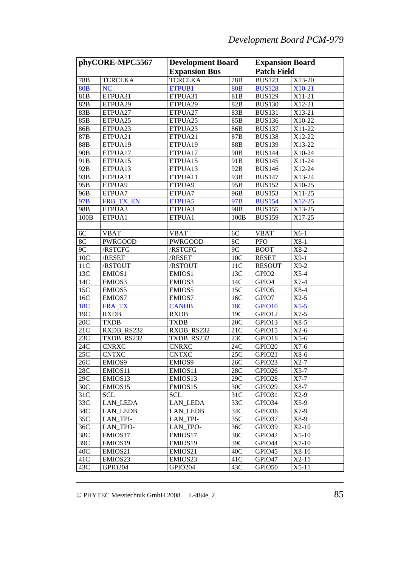| phyCORE-MPC5567 |                 | <b>Development Board</b> |                 | <b>Expansion Board</b> |         |
|-----------------|-----------------|--------------------------|-----------------|------------------------|---------|
|                 |                 | <b>Expansion Bus</b>     |                 | <b>Patch Field</b>     |         |
| 78B             | <b>TCRCLKA</b>  | <b>TCRCLKA</b>           | 78B             | <b>BUS123</b>          | X13-20  |
| <b>80B</b>      | <b>NC</b>       | ETPUB1                   | <b>80B</b>      | <b>BUS128</b>          | X10-21  |
| 81B             | ETPUA31         | ETPUA31                  | 81B             | <b>BUS129</b>          | X11-21  |
| 82B             | ETPUA29         | ETPUA29                  | 82B             | <b>BUS130</b>          | X12-21  |
| 83B             | ETPUA27         | ETPUA27                  | 83B             | <b>BUS131</b>          | X13-21  |
| 85B             | ETPUA25         | ETPUA25                  | 85B             | <b>BUS136</b>          | X10-22  |
| 86B             | ETPUA23         | ETPUA23                  | 86B             | <b>BUS137</b>          | X11-22  |
| 87B             | ETPUA21         | ETPUA21                  | 87B             | <b>BUS138</b>          | X12-22  |
| 88B             | ETPUA19         | ETPUA19                  | 88B             | <b>BUS139</b>          | X13-22  |
| 90 <sub>B</sub> | ETPUA17         | ETPUA17                  | 90 <sub>B</sub> | <b>BUS144</b>          | X10-24  |
| 91B             | ETPUA15         | ETPUA15                  | 91B             | <b>BUS145</b>          | X11-24  |
| 92B             | ETPUA13         | ETPUA13                  | 92B             | <b>BUS146</b>          | X12-24  |
| 93B             | ETPUA11         | ETPUA11                  | 93B             | <b>BUS147</b>          | X13-24  |
| 95B             | ETPUA9          | ETPUA9                   | 95B             | <b>BUS152</b>          | X10-25  |
| 96B             | ETPUA7          | ETPUA7                   | 96B             | <b>BUS153</b>          | X11-25  |
| 97B             | FRB_TX_EN       | ETPUA5                   | 97B             | <b>BUS154</b>          | X12-25  |
| 98B             | ETPUA3          | ETPUA3                   | 98B             | <b>BUS155</b>          | X13-25  |
| 100B            | ETPUA1          | ETPUA1                   | 100B            | <b>BUS159</b>          | X17-25  |
|                 |                 |                          |                 |                        |         |
| $6C$            | <b>VBAT</b>     | <b>VBAT</b>              | 6C              | <b>VBAT</b>            | $X6-1$  |
| 8C              | <b>PWRGOOD</b>  | <b>PWRGOOD</b>           | 8C              | <b>PFO</b>             | $X8-1$  |
| 9C              | /RSTCFG         | /RSTCFG                  | 9C              | <b>BOOT</b>            | $X8-2$  |
| 10C             | /RESET          | /RESET                   | 10C             | <b>RESET</b>           | $X9-1$  |
| 11C             | /RSTOUT         | /RSTOUT                  | 11C             | <b>RESOUT</b>          | $X9-2$  |
| 13C             | EMIOS1          | EMIOS1                   | 13C             | GPIO <sub>2</sub>      | $X$ 5-4 |
| 14C             | EMIOS3          | EMIOS3                   | 14C             | GPIO4                  | $X7-4$  |
| 15C             | EMIOS5          | EMIOS5                   | 15C             | GPIO5                  | $X8-4$  |
| 16C             | EMIOS7          | EMIOS7                   | 16C             | GPIO7                  | $X2-5$  |
| 18C             | FRA_TX          | <b>CANHB</b>             | 18C             | GPIO10                 | $X5-5$  |
| 19C             | <b>RXDB</b>     | <b>RXDB</b>              | 19C             | GPIO12                 | $X7-5$  |
| 20C             | <b>TXDB</b>     | <b>TXDB</b>              | 20C             | GPIO13                 | $X8-5$  |
| 21C             | RXDB RS232      | RXDB_RS232               | 21C             | GPIO15                 | $X2-6$  |
| 23C             | TXDB RS232      | TXDB_RS232               | 23C             | GPIO18                 | $X5-6$  |
| 24C             | <b>CNRXC</b>    | <b>CNRXC</b>             | 24C             | GPIO20                 | $X7-6$  |
| 25C             | <b>CNTXC</b>    | <b>CNTXC</b>             | 25C             | GPIO21                 | X8-6    |
| 26C             | EMIOS9          | EMIOS9                   | 26C             | GPIO23                 | $X2-7$  |
| 28C             | EMIOS11         | EMIOS11                  | 28C             | GPIO26                 | $X5-7$  |
| 29C             | EMIOS13         | EMIOS13                  | 29C             | GPIO28                 | $X7-7$  |
| 30C             | EMIOS15         | EMIOS15                  | 30C             | GPIO29                 | $X8-7$  |
| 31C             | <b>SCL</b>      | <b>SCL</b>               | 31C             | GPIO31                 | $X2-9$  |
| 33C             | <b>LAN_LEDA</b> | <b>LAN_LEDA</b>          | 33C             | GPIO34                 | $X5-9$  |
| 34C             | <b>LAN_LEDB</b> | <b>LAN_LEDB</b>          | 34C             | GPIO36                 | $X7-9$  |
| 35C             | LAN_TPI-        | LAN_TPI-                 | 35C             | GPIO37                 | X8-9    |
| 36C             | LAN_TPO-        | LAN_TPO-                 | 36C             | GPIO39                 | $X2-10$ |
| 38C             | EMIOS17         | EMIOS17                  | 38C             | GPIO42                 | $X5-10$ |
| 39C             | EMIOS19         | EMIOS19                  | 39C             | GPIO44                 | $X7-10$ |
| 40 <sup>C</sup> | EMIOS21         | EMIOS21                  | 40C             | GPIO45                 | X8-10   |
| 41C             | EMIOS23         | EMIOS23                  | 41C             | GPIO47                 | $X2-11$ |
| 43C             | GPIO204         | GPIO204                  | 43C             | GPIO50                 | $X5-11$ |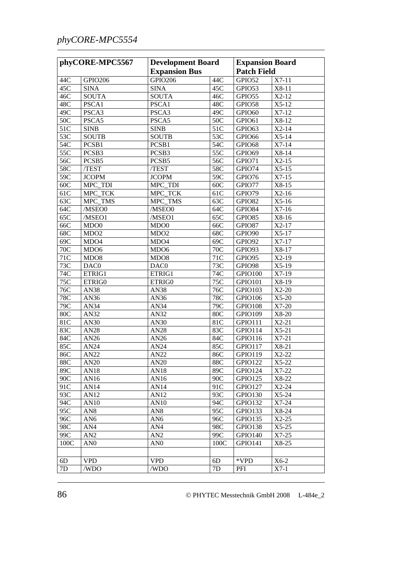## *phyCORE-MPC5554*

| phyCORE-MPC5567 |                  | <b>Development Board</b><br><b>Expansion Bus</b> |            | <b>Expansion Board</b><br><b>Patch Field</b> |         |
|-----------------|------------------|--------------------------------------------------|------------|----------------------------------------------|---------|
| 44C             | <b>GPIO206</b>   | <b>GPIO206</b>                                   | 44C        | GPIO52                                       | $X7-11$ |
| 45C             | <b>SINA</b>      | <b>SINA</b>                                      | 45C        | GPIO53                                       | X8-11   |
| 46C             | <b>SOUTA</b>     | <b>SOUTA</b>                                     | 46C        | GPIO55                                       | $X2-12$ |
| 48C             | PSCA1            | PSCA1                                            | 48C        | GPIO58                                       | $X5-12$ |
| 49C             | PSCA3            | PSCA3                                            | 49C        | GPIO60                                       | $X7-12$ |
| 50C             | PSCA5            | PSCA5                                            | 50C        | GPIO61                                       | X8-12   |
| 51C             | <b>SINB</b>      | <b>SINB</b>                                      | 51C        | GPIO63                                       | $X2-14$ |
| 53C             | <b>SOUTB</b>     | <b>SOUTB</b>                                     | 53C        | GPIO66                                       | $X5-14$ |
| 54C             | PCSB1            | PCSB1                                            | 54C        | GPIO68                                       | $X7-14$ |
| 55C             | PCSB3            | PCSB3                                            | 55C        | GPIO69                                       | X8-14   |
| 56C             | PCSB5            | PCSB5                                            | 56C        | GPIO71                                       | $X2-15$ |
| 58C             | /TEST            | /TEST                                            | 58C        |                                              | $X5-15$ |
| 59C             |                  |                                                  |            | GPIO74                                       | $X7-15$ |
|                 | <b>JCOPM</b>     | <b>JCOPM</b>                                     | 59C        | GPIO76                                       |         |
| 60C             | MPC_TDI          | MPC_TDI                                          | 60C        | GPIO77                                       | X8-15   |
| 61C             | MPC_TCK          | MPC_TCK                                          | 61C        | GPIO79                                       | $X2-16$ |
| 63C             | MPC_TMS          | MPC_TMS                                          | 63C        | GPIO82                                       | $X5-16$ |
| 64C             | /MSEO0           | /MSEO0                                           | 64C        | GPIO84                                       | $X7-16$ |
| 65C             | /MSEO1           | /MSEO1                                           | 65C        | GPIO85                                       | X8-16   |
| 66C             | MD <sub>00</sub> | MDO <sub>0</sub>                                 | 66C        | GPIO87                                       | $X2-17$ |
| 68C             | MDO <sub>2</sub> | MDO <sub>2</sub>                                 | 68C        | GPIO90                                       | $X5-17$ |
| 69C             | MDO4             | MDO4                                             | 69C        | GPIO92                                       | $X7-17$ |
| 70C             | MD <sub>06</sub> | MDO <sub>6</sub>                                 | 70C        | GPIO93                                       | X8-17   |
| 71C             | MDO <sub>8</sub> | MDO <sub>8</sub>                                 | 71C        | GPIO95                                       | $X2-19$ |
| 73C             | DAC0             | DAC0                                             | 73C        | GPIO98                                       | $X5-19$ |
| 74C             | ETRIG1           | ETRIG1                                           | 74C        | GPIO100                                      | $X7-19$ |
| 75C             | ETRIG0           | ETRIG0                                           | 75C        | GPIO101                                      | X8-19   |
| 76C             | AN38             | AN38                                             | 76C        | GPIO103                                      | $X2-20$ |
| 78C             | AN36             | AN36                                             | 78C        | GPIO106                                      | $X5-20$ |
| 79C             | AN34             | AN34                                             | 79C        | GPIO108                                      | $X7-20$ |
| 80C             | AN32             | AN32                                             | <b>80C</b> | GPIO109                                      | X8-20   |
| 81C             | AN30             | AN30                                             | 81C        | GPIO111                                      | $X2-21$ |
| 83C             | AN28             | <b>AN28</b>                                      | 83C        | GPIO114                                      | $X5-21$ |
| 84C             | AN26             | AN26                                             | 84C        | GPIO116                                      | $X7-21$ |
| 85C             | AN24             | AN24                                             | 85C        | GPIO117                                      | X8-21   |
| 86C             | AN <sub>22</sub> | AN <sub>22</sub>                                 | 86C        | GPIO119                                      | $X2-22$ |
| 88C             | AN20             | AN20                                             | 88C        | GPIO122                                      | $X5-22$ |
| 89C             | AN18             | AN18                                             | 89C        | GPIO124                                      | X7-22   |
| 90C             | AN16             | AN16                                             | 90C        | GPIO125                                      | X8-22   |
| 91C             | AN14             | AN14                                             | 91C        | GPIO127                                      | $X2-24$ |
| 93C             | AN12             | AN12                                             | 93C        | GPIO130                                      | $X5-24$ |
| 94C             | AN10             | AN10                                             | 94C        | GPIO132                                      | $X7-24$ |
| 95C             | AN8              | AN <sub>8</sub>                                  | 95C        | GPIO133                                      | $X8-24$ |
| 96C             | AN <sub>6</sub>  | AN <sub>6</sub>                                  | 96C        | GPIO135                                      | $X2-25$ |
| 98C             | AN4              | AN4                                              | 98C        | GPIO138                                      | $X5-25$ |
| 99C             | AN2              | AN2                                              | 99C        | GPIO140                                      | $X7-25$ |
| 100C            | AN <sub>0</sub>  | AN <sub>0</sub>                                  | 100C       | <b>GPIO141</b>                               | X8-25   |
|                 |                  |                                                  |            |                                              |         |
|                 |                  |                                                  |            | *VPD                                         | $X6-2$  |
| 6D              | <b>VPD</b>       | <b>VPD</b>                                       | 6D         |                                              |         |
| 7D              | /WDO             | /WDO                                             | 7D         | PFI                                          | $X7-1$  |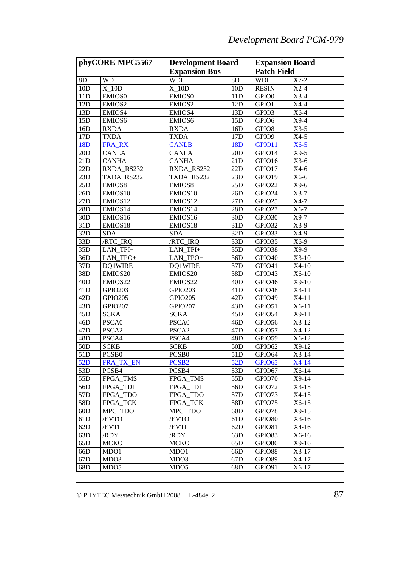| phyCORE-MPC5567 |                   | <b>Development Board</b>  |                 | <b>Expansion Board</b> |                    |
|-----------------|-------------------|---------------------------|-----------------|------------------------|--------------------|
|                 |                   | <b>Expansion Bus</b>      |                 |                        | <b>Patch Field</b> |
| 8D              | WDI               | <b>WDI</b>                | 8D              | <b>WDI</b>             | $X7-2$             |
| 10D             | $X_10D$           | $X_10D$                   | 10D             | <b>RESIN</b>           | $X2-4$             |
| 11D             | <b>EMIOS0</b>     | EMIOS0                    | 11D             | GPIO <sub>0</sub>      | $X3-4$             |
| 12D             | EMIOS2            | EMIOS2                    | 12D             | GPIO1                  | $X4-4$             |
| 13D             | EMIOS4            | EMIOS4                    | 13D             | GPIO3                  | X6-4               |
| 15D             | EMIOS6            | EMIOS6                    | 15D             | GPIO <sub>6</sub>      | $X9-4$             |
| 16D             | <b>RXDA</b>       | <b>RXDA</b>               | 16D             | GPIO <sub>8</sub>      | $X3-5$             |
| 17D             | <b>TXDA</b>       | <b>TXDA</b>               | 17 <sub>D</sub> | GPIO9                  | $X4-5$             |
| 18 <sub>D</sub> | FRA_RX            | <b>CANLB</b>              | 18 <sub>D</sub> | GPIO11                 | $X6-5$             |
| 20D             | <b>CANLA</b>      | <b>CANLA</b>              | 20D             | GPIO14                 | $X9-5$             |
| 21D             | <b>CANHA</b>      | <b>CANHA</b>              | 21D             | GPIO16                 | $X3-6$             |
| 22D             | RXDA_RS232        | RXDA_RS232                | 22D             | GPIO17                 | $X4-6$             |
| 23D             | TXDA_RS232        | TXDA_RS232                | 23D             | GPIO19                 | X6-6               |
| 25D             | EMIOS8            | EMIOS8                    | 25D             | GPIO22                 | $X9-6$             |
| 26D             | EMIOS10           | EMIOS10                   | 26D             | GPIO24                 | $X3-7$             |
| 27D             | EMIOS12           | EMIOS12                   | 27D             | GPIO25                 | $X4-7$             |
| 28D             | EMIOS14           | EMIOS14                   | 28D             | GPIO27                 | $X6-7$             |
| 30D             | EMIOS16           | EMIOS16                   | 30D             | GPIO30                 | $X9-7$             |
| 31D             | EMIOS18           | EMIOS18                   | 31D             | GPIO32                 | $X3-9$             |
| 32D             | <b>SDA</b>        | <b>SDA</b>                | 32D             | GPIO33                 | X4-9               |
| 33D             | /RTC_IRQ          | /RTC_IRQ                  | 33D             | GPIO35                 | X6-9               |
| 35D             | LAN_TPI+          | LAN_TPI+                  | 35D             | GPIO38                 | $X9-9$             |
| 36D             | LAN_TPO+          | LAN_TPO+                  | 36D             | GPIO <sub>40</sub>     | $X3-10$            |
| 37D             | DQ1WIRE           | DQ1WIRE                   | 37D             | GPIO41                 | $X4-10$            |
| 38D             | EMIOS20           | EMIOS20                   | 38D             | GPIO43                 | X6-10              |
| 40 <sub>D</sub> | EMIOS22           | EMIOS22                   | 40D             | GPIO46                 | $X9-10$            |
| 41D             | <b>GPIO203</b>    | GPIO203                   | 41D             | GPIO48                 | $X3-11$            |
| 42D             | <b>GPIO205</b>    | <b>GPIO205</b>            | 42D             | GPIO49                 | $X4-11$            |
| 43D             | <b>GPIO207</b>    | <b>GPIO207</b>            | 43D             | GPIO51                 | X6-11              |
| 45 <sub>D</sub> | <b>SCKA</b>       | <b>SCKA</b>               | 45D             | GPIO54                 | $X9-11$            |
| 46D             | PSCA0             | PSCA0                     | 46D             | GPIO56                 | $X3-12$            |
| 47 <sub>D</sub> | PSCA2             | PSCA <sub>2</sub>         | 47 <sub>D</sub> | GPIO57                 | X4-12              |
| 48D             | PSCA4             | PSCA4                     | 48D             | GPIO59                 | X6-12              |
| 50 <sub>D</sub> | <b>SCKB</b>       | <b>SCKB</b>               | 50 <sub>D</sub> | GPIO62                 | $X9-12$            |
| 51D             | PCS <sub>B0</sub> | PCS <sub>B0</sub>         | 51D             | GPIO64                 | $X3-14$            |
| 52D             | FRA_TX_EN         | PCSB <sub>2</sub>         | 52D             | GPIO65                 | $X4-14$            |
| 53D             | PCSB4             | PCSB4                     | 53D             | GPIO67                 | X6-14              |
| 55D             | FPGA_TMS          | <b>FPGA TMS</b>           | 55D             | GPIO70                 | $X9-14$            |
| 56D             | <b>FPGA TDI</b>   | <b>FPGA</b><br>TDI        | 56 <sub>D</sub> | GPIO72                 | $X3-15$            |
| 57 <sub>D</sub> | FPGA TDO          | <b>FPGA</b><br><b>TDO</b> | 57 <sub>D</sub> | GPIO73                 | $X4-15$            |
| 58D             | FPGA TCK          | FPGA TCK                  | 58D             | GPIO75                 | $X6-15$            |
| 60D             | MPC_TDO           | MPC_TDO                   | 60D             | GPIO78                 | $X9-15$            |
| 61D             | /EVTO             | /EVTO                     | 61 <sub>D</sub> | GPIO80                 | $X3-16$            |
| 62D             | /EVTI             | /EVTI                     | 62D             | GPIO81                 | X4-16              |
| 63D             | /RDY              | /RDY                      | 63D             | GPIO83                 | $X6-16$            |
| 65D             | <b>MCKO</b>       | <b>MCKO</b>               | 65D             | GPIO86                 | $X9-16$            |
| 66D             | MDO1              | MDO1                      | 66D             | GPIO88                 | $X3-17$            |
| 67D             | MDO3              | MDO3                      | 67 <sub>D</sub> | GPIO89                 | X4-17              |
| 68D             | MDO <sub>5</sub>  | MD <sub>O5</sub>          | 68D             | GPIO91                 | $X6-17$            |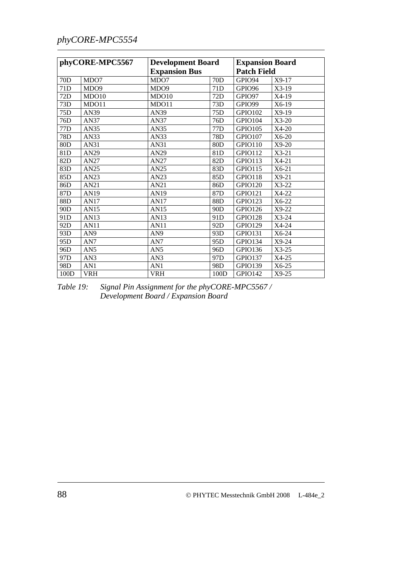## *phyCORE-MPC5554*

| phyCORE-MPC5567 |                  |                  | <b>Development Board</b><br><b>Expansion Bus</b> |                       | <b>Expansion Board</b><br><b>Patch Field</b> |
|-----------------|------------------|------------------|--------------------------------------------------|-----------------------|----------------------------------------------|
| 70D             | MDO7             | MDO7             | 70D                                              | GPIO94                | X9-17                                        |
| 71D             | MDO <sub>9</sub> | MDO <sub>9</sub> | 71D                                              | GPIO <sub>96</sub>    | $X3-19$                                      |
| 72D             | MDO10            | MDO10            | 72D                                              | GPIO97                | X4-19                                        |
| 73D             | MDO11            | MDO11            | 73D                                              | GPIO99                | X6-19                                        |
| 75D             | AN39             | AN39             | 75D                                              | GPIO102               | $X9-19$                                      |
| 76D             | AN37             | AN37             | 76D                                              | GPIO104               | $X3-20$                                      |
| 77D             | AN35             | AN35             | 77 <sub>D</sub>                                  | GPIO105               | $X4-20$                                      |
| 78D             | AN33             | AN33             | 78D                                              | GPIO107               | $X6-20$                                      |
| 80D             | AN31             | AN31             | 80 <sub>D</sub>                                  | GPIO110               | $X9-20$                                      |
| 81D             | AN29             | AN29             | 81D                                              | <b>GPIO112</b>        | $X3-21$                                      |
| 82D             | AN27             | AN27             | 82D                                              | $\overline{GP}$ IO113 | $X4-21$                                      |
| 83D             | AN25             | AN25             | 83D                                              | <b>GPIO115</b>        | $X6-21$                                      |
| 85D             | AN23             | AN23             | 85D                                              | GPIO118               | $X9-21$                                      |
| 86D             | AN21             | AN21             | 86D                                              | <b>GPIO120</b>        | X3-22                                        |
| 87D             | AN19             | AN19             | 87 <sub>D</sub>                                  | <b>GPIO121</b>        | X4-22                                        |
| 88D             | AN17             | AN17             | 88D                                              | <b>GPIO123</b>        | $X6-22$                                      |
| 90D             | AN15             | AN15             | 90 <sub>D</sub>                                  | GPIO126               | $X9-22$                                      |
| 91D             | AN13             | AN13             | 91 <sub>D</sub>                                  | <b>GPIO128</b>        | $X3-24$                                      |
| 92D             | <b>AN11</b>      | AN11             | 92D                                              | <b>GPIO129</b>        | X4-24                                        |
| 93D             | AN <sub>9</sub>  | AN <sub>9</sub>  | 93D                                              | <b>GPIO131</b>        | $X6-24$                                      |
| 95D             | AN7              | AN7              | 95D                                              | GPIO134               | $X9-24$                                      |
| 96D             | AN5              | AN <sub>5</sub>  | 96D                                              | <b>GPIO136</b>        | $X3-25$                                      |
| 97D             | AN3              | AN3              | 97 <sub>D</sub>                                  | <b>GPIO137</b>        | X4-25                                        |
| 98D             | AN1              | AN1              | 98D                                              | <b>GPIO139</b>        | $X6-25$                                      |
| 100D            | <b>VRH</b>       | <b>VRH</b>       | 100D                                             | GPIO142               | $X9-25$                                      |

*Table 19: Signal Pin Assignment for the phyCORE-MPC5567 / Development Board / Expansion Board*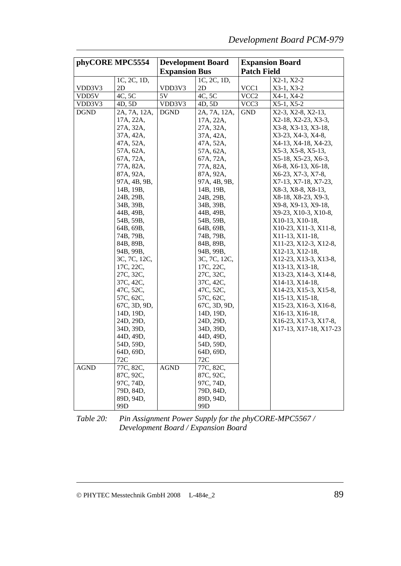| phyCORE MPC5554 |                        | <b>Development Board</b> |                        | <b>Expansion Board</b> |                        |
|-----------------|------------------------|--------------------------|------------------------|------------------------|------------------------|
|                 |                        | <b>Expansion Bus</b>     |                        | <b>Patch Field</b>     |                        |
|                 | 1C, 2C, 1D,            |                          | 1C, 2C, 1D,            |                        | X2-1, X2-2             |
| VDD3V3          | 2D                     | VDD3V3                   | 2D                     | VCC1                   | $X3-1, X3-2$           |
| VDD5V           | 4C, 5C                 | 5V                       | 4C, 5C                 | VCC <sub>2</sub>       | X4-1, X4-2             |
| VDD3V3          | 4D, 5D                 | VDD3V3                   | 4D, 5D                 | VCC3                   | $X5-1, X5-2$           |
| <b>DGND</b>     | 2A, 7A, 12A,           | <b>DGND</b>              | 2A, 7A, 12A,           | <b>GND</b>             | X2-3, X2-8, X2-13,     |
|                 | 17A, 22A,              |                          | 17A, 22A,              |                        | X2-18, X2-23, X3-3,    |
|                 | 27A, 32A,              |                          | 27A, 32A,              |                        | X3-8, X3-13, X3-18,    |
|                 | 37A, 42A,              |                          | 37A, 42A,              |                        | X3-23, X4-3, X4-8,     |
|                 | 47A, 52A,              |                          | 47A, 52A,              |                        | X4-13, X4-18, X4-23,   |
|                 | 57A, 62A,              |                          | 57A, 62A,              |                        | X5-3, X5-8, X5-13,     |
|                 | 67A, 72A,              |                          | 67A, 72A,              |                        | X5-18, X5-23, X6-3,    |
|                 | 77A, 82A,              |                          | 77A, 82A,              |                        | X6-8, X6-13, X6-18,    |
|                 | 87A, 92A,              |                          | 87A, 92A,              |                        | X6-23, X7-3, X7-8,     |
|                 | 97A, 4B, 9B,           |                          | 97A, 4B, 9B,           |                        | X7-13, X7-18, X7-23,   |
|                 | 14B, 19B,              |                          | 14B, 19B,              |                        | X8-3, X8-8, X8-13,     |
|                 | 24B, 29B,              |                          | 24B, 29B,              |                        | X8-18, X8-23, X9-3,    |
|                 | 34B, 39B,              |                          | 34B, 39B,              |                        | X9-8, X9-13, X9-18,    |
|                 | 44B, 49B,              |                          | 44B, 49B,              |                        | X9-23, X10-3, X10-8,   |
|                 | 54B, 59B,              |                          | 54B, 59B,              |                        | X10-13, X10-18,        |
|                 | 64B, 69B,              |                          | 64B, 69B,              |                        | X10-23, X11-3, X11-8,  |
|                 | 74B, 79B,              |                          | 74B, 79B,              |                        | X11-13, X11-18,        |
|                 | 84B, 89B,              |                          | 84B, 89B,              |                        | X11-23, X12-3, X12-8,  |
|                 | 94B, 99B,              |                          | 94B, 99B,              |                        | X12-13, X12-18,        |
|                 | 3C, 7C, 12C,           |                          | 3C, 7C, 12C,           |                        | X12-23, X13-3, X13-8,  |
|                 | 17C, 22C,              |                          | 17C, 22C,              |                        | X13-13, X13-18,        |
|                 | 27C, 32C,              |                          | 27C, 32C,              |                        | X13-23, X14-3, X14-8,  |
|                 | 37C, 42C,              |                          | 37C, 42C,              |                        | X14-13, X14-18,        |
|                 | 47C, 52C,              |                          | 47C, 52C,              |                        | X14-23, X15-3, X15-8,  |
|                 | 57C, 62C,              |                          | 57C, 62C,              |                        | X15-13, X15-18,        |
|                 | 67C, 3D, 9D,           |                          | 67C, 3D, 9D,           |                        | X15-23, X16-3, X16-8,  |
|                 | 14D, 19D,              |                          | 14D, 19D,              |                        | X16-13, X16-18,        |
|                 | 24D, 29D,              |                          | 24D, 29D,              |                        | X16-23, X17-3, X17-8,  |
|                 | 34D, 39D,              |                          | 34D, 39D,              |                        | X17-13, X17-18, X17-23 |
|                 | 44D, 49D,              |                          | 44D, 49D,              |                        |                        |
|                 | 54D, 59D,              |                          | 54D, 59D,              |                        |                        |
|                 | 64D, 69D,<br>72C       |                          | 64D, 69D,              |                        |                        |
|                 |                        |                          | 72C<br>77C, 82C,       |                        |                        |
| AGND            | 77C, 82C,<br>87C, 92C, | <b>AGND</b>              | 87C, 92C,              |                        |                        |
|                 | 97C, 74D,              |                          | 97C, 74D,              |                        |                        |
|                 |                        |                          |                        |                        |                        |
|                 | 79D, 84D,<br>89D, 94D, |                          | 79D, 84D,<br>89D, 94D, |                        |                        |
|                 | 99D                    |                          | 99D                    |                        |                        |
|                 |                        |                          |                        |                        |                        |

*Table 20: Pin Assignment Power Supply for the phyCORE-MPC5567 / Development Board / Expansion Board*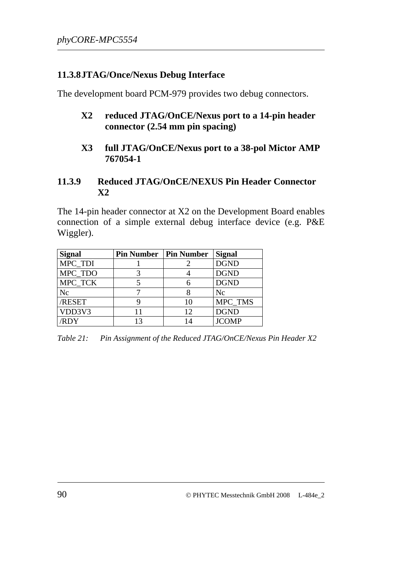#### **11.3.8JTAG/Once/Nexus Debug Interface**

The development board PCM-979 provides two debug connectors.

- **X2 reduced JTAG/OnCE/Nexus port to a 14-pin header connector (2.54 mm pin spacing)**
- **X3 full JTAG/OnCE/Nexus port to a 38-pol Mictor AMP 767054-1**

#### **11.3.9 Reduced JTAG/OnCE/NEXUS Pin Header Connector X2**

The 14-pin header connector at X2 on the Development Board enables connection of a simple external debug interface device (e.g. P&E Wiggler).

| <b>Signal</b> | <b>Pin Number   Pin Number</b> |    | <b>Signal</b> |
|---------------|--------------------------------|----|---------------|
| MPC_TDI       |                                |    | <b>DGND</b>   |
| MPC_TDO       |                                |    | <b>DGND</b>   |
| MPC TCK       |                                |    | <b>DGND</b>   |
| Nc            |                                |    | Nc            |
| /RESET        |                                | 10 | MPC_TMS       |
| VDD3V3        |                                | 12 | <b>DGND</b>   |
| <b>RDY</b>    | 13                             | 14 | <b>JCOMP</b>  |

*Table 21: Pin Assignment of the Reduced JTAG/OnCE/Nexus Pin Header X2*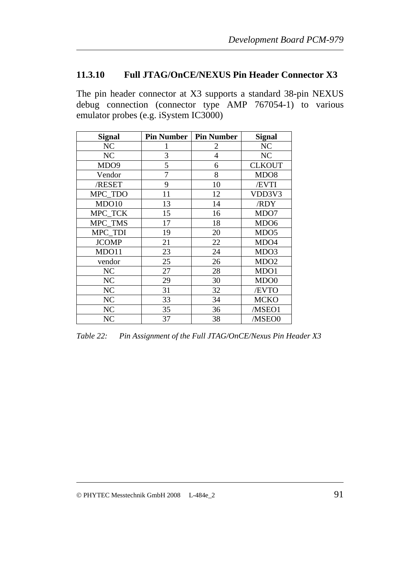### **11.3.10 Full JTAG/OnCE/NEXUS Pin Header Connector X3**

The pin header connector at X3 supports a standard 38-pin NEXUS debug connection (connector type AMP 767054-1) to various emulator probes (e.g. iSystem IC3000)

| <b>Signal</b>    | <b>Pin Number</b> | <b>Pin Number</b> | <b>Signal</b>    |
|------------------|-------------------|-------------------|------------------|
| NC               |                   | 2                 | NC               |
| NC               | 3                 | $\overline{4}$    | NC               |
| MDO <sub>9</sub> | 5                 | 6                 | <b>CLKOUT</b>    |
| Vendor           | 7                 | 8                 | MDO <sub>8</sub> |
| /RESET           | 9                 | 10                | /EVTI            |
| MPC_TDO          | 11                | 12                | VDD3V3           |
| MDO10            | 13                | 14                | /RDY             |
| MPC_TCK          | 15                | 16                | MDO7             |
| MPC_TMS          | 17                | 18                | MDO <sub>6</sub> |
| MPC TDI          | 19                | 20                | MDO <sub>5</sub> |
| <b>JCOMP</b>     | 21                | 22                | MDO4             |
| MDO11            | 23                | 24                | MDO3             |
| vendor           | 25                | 26                | MDO <sub>2</sub> |
| NC               | 27                | 28                | MDO1             |
| NC               | 29                | 30                | MDO <sub>0</sub> |
| NC               | 31                | 32                | /EVTO            |
| N <sub>C</sub>   | 33                | 34                | <b>MCKO</b>      |
| NC               | 35                | 36                | /MSEO1           |
| NC               | 37                | 38                | /MSEO0           |

*Table 22: Pin Assignment of the Full JTAG/OnCE/Nexus Pin Header X3*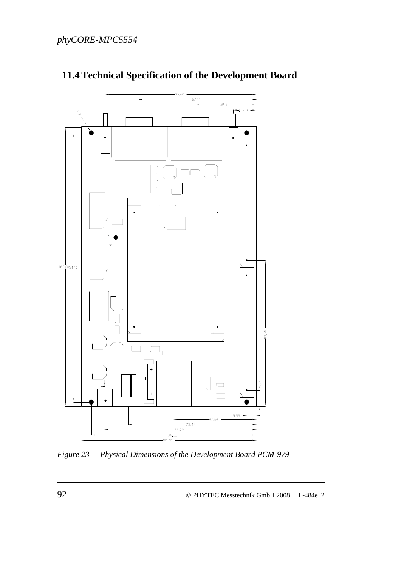

## **11.4 Technical Specification of the Development Board**

*Figure 23 Physical Dimensions of the Development Board PCM-979*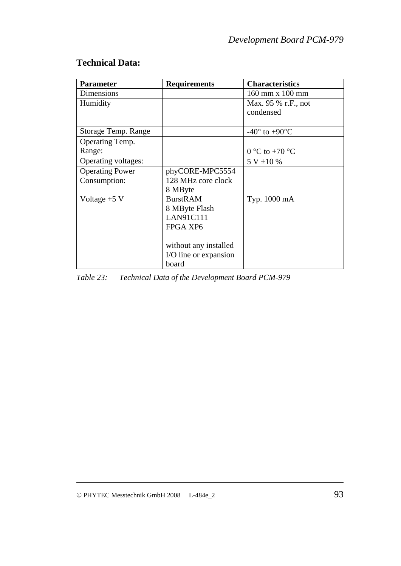## **Technical Data:**

| <b>Parameter</b>       | <b>Requirements</b>   | <b>Characteristics</b>            |
|------------------------|-----------------------|-----------------------------------|
| Dimensions             |                       | 160 mm x 100 mm                   |
| Humidity               |                       | Max. 95 % r.F., not               |
|                        |                       | condensed                         |
|                        |                       |                                   |
| Storage Temp. Range    |                       | $-40^{\circ}$ to $+90^{\circ}$ C  |
| Operating Temp.        |                       |                                   |
| Range:                 |                       | $0^{\circ}$ C to +70 $^{\circ}$ C |
| Operating voltages:    |                       | 5 V ±10 %                         |
| <b>Operating Power</b> | phyCORE-MPC5554       |                                   |
| Consumption:           | 128 MHz core clock    |                                   |
|                        | 8 MByte               |                                   |
| Voltage $+5$ V         | <b>BurstRAM</b>       | Typ. 1000 mA                      |
|                        | 8 MByte Flash         |                                   |
|                        | <b>LAN91C111</b>      |                                   |
|                        | FPGA XP6              |                                   |
|                        |                       |                                   |
|                        | without any installed |                                   |
|                        | I/O line or expansion |                                   |
|                        | board                 |                                   |

*Table 23: Technical Data of the Development Board PCM-979*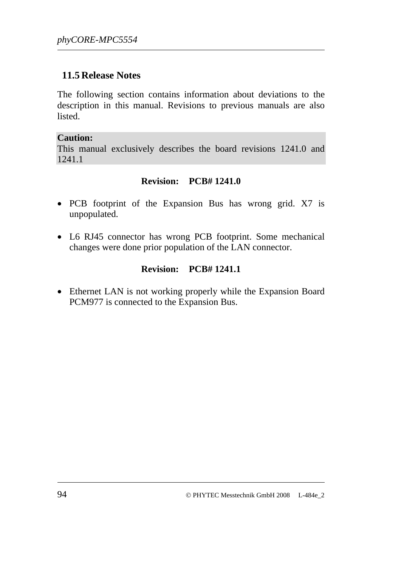### **11.5 Release Notes**

The following section contains information about deviations to the description in this manual. Revisions to previous manuals are also listed.

#### **Caution:**

This manual exclusively describes the board revisions 1241.0 and 1241.1

#### **Revision: PCB# 1241.0**

- PCB footprint of the Expansion Bus has wrong grid. X7 is unpopulated.
- L6 RJ45 connector has wrong PCB footprint. Some mechanical changes were done prior population of the LAN connector.

### **Revision: PCB# 1241.1**

• Ethernet LAN is not working properly while the Expansion Board PCM977 is connected to the Expansion Bus.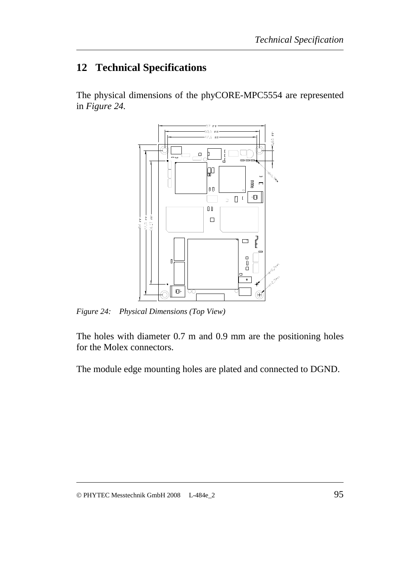## **12 Technical Specifications**

The physical dimensions of the phyCORE-MPC5554 are represented in *[Figure 24](#page-102-0).* 



<span id="page-102-0"></span>*Figure 24: Physical Dimensions (Top View)* 

The holes with diameter 0.7 m and 0.9 mm are the positioning holes for the Molex connectors.

The module edge mounting holes are plated and connected to DGND.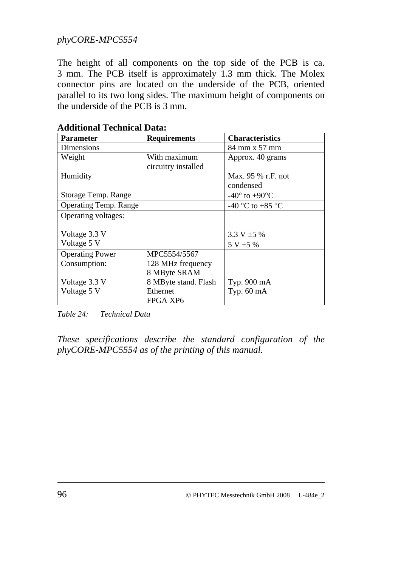The height of all components on the top side of the PCB is ca. 3 mm. The PCB itself is approximately 1.3 mm thick. The Molex connector pins are located on the underside of the PCB, oriented parallel to its two long sides. The maximum height of components on the underside of the PCB is 3 mm.

| <b>Parameter</b>             | <b>Requirements</b>  | <b>Characteristics</b>           |
|------------------------------|----------------------|----------------------------------|
| Dimensions                   |                      | 84 mm x 57 mm                    |
| Weight                       | With maximum         | Approx. 40 grams                 |
|                              | circuitry installed  |                                  |
| Humidity                     |                      | Max. 95 % r.F. not               |
|                              |                      | condensed                        |
| Storage Temp. Range          |                      | $-40^{\circ}$ to $+90^{\circ}$ C |
| <b>Operating Temp. Range</b> |                      | -40 °C to +85 °C                 |
| Operating voltages:          |                      |                                  |
|                              |                      |                                  |
| Voltage 3.3 V                |                      | 3.3 V $\pm$ 5 %                  |
| Voltage 5 V                  |                      | $5 V \pm 5 \%$                   |
| <b>Operating Power</b>       | MPC5554/5567         |                                  |
| Consumption:                 | 128 MHz frequency    |                                  |
|                              | 8 MByte SRAM         |                                  |
| Voltage 3.3 V                | 8 MByte stand. Flash | Typ. 900 mA                      |
| Voltage 5 V                  | Ethernet             | Typ. $60 \text{ mA}$             |
|                              | FPGA XP6             |                                  |

#### **Additional Technical Data:**

*Table 24: Technical Data* 

*These specifications describe the standard configuration of the phyCORE-MPC5554 as of the printing of this manual.*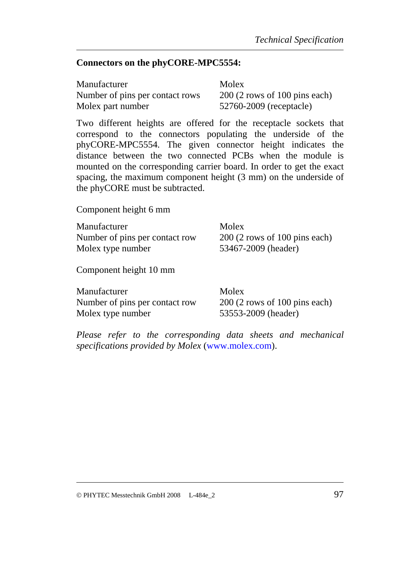#### **Connectors on the phyCORE-MPC5554:**

| Manufacturer                    | Molex                          |
|---------------------------------|--------------------------------|
| Number of pins per contact rows | $200(2$ rows of 100 pins each) |
| Molex part number               | 52760-2009 (receptacle)        |

Two different heights are offered for the receptacle sockets that correspond to the connectors populating the underside of the phyCORE-MPC5554. The given connector height indicates the distance between the two connected PCBs when the module is mounted on the corresponding carrier board. In order to get the exact spacing, the maximum component height (3 mm) on the underside of the phyCORE must be subtracted.

Component height 6 mm

Manufacturer Molex Number of pins per contact row 200 (2 rows of 100 pins each) Molex type number 53467-2009 (header)

Component height 10 mm

| Manufacturer                   | Molex                          |
|--------------------------------|--------------------------------|
| Number of pins per contact row | $200(2$ rows of 100 pins each) |
| Molex type number              | 53553-2009 (header)            |

*Please refer to the corresponding data sheets and mechanical specifications provided by Molex* ([www.molex.com](http://www.molex.com/)).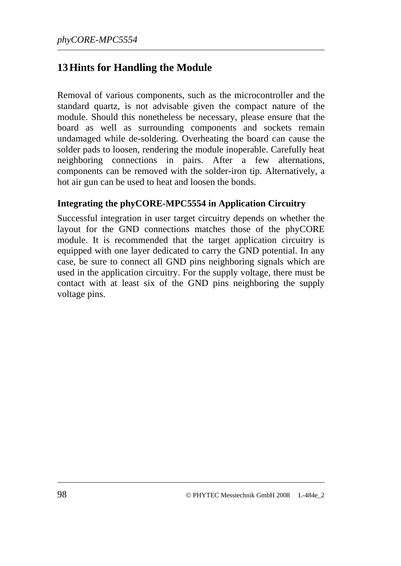## **13Hints for Handling the Module**

Removal of various components, such as the microcontroller and the standard quartz, is not advisable given the compact nature of the module. Should this nonetheless be necessary, please ensure that the board as well as surrounding components and sockets remain undamaged while de-soldering. Overheating the board can cause the solder pads to loosen, rendering the module inoperable. Carefully heat neighboring connections in pairs. After a few alternations, components can be removed with the solder-iron tip. Alternatively, a hot air gun can be used to heat and loosen the bonds.

#### **Integrating the phyCORE-MPC5554 in Application Circuitry**

Successful integration in user target circuitry depends on whether the layout for the GND connections matches those of the phyCORE module. It is recommended that the target application circuitry is equipped with one layer dedicated to carry the GND potential. In any case, be sure to connect all GND pins neighboring signals which are used in the application circuitry. For the supply voltage, there must be contact with at least six of the GND pins neighboring the supply voltage pins.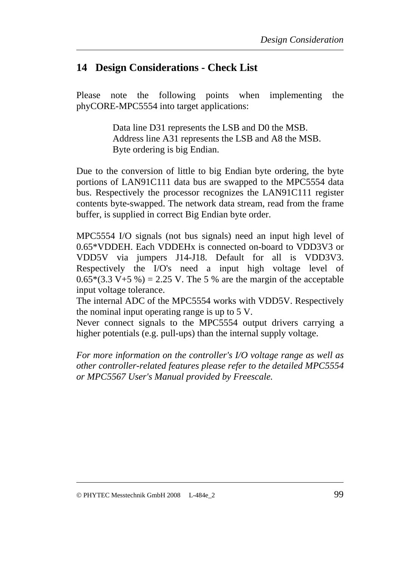## **14 Design Considerations - Check List**

Please note the following points when implementing the phyCORE-MPC5554 into target applications:

> Data line D31 represents the LSB and D0 the MSB. Address line A31 represents the LSB and A8 the MSB. Byte ordering is big Endian.

Due to the conversion of little to big Endian byte ordering, the byte portions of LAN91C111 data bus are swapped to the MPC5554 data bus. Respectively the processor recognizes the LAN91C111 register contents byte-swapped. The network data stream, read from the frame buffer, is supplied in correct Big Endian byte order.

MPC5554 I/O signals (not bus signals) need an input high level of 0.65\*VDDEH. Each VDDEHx is connected on-board to VDD3V3 or VDD5V via jumpers J14-J18. Default for all is VDD3V3. Respectively the I/O's need a input high voltage level of  $0.65*(3.3 V+5 \%) = 2.25 V$ . The 5% are the margin of the acceptable input voltage tolerance.

The internal ADC of the MPC5554 works with VDD5V. Respectively the nominal input operating range is up to 5 V.

Never connect signals to the MPC5554 output drivers carrying a higher potentials (e.g. pull-ups) than the internal supply voltage.

*For more information on the controller's I/O voltage range as well as other controller-related features please refer to the detailed MPC5554 or MPC5567 User's Manual provided by Freescale.*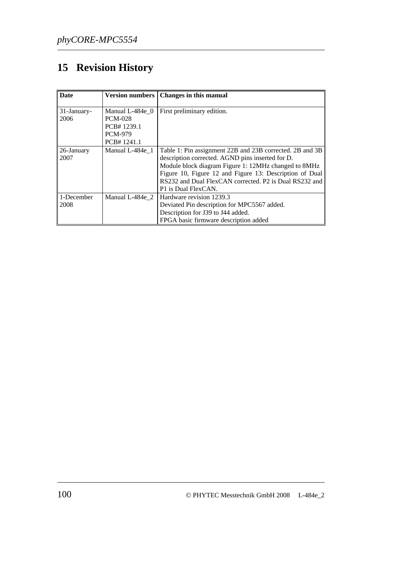# **15 Revision History**

| <b>Date</b> | <b>Version numbers</b> | Changes in this manual                                   |
|-------------|------------------------|----------------------------------------------------------|
| 31-January- | Manual L-484e 0        | First preliminary edition.                               |
| 2006        | <b>PCM-028</b>         |                                                          |
|             | PCB#1239.1             |                                                          |
|             | <b>PCM-979</b>         |                                                          |
|             | PCB#1241.1             |                                                          |
| 26-January  | Manual L-484e 1        | Table 1: Pin assignment 22B and 23B corrected. 2B and 3B |
| 2007        |                        | description corrected. AGND pins inserted for D.         |
|             |                        | Module block diagram Figure 1: 12MHz changed to 8MHz     |
|             |                        | Figure 10, Figure 12 and Figure 13: Description of Dual  |
|             |                        | RS232 and Dual FlexCAN corrected. P2 is Dual RS232 and   |
|             |                        | P1 is Dual FlexCAN.                                      |
| 1-December  | Manual L-484e 2        | Hardware revision 1239.3                                 |
| 2008        |                        | Deviated Pin description for MPC5567 added.              |
|             |                        | Description for J39 to J44 added.                        |
|             |                        | FPGA basic firmware description added                    |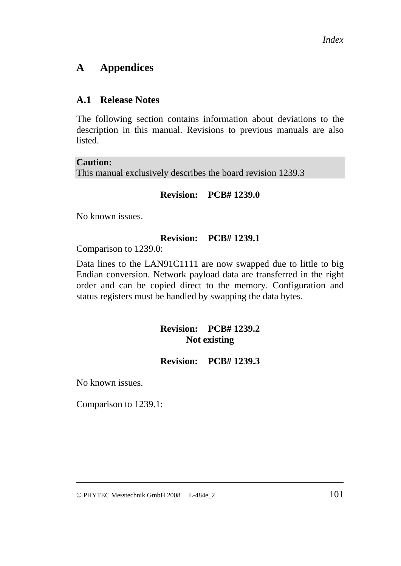# **A Appendices**

## **A.1 Release Notes**

The following section contains information about deviations to the description in this manual. Revisions to previous manuals are also listed.

#### **Caution:**

This manual exclusively describes the board revision 1239.3

## **Revision: PCB# 1239.0**

No known issues.

#### **Revision: PCB# 1239.1**

Comparison to 1239.0:

Data lines to the LAN91C1111 are now swapped due to little to big Endian conversion. Network payload data are transferred in the right order and can be copied direct to the memory. Configuration and status registers must be handled by swapping the data bytes.

## **Revision: PCB# 1239.2 Not existing**

#### **Revision: PCB# 1239.3**

No known issues.

Comparison to 1239.1: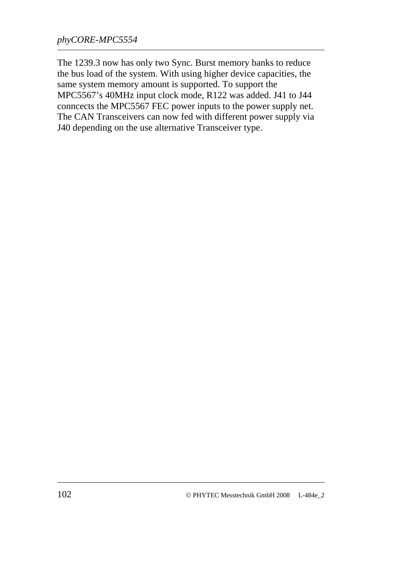The 1239.3 now has only two Sync. Burst memory banks to reduce the bus load of the system. With using higher device capacities, the same system memory amount is supported. To support the MPC5567's 40MHz input clock mode, R122 was added. J41 to J44 conncects the MPC5567 FEC power inputs to the power supply net. The CAN Transceivers can now fed with different power supply via J40 depending on the use alternative Transceiver type.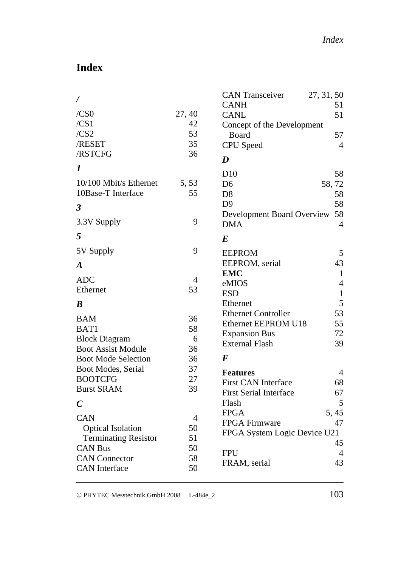# **Index**

|                             |        | <b>CAN Transceiver</b><br><b>CANH</b> | 27, 31, 50<br>51 |
|-----------------------------|--------|---------------------------------------|------------------|
| /CS0                        | 27, 40 | <b>CANL</b>                           | 51               |
| /CS1                        | 42     | Concept of the Development            |                  |
| /CS2                        | 53     | Board                                 | 57               |
| /RESET                      | 35     | <b>CPU</b> Speed                      | $\overline{4}$   |
| /RSTCFG                     | 36     | D                                     |                  |
| $\bm{l}$                    |        | D10                                   | 58               |
| 10/100 Mbit/s Ethernet      | 5, 53  | D <sub>6</sub>                        | 58,72            |
| 10Base-T Interface          | 55     | D <sub>8</sub>                        | 58               |
| $\boldsymbol{\beta}$        |        | D <sub>9</sub>                        | 58               |
|                             |        | Development Board Overview            | 58               |
| 3.3V Supply                 | 9      | <b>DMA</b>                            | $\overline{4}$   |
| 5                           |        | $\bm E$                               |                  |
| 5V Supply                   | 9      | <b>EEPROM</b>                         | 5                |
| $\boldsymbol{A}$            |        | EEPROM, serial                        | 43               |
| <b>ADC</b>                  | 4      | <b>EMC</b>                            | $\mathbf{1}$     |
| Ethernet                    | 53     | eMIOS                                 | $\overline{4}$   |
|                             |        | <b>ESD</b>                            | $\mathbf{1}$     |
| $\boldsymbol{B}$            |        | Ethernet                              | 5                |
| <b>BAM</b>                  | 36     | <b>Ethernet Controller</b>            | 53               |
| BAT1                        | 58     | Ethernet EEPROM U18                   | 55               |
| <b>Block Diagram</b>        | 6      | <b>Expansion Bus</b>                  | 72               |
| <b>Boot Assist Module</b>   | 36     | <b>External Flash</b>                 | 39               |
| <b>Boot Mode Selection</b>  | 36     | $\bm{F}$                              |                  |
| Boot Modes, Serial          | 37     | <b>Features</b>                       | 4                |
| <b>BOOTCFG</b>              | 27     | <b>First CAN Interface</b>            | 68               |
| <b>Burst SRAM</b>           | 39     | <b>First Serial Interface</b>         | 67               |
| $\boldsymbol{C}$            |        | Flash                                 | 5                |
| <b>CAN</b>                  | 4      | <b>FPGA</b>                           | 5,45             |
| <b>Optical Isolation</b>    | 50     | FPGA Firmware                         | 47               |
| <b>Terminating Resistor</b> | 51     | FPGA System Logic Device U21          |                  |
| <b>CAN Bus</b>              | 50     |                                       | 45               |
| <b>CAN</b> Connector        | 58     | <b>FPU</b>                            | 4                |
| <b>CAN</b> Interface        | 50     | FRAM, serial                          | 43               |
|                             |        |                                       |                  |

© PHYTEC Messtechnik GmbH 2008 L-484e\_2 103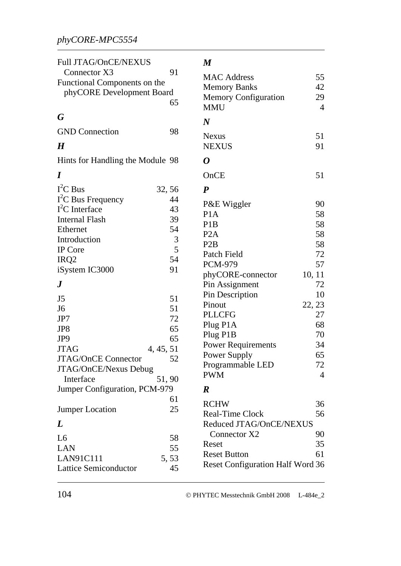# *phyCORE-MPC5554*

| Full JTAG/OnCE/NEXUS             |        | $\boldsymbol{M}$                        |                |
|----------------------------------|--------|-----------------------------------------|----------------|
| Connector X3                     | 91     | <b>MAC Address</b>                      | 55             |
| Functional Components on the     |        | <b>Memory Banks</b>                     | 42             |
| phyCORE Development Board        | 65     | <b>Memory Configuration</b>             | 29             |
|                                  |        | <b>MMU</b>                              | $\overline{4}$ |
| G                                |        | $\boldsymbol{N}$                        |                |
| <b>GND</b> Connection            | 98     | <b>Nexus</b>                            | 51             |
| $\boldsymbol{H}$                 |        | <b>NEXUS</b>                            | 91             |
| Hints for Handling the Module 98 |        | 0                                       |                |
| $\bm{I}$                         |        | OnCE                                    | 51             |
| $I^2C$ Bus                       | 32, 56 | $\boldsymbol{P}$                        |                |
| $I2C$ Bus Frequency              | 44     |                                         |                |
| $I2C$ Interface                  | 43     | P&E Wiggler                             | 90             |
| <b>Internal Flash</b>            | 39     | P <sub>1</sub> A                        | 58             |
| Ethernet                         | 54     | P <sub>1</sub> B<br>P <sub>2</sub> A    | 58             |
| Introduction                     | 3      |                                         | 58             |
| IP Core                          | 5      | P <sub>2</sub> B                        | 58             |
| IRQ <sub>2</sub>                 | 54     | Patch Field                             | 72             |
| iSystem IC3000                   | 91     | <b>PCM-979</b>                          | 57             |
| $\bm{J}$                         |        | phyCORE-connector<br>10, 11             | 72             |
|                                  |        | Pin Assignment                          | 10             |
| J <sub>5</sub>                   | 51     | Pin Description<br>Pinout<br>22, 23     |                |
| J <sub>6</sub>                   | 51     | <b>PLLCFG</b>                           | 27             |
| JP7                              | 72     |                                         | 68             |
| JP8                              | 65     | Plug P1A                                | 70             |
| JP <sub>9</sub>                  | 65     | Plug P1B                                | 34             |
| <b>JTAG</b><br>4, 45, 51         |        | <b>Power Requirements</b>               |                |
| <b>JTAG/OnCE Connector</b>       | 52     | Power Supply                            | 65<br>72       |
| JTAG/OnCE/Nexus Debug            |        | Programmable LED<br><b>PWM</b>          | $\overline{4}$ |
| Interface                        | 51,90  |                                         |                |
| Jumper Configuration, PCM-979    |        | $\boldsymbol{R}$                        |                |
|                                  | 61     | <b>RCHW</b>                             | 36             |
| <b>Jumper Location</b>           | 25     | Real-Time Clock                         | 56             |
| L                                |        | Reduced JTAG/OnCE/NEXUS                 |                |
|                                  |        | Connector X2                            | 90             |
| L <sub>6</sub>                   | 58     | Reset                                   | 35             |
| <b>LAN</b>                       | 55     | <b>Reset Button</b>                     | 61             |
| <b>LAN91C111</b>                 | 5,53   | <b>Reset Configuration Half Word 36</b> |                |
| <b>Lattice Semiconductor</b>     | 45     |                                         |                |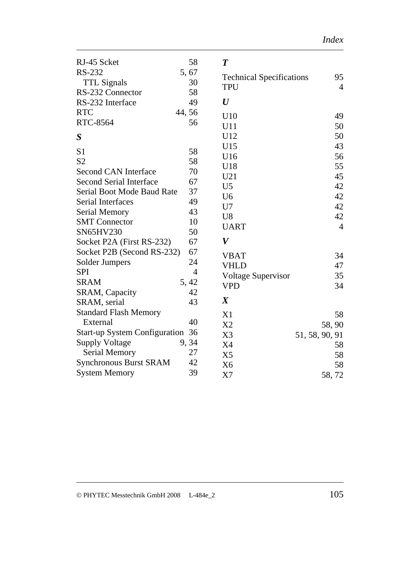| RJ-45 Scket                          | 58             | $\boldsymbol{T}$                              |                |
|--------------------------------------|----------------|-----------------------------------------------|----------------|
| <b>RS-232</b>                        | 5,67           |                                               | 95             |
| <b>TTL Signals</b>                   | 30             | <b>Technical Specifications</b><br><b>TPU</b> | $\overline{4}$ |
| RS-232 Connector                     | 58             |                                               |                |
| RS-232 Interface                     | 49             | $\bm{U}$                                      |                |
| <b>RTC</b>                           | 44,56          | U10                                           | 49             |
| RTC-8564                             | 56             | U11                                           | 50             |
| S                                    |                | U12                                           | 50             |
|                                      |                | U15                                           | 43             |
| S <sub>1</sub><br>S <sub>2</sub>     | 58             | U16                                           | 56             |
|                                      | 58             | U18                                           | 55             |
| <b>Second CAN Interface</b>          | 70             | U21                                           | 45             |
| <b>Second Serial Interface</b>       | 67             | U <sub>5</sub>                                | 42             |
| <b>Serial Boot Mode Baud Rate</b>    | 37             | U <sub>6</sub>                                | 42             |
| Serial Interfaces                    | 49             | U7                                            | 42             |
| <b>Serial Memory</b>                 | 43             | U <sub>8</sub>                                | 42             |
| <b>SMT</b> Connector                 | 10             | <b>UART</b>                                   | $\overline{4}$ |
| SN65HV230                            | 50             | V                                             |                |
| Socket P2A (First RS-232)            | 67             |                                               |                |
| Socket P2B (Second RS-232)           | 67             | <b>VBAT</b>                                   | 34             |
| Solder Jumpers                       | 24             | <b>VHLD</b>                                   | 47             |
| <b>SPI</b>                           | $\overline{4}$ | <b>Voltage Supervisor</b>                     | 35             |
| <b>SRAM</b>                          | 5, 42          | <b>VPD</b>                                    | 34             |
| <b>SRAM, Capacity</b>                | 42             | $\boldsymbol{X}$                              |                |
| SRAM, serial                         | 43             |                                               |                |
| <b>Standard Flash Memory</b>         |                | X1                                            | 58             |
| External                             | 40             | X <sub>2</sub>                                | 58,90          |
| <b>Start-up System Configuration</b> | 36             | X3                                            | 51, 58, 90, 91 |
| <b>Supply Voltage</b>                | 9,34           | X4                                            | 58             |
| <b>Serial Memory</b>                 | 27             | X <sub>5</sub>                                | 58             |
| <b>Synchronous Burst SRAM</b>        | 42             | X <sub>6</sub>                                | 58             |
| <b>System Memory</b>                 | 39             | X7                                            | 58,72          |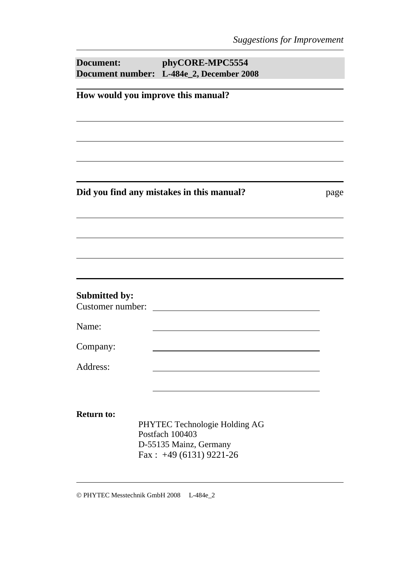| Document:                                | phyCORE-MPC5554<br>Document number: L-484e_2, December 2008          |      |
|------------------------------------------|----------------------------------------------------------------------|------|
|                                          | How would you improve this manual?                                   |      |
|                                          |                                                                      |      |
|                                          |                                                                      |      |
|                                          | Did you find any mistakes in this manual?                            | page |
|                                          |                                                                      |      |
|                                          |                                                                      |      |
| <b>Submitted by:</b><br>Customer number: |                                                                      |      |
| Name:                                    |                                                                      |      |
| Company:                                 |                                                                      |      |
| Address:                                 |                                                                      |      |
| <b>Return to:</b>                        | PHYTEC Technologie Holding AG                                        |      |
|                                          | Postfach 100403<br>D-55135 Mainz, Germany<br>Fax: $+49(6131)9221-26$ |      |